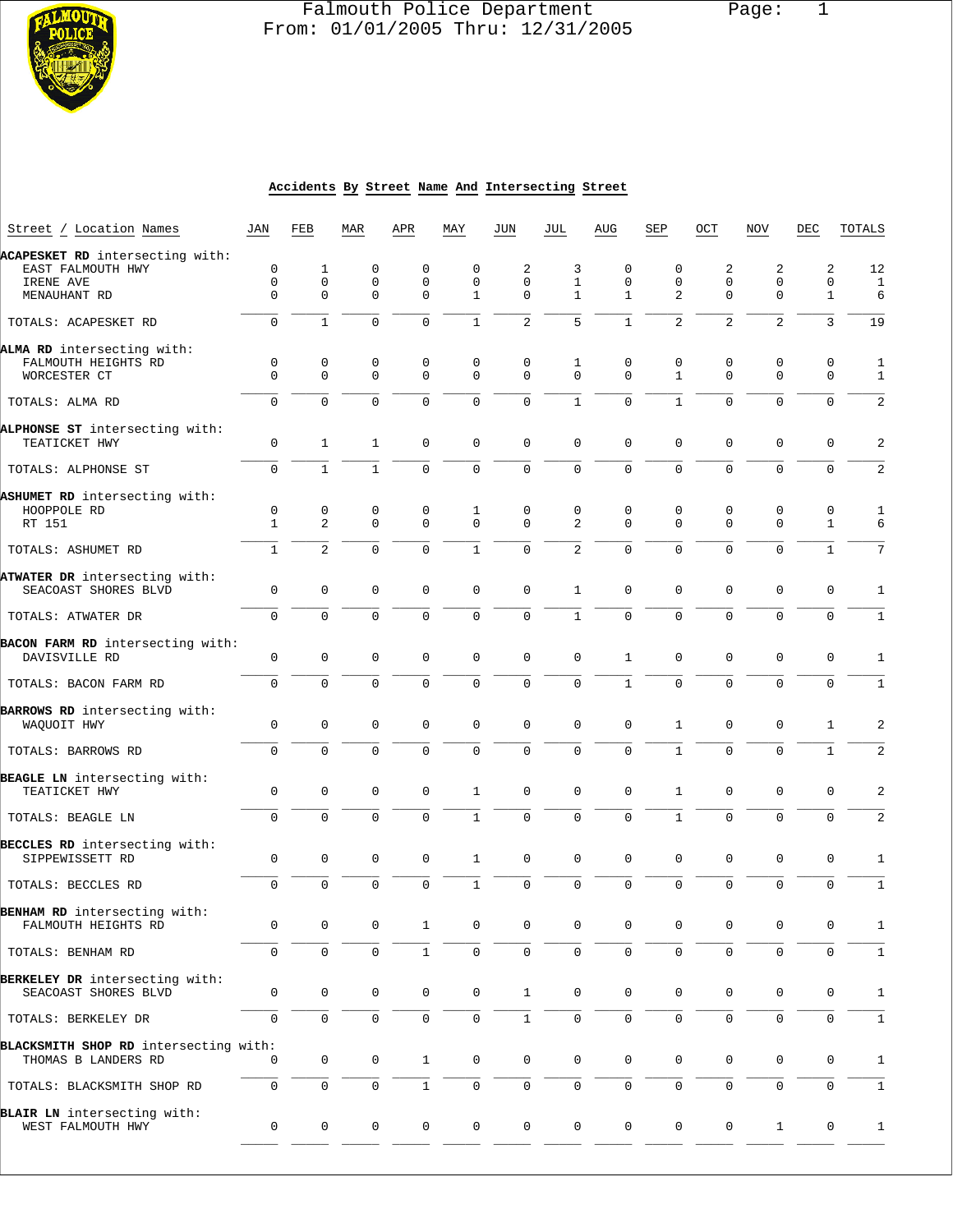

# Falmouth Police Department Page: 1 **From: 01/01/2005 Thru: 12/31/2005**

#### **Accidents By Street Name And Intersecting Street**

| Street / Location Names                               | JAN          | FEB                 | MAR                 | APR          | MAY          | JUN          | JUL                 | AUG            | SEP            | OCT                 | NOV            | DEC          | TOTALS         |
|-------------------------------------------------------|--------------|---------------------|---------------------|--------------|--------------|--------------|---------------------|----------------|----------------|---------------------|----------------|--------------|----------------|
| ACAPESKET RD intersecting with:                       |              |                     |                     |              |              |              |                     |                |                |                     |                |              |                |
| EAST FALMOUTH HWY                                     | 0            | 1                   | 0                   | $\mathbf 0$  | 0            | 2            | 3                   | $\mathbf 0$    | 0              | 2                   | 2              | 2            | 12             |
| IRENE AVE                                             | $\mathbf 0$  | 0                   | 0                   | $\mathbf 0$  | $\mathbf{0}$ | $\Omega$     | $\mathbf{1}$        | $\mathbf 0$    | $\mathbf 0$    | $\mathbf 0$         | $\mathbf 0$    | 0            | $\mathbf{1}$   |
| MENAUHANT RD                                          | $\Omega$     | $\Omega$            | $\Omega$            | $\Omega$     | $\mathbf{1}$ | $\Omega$     | $\mathbf{1}$        | $\mathbf{1}$   | 2              | $\mathbf 0$         | $\Omega$       | $\mathbf{1}$ | 6              |
| TOTALS: ACAPESKET RD                                  | 0            | $\mathbf{1}$        | $\mathbf 0$         | $\mathbf 0$  | $\mathbf{1}$ | 2            | 5                   | $\mathbf{1}$   | $\overline{a}$ | $\overline{2}$      | $\overline{2}$ | 3            | 19             |
| ALMA RD intersecting with:                            |              |                     |                     |              |              |              |                     |                |                |                     |                |              |                |
| FALMOUTH HEIGHTS RD                                   | 0            | $\mathsf 0$         | 0                   | 0            | $\mathbf 0$  | 0            | 1                   | 0              | 0              | 0                   | 0              | 0            | $\mathbf{1}$   |
| WORCESTER CT                                          | $\Omega$     | $\mathbf 0$         | $\mathbf 0$         | $\mathbf 0$  | $\mathbf 0$  | $\Omega$     | $\Omega$            | $\Omega$       | $\mathbf{1}$   | $\mathbf 0$         | $\mathbf 0$    | $\mathbf 0$  | $\mathbf{1}$   |
| TOTALS: ALMA RD                                       | $\Omega$     | $\Omega$            | $\Omega$            | $\Omega$     | $\Omega$     | $\Omega$     | $\mathbf{1}$        | $\Omega$       | $\mathbf{1}$   | $\Omega$            | $\Omega$       | $\Omega$     | $\sqrt{2}$     |
| ALPHONSE ST intersecting with:                        |              |                     |                     |              |              |              |                     |                |                |                     |                |              |                |
| TEATICKET HWY                                         | 0            | $\mathbf{1}$        | $\mathbf{1}$        | $\mathbf 0$  | $\mathbf 0$  | $\mathbf 0$  | $\mathbf 0$         | $\mathbf 0$    | $\mathbf 0$    | $\mathbf 0$         | $\mathbf 0$    | $\mathbf 0$  | $\overline{a}$ |
| TOTALS: ALPHONSE ST                                   | 0            | $\mathbf{1}$        | $\mathbf{1}$        | $\mathbf 0$  | $\mathbf 0$  | $\mathbf 0$  | $\mathbf 0$         | 0              | $\mathbf 0$    | $\mathbf 0$         | $\mathbf 0$    | $\mathbf 0$  | $\sqrt{2}$     |
| ASHUMET RD intersecting with:                         |              |                     |                     |              |              |              |                     |                |                |                     |                |              |                |
| HOOPPOLE RD                                           | $\mathsf 0$  | $\mathsf 0$         | $\mathbf 0$         | 0            | 1            | $\mathbf 0$  | $\mathbf 0$         | $\mathsf 0$    | $\mathbf 0$    | 0                   | 0              | $\mathbf 0$  | $\mathbf{1}$   |
| RT 151                                                | $\mathbf{1}$ | $\overline{a}$      | $\mathbf 0$         | $\mathbf 0$  | $\mathbf 0$  | $\mathbf 0$  | 2                   | $\Omega$       | $\Omega$       | $\mathbf 0$         | $\mathbf 0$    | $\mathbf{1}$ | 6              |
| TOTALS: ASHUMET RD                                    | $\mathbf{1}$ | $\overline{2}$      | $\Omega$            | $\Omega$     | $\mathbf{1}$ | $\Omega$     | 2                   | $\Omega$       | $\Omega$       | $\Omega$            | $\Omega$       | $\mathbf{1}$ | 7              |
|                                                       |              |                     |                     |              |              |              |                     |                |                |                     |                |              |                |
| ATWATER DR intersecting with:<br>SEACOAST SHORES BLVD | 0            | 0                   | $\mathbf 0$         | $\mathbf 0$  | $\mathsf 0$  | $\mathbf 0$  | $\mathbf{1}$        | $\mathbf 0$    | $\mathbf 0$    | $\mathbf 0$         | $\mathbf 0$    | $\mathbf 0$  | 1              |
| TOTALS: ATWATER DR                                    | 0            | $\mathbf 0$         | $\mathbf{0}$        | $\mathbf 0$  | $\mathbf 0$  | $\mathbf 0$  | $\mathbf{1}$        | 0              | $\mathbf 0$    | $\mathbf 0$         | $\mathbf 0$    | $\mathbf 0$  | $\mathbf{1}$   |
|                                                       |              |                     |                     |              |              |              |                     |                |                |                     |                |              |                |
| BACON FARM RD intersecting with:<br>DAVISVILLE RD     | 0            | 0                   | $\mathbf 0$         | $\mathbf 0$  | 0            | $\mathbf 0$  | $\mathbf 0$         | $\mathbf{1}$   | $\mathbf 0$    | $\mathbf 0$         | $\mathbf 0$    | 0            | 1              |
|                                                       |              |                     |                     |              |              |              |                     |                |                |                     |                |              |                |
| TOTALS: BACON FARM RD                                 | 0            | $\mathbf 0$         | $\mathbf 0$         | $\Omega$     | $\mathbf 0$  | $\mathbf 0$  | $\mathbf 0$         | $\mathbf{1}$   | $\mathbf 0$    | $\mathbf 0$         | 0              | $\mathbf 0$  | $\mathbf{1}$   |
| BARROWS RD intersecting with:                         |              |                     |                     |              |              |              |                     |                |                |                     |                |              |                |
| WAQUOIT HWY                                           | 0            | $\mathbf 0$         | $\mathbf{0}$        | $\mathbf 0$  | $\mathbf 0$  | $\mathbf 0$  | $\mathbf 0$         | $\mathbf 0$    | $\mathbf{1}$   | $\mathbf 0$         | $\mathbf 0$    | $\mathbf{1}$ | $\overline{2}$ |
| TOTALS: BARROWS RD                                    | 0            | $\mathbf 0$         | $\mathbf 0$         | 0            | $\mathbf 0$  | $\mathbf 0$  | $\mathbf 0$         | 0              | $\mathbf{1}$   | $\mathbf 0$         | 0              | $\mathbf{1}$ | $\overline{a}$ |
|                                                       |              |                     |                     |              |              |              |                     |                |                |                     |                |              |                |
| BEAGLE LN intersecting with:<br>TEATICKET HWY         | $\mathbf 0$  | 0                   | $\mathbf 0$         | 0            | $\mathbf{1}$ | $\mathbf 0$  | $\mathbf 0$         | $\mathbf 0$    | $\mathbf{1}$   | $\mathbf 0$         | $\mathbf 0$    | $\mathbf 0$  | 2              |
|                                                       |              |                     |                     |              |              |              |                     |                |                |                     |                |              |                |
| TOTALS: BEAGLE LN                                     | 0            | 0                   | $\Omega$            | $\mathbf 0$  | $\mathbf{1}$ | $\mathbf 0$  | $\mathbf 0$         | 0              | $\mathbf{1}$   | $\Omega$            | $\Omega$       | $\mathbf 0$  | $\sqrt{2}$     |
| BECCLES RD intersecting with:                         |              |                     |                     |              |              |              |                     |                |                |                     |                |              |                |
| SIPPEWISSETT RD                                       | 0            | 0                   | $\mathbf 0$         | 0            | $\mathbf{1}$ | $\mathbf 0$  | $\mathbf 0$         | $\mathsf 0$    | $\mathbf 0$    | $\mathbf 0$         | $\mathbf 0$    | 0            | 1              |
| TOTALS: BECCLES RD                                    | $\Omega$     | $\Omega$            | $\Omega$            | $\Omega$     | $\mathbf{1}$ | $\Omega$     | $\Omega$            | $\Omega$       | $\Omega$       | $\mathbf 0$         | $\Omega$       | $\mathbf 0$  | $\mathbf{1}$   |
| BENHAM RD intersecting with:                          |              |                     |                     |              |              |              |                     |                |                |                     |                |              |                |
| FALMOUTH HEIGHTS RD                                   | 0            | 0                   | 0                   | 1            | 0            | 0            | 0                   | 0              | 0              | 0                   | 0              | 0            | 1              |
| TOTALS: BENHAM RD                                     | 0            | 0                   | $\mathbf 0$         | 1            | 0            | 0            | $\Omega$            | 0              | $\mathbf 0$    | $\mathsf 0$         | $\Omega$       | 0            | 1              |
|                                                       |              |                     |                     |              |              |              |                     |                |                |                     |                |              |                |
| BERKELEY DR intersecting with:                        |              |                     |                     |              |              |              |                     |                |                |                     |                |              |                |
| SEACOAST SHORES BLVD                                  | 0            | $\mathsf{O}\xspace$ | $\mathsf{O}\xspace$ | 0            | 0            | $\mathbf{1}$ | $\mathbf 0$         | 0              | 0              | $\mathsf{O}\xspace$ | $\mathsf{0}$   | 0            | $\mathbf{1}$   |
| TOTALS: BERKELEY DR                                   | 0            | $\mathsf 0$         | $\mathsf 0$         | $\mathsf{O}$ | $\mathsf{O}$ | $1\,$        | $\mathsf{O}\xspace$ | $\mathbf 0$    | $\mathsf{O}$   | $\mathsf{O}\xspace$ | $\mathsf 0$    | $\mathbf 0$  | $\mathbf 1$    |
| BLACKSMITH SHOP RD intersecting with:                 |              |                     |                     |              |              |              |                     |                |                |                     |                |              |                |
| THOMAS B LANDERS RD                                   | 0            | 0                   | $\mathbf 0$         | $\mathbf{1}$ | 0            | $\mathsf{O}$ | $\mathbf 0$         | $\mathbf 0$    | $\mathsf{O}$   | $\mathsf{O}$        | $\mathsf 0$    | 0            | $\mathbf{1}$   |
| TOTALS: BLACKSMITH SHOP RD                            | 0            | 0                   | $\mathsf{O}\xspace$ | $\mathbf{1}$ | 0            | 0            | $\mathsf{O}$        | $\mathsf{O}$   | $\mathsf{O}$   | $\mathsf 0$         | 0              | 0            | $\mathbf 1$    |
|                                                       |              |                     |                     |              |              |              |                     |                |                |                     |                |              |                |
| BLAIR LN intersecting with:<br>WEST FALMOUTH HWY      | 0            | $\mathsf{O}$        | $\mathbf 0$         | 0            | 0            | 0            | $\mathsf{O}$        | $\overline{0}$ | $\mathsf{O}$   | 0                   | $\mathbf{1}$   | 0            | $\mathbf{1}$   |
|                                                       |              |                     |                     |              |              |              |                     |                |                |                     |                |              |                |
|                                                       |              |                     |                     |              |              |              |                     |                |                |                     |                |              |                |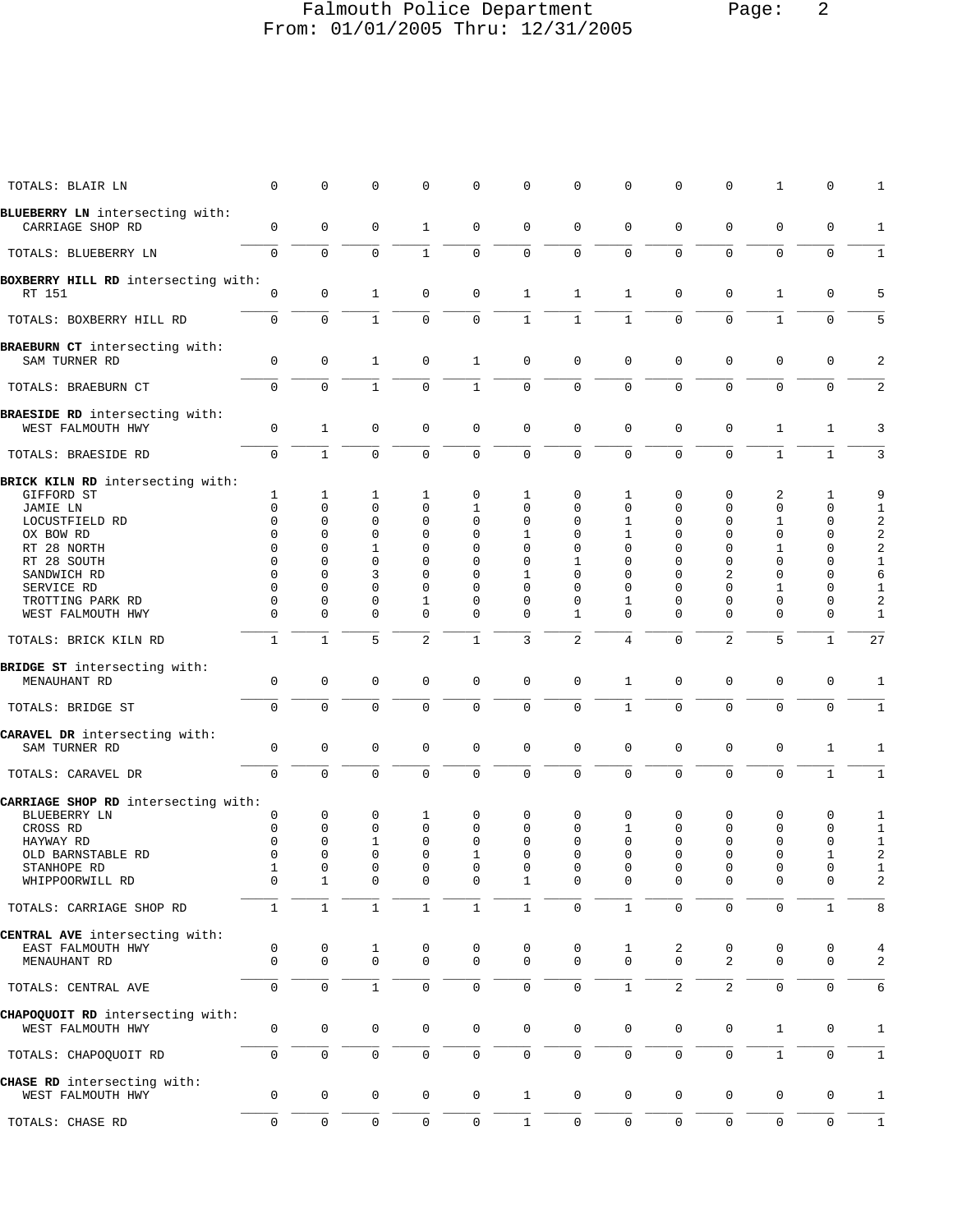# Falmouth Police Department Page: 2 From: 01/01/2005 Thru: 12/31/2005

| TOTALS: BLAIR LN                                    | $\Omega$            | $\mathbf 0$  | $\mathbf 0$         | $\mathbf 0$         | 0                   | 0                   | $\mathbf 0$         | $\mathbf 0$         | $\Omega$       | $\mathbf 0$         | 1                   | 0            | 1                       |
|-----------------------------------------------------|---------------------|--------------|---------------------|---------------------|---------------------|---------------------|---------------------|---------------------|----------------|---------------------|---------------------|--------------|-------------------------|
| BLUEBERRY LN intersecting with:                     |                     |              |                     |                     |                     |                     |                     |                     |                |                     |                     |              |                         |
| CARRIAGE SHOP RD                                    | 0                   | $\mathbf 0$  | $\mathbf 0$         | 1                   | 0                   | $\mathbf 0$         | $\mathbf 0$         | $\mathsf 0$         | 0              | $\mathbf 0$         | $\mathbf 0$         | $\mathbf 0$  | $\mathbf{1}$            |
| TOTALS: BLUEBERRY LN                                | $\mathbf 0$         | $\mathbf{0}$ | $\mathbf 0$         | $\mathbf{1}$        | $\mathbf 0$         | $\mathsf{O}$        | $\mathsf{O}\xspace$ | $\mathbf 0$         | $\mathbf 0$    | $\mathbf 0$         | $\mathbf 0$         | $\mathbf 0$  | $\mathbf{1}$            |
| BOXBERRY HILL RD intersecting with:<br>RT 151       | $\mathbf 0$         | 0            | $\mathbf{1}$        | $\mathbf 0$         | $\mathbf 0$         | $\mathbf{1}$        | $\mathbf{1}$        | $\mathbf{1}$        | $\mathbf 0$    | $\mathbf 0$         | $\mathbf{1}$        | $\mathbf 0$  | 5                       |
| TOTALS: BOXBERRY HILL RD                            | $\mathbf 0$         | $\mathbf{0}$ | $\mathbf{1}$        | $\mathbf 0$         | $\mathbf 0$         | $\mathbf{1}$        | $\mathbf{1}$        | $\mathbf{1}$        | $\mathbf 0$    | $\mathbf 0$         | $\mathbf{1}$        | $\mathbf 0$  | 5                       |
| BRAEBURN CT intersecting with:                      |                     |              |                     |                     |                     |                     |                     |                     |                |                     |                     |              |                         |
| SAM TURNER RD                                       | $\mathbf 0$         | $\mathbf 0$  | $\mathbf{1}$        | $\mathbf 0$         | $\mathbf{1}$        | $\mathbf 0$         | $\mathbf 0$         | $\mathbf 0$         | 0              | $\mathbf 0$         | 0                   | $\mathbf 0$  | 2                       |
| TOTALS: BRAEBURN CT                                 | $\mathbf 0$         | $\mathbf{0}$ | $\mathbf{1}$        | $\mathbf 0$         | $\mathbf{1}$        | $\mathbf 0$         | $\mathbf 0$         | $\mathbf 0$         | $\mathbf 0$    | $\Omega$            | $\Omega$            | $\mathbf 0$  | 2                       |
| BRAESIDE RD intersecting with:<br>WEST FALMOUTH HWY | $\mathbf 0$         | $\mathbf{1}$ | $\mathbf 0$         | $\mathbf{0}$        | $\mathbf 0$         | $\mathbf 0$         | $\mathbf 0$         | $\mathbf 0$         | 0              | $\mathbf 0$         | $\mathbf{1}$        | 1            | 3                       |
| TOTALS: BRAESIDE RD                                 | $\mathbf 0$         | $\mathbf{1}$ | $\mathbf 0$         | $\mathbf 0$         | $\mathbf 0$         | $\mathbf 0$         | $\mathsf 0$         | $\mathsf{O}\xspace$ | $\mathbf 0$    | $\mathbf 0$         | $\mathbf{1}$        | $\mathbf{1}$ | 3                       |
| BRICK KILN RD intersecting with:                    |                     |              |                     |                     |                     |                     |                     |                     |                |                     |                     |              |                         |
| GIFFORD ST                                          | 1                   | 1            | 1                   | 1                   | 0                   | 1                   | $\mathbf 0$         | 1                   | 0              | 0                   | 2                   | 1            | 9                       |
| JAMIE LN                                            | $\Omega$            | $\Omega$     | $\Omega$            | $\mathbf 0$         | $\mathbf 1$         | 0                   | $\Omega$            | $\mathbf 0$         | $\Omega$       | $\Omega$            | 0                   | 0            | $\mathbf{1}$            |
| LOCUSTFIELD RD                                      | $\Omega$            | $\Omega$     | $\mathbf 0$         | $\mathbf{0}$        | 0                   | $\mathbf 0$         | $\mathbf 0$         | $\mathbf{1}$        | $\Omega$       | $\Omega$            | 1                   | $\mathbf 0$  | $\overline{\mathbf{c}}$ |
| OX BOW RD                                           | 0                   | 0            | 0                   | $\mathbf 0$         | 0                   | 1                   | $\mathbf 0$         | 1                   | 0              | $\Omega$            | 0                   | 0            | $\boldsymbol{2}$        |
| RT 28 NORTH                                         | $\Omega$            | $\Omega$     | 1                   | $\mathbf 0$         | 0                   | 0                   | 0                   | $\mathbf 0$         | 0              | $\Omega$            | 1                   | 0            | $\mathbf 2$             |
| RT 28 SOUTH                                         | $\Omega$            | $\Omega$     | $\Omega$            | $\mathbf 0$         | 0                   | $\mathbf 0$         | 1                   | $\mathbf 0$         | 0              | $\mathbf 0$         | $\Omega$            | 0            | $\mathbf{1}$            |
| SANDWICH RD                                         | $\Omega$            | $\Omega$     | 3                   | $\mathbf 0$         | 0                   | 1                   | 0                   | $\mathbf 0$         | 0              | 2                   | $\mathbf 0$         | 0            | 6                       |
| SERVICE RD                                          | $\Omega$            | $\Omega$     | $\Omega$            | $\Omega$            | $\Omega$            | $\Omega$            | $\Omega$            | $\Omega$            | 0              | $\Omega$            | 1                   | 0            | $\mathbf{1}$            |
| TROTTING PARK RD                                    | 0                   | $\mathbf 0$  | 0                   | $\mathbf{1}$        | 0                   | $\mathbf 0$         | $\mathbf 0$         | 1                   | 0              | $\mathbf 0$         | 0                   | 0            | 2                       |
| WEST FALMOUTH HWY                                   | $\Omega$            | $\Omega$     | 0                   | $\Omega$            | 0                   | $\mathbf 0$         | 1                   | $\Omega$            | 0              | $\Omega$            | $\Omega$            | $\Omega$     | $\mathbf{1}$            |
| TOTALS: BRICK KILN RD                               | $\mathbf{1}$        | $\mathbf{1}$ | 5                   | 2                   | $\mathbf{1}$        | 3                   | $\overline{a}$      | $\overline{4}$      | $\mathbf 0$    | 2                   | 5                   | $\mathbf{1}$ | 27                      |
| BRIDGE ST intersecting with:                        |                     |              |                     |                     |                     |                     |                     |                     |                |                     |                     |              |                         |
| MENAUHANT RD                                        | $\mathbf 0$         | 0            | 0                   | $\mathbf 0$         | 0                   | $\mathbf 0$         | $\mathbf 0$         | $\mathbf{1}$        | 0              | $\mathbf 0$         | $\mathbf 0$         | $\mathbf 0$  | $\mathbf{1}$            |
| TOTALS: BRIDGE ST                                   | $\mathbf 0$         | $\mathbf 0$  | $\mathbf 0$         | $\mathbf 0$         | $\mathbf{0}$        | $\mathbf 0$         | $\mathbf 0$         | $\mathbf{1}$        | $\mathbf 0$    | $\mathbf 0$         | $\mathbf 0$         | $\mathbf 0$  | $\mathbf{1}$            |
| CARAVEL DR intersecting with:                       |                     |              |                     |                     |                     |                     |                     |                     |                |                     |                     |              |                         |
| SAM TURNER RD                                       | $\mathsf 0$         | $\mathbf 0$  | $\mathbf 0$         | $\mathbf 0$         | $\mathbf 0$         | $\mathbf 0$         | $\mathbf 0$         | $\mathsf 0$         | 0              | $\mathbf 0$         | $\mathbf 0$         | $\mathbf{1}$ | $\mathbf{1}$            |
| TOTALS: CARAVEL DR                                  | $\mathbf 0$         | $\mathbf 0$  | $\mathbf 0$         | $\mathsf{O}\xspace$ | 0                   | $\mathsf 0$         | $\mathsf{O}\xspace$ | $\mathsf 0$         | 0              | $\mathbf 0$         | $\mathbf 0$         | $\mathbf{1}$ | $1\,$                   |
| CARRIAGE SHOP RD intersecting with:                 |                     |              |                     |                     |                     |                     |                     |                     |                |                     |                     |              |                         |
| BLUEBERRY LN                                        | 0                   | 0            | 0                   | 1                   | 0                   | $\mathbf 0$         | $\mathbf 0$         | $\mathbf 0$         | 0              | $\mathbf 0$         | 0                   | 0            | $\mathbf{1}$            |
| CROSS RD                                            | 0                   | 0            | 0                   | 0                   | 0                   | 0                   | $\mathbf 0$         | 1                   | 0              | $\mathbf 0$         | 0                   | 0            | $\mathbf{1}$            |
| HAYWAY RD                                           | $\Omega$            | $\Omega$     | 1                   | $\mathbf{0}$        | 0                   | $\Omega$            | $\Omega$            | $\mathbf 0$         | 0              | $\mathbf 0$         | 0                   | $\mathbf 0$  | $\mathbf{1}$            |
| OLD BARNSTABLE RD                                   | $\mathbf 0$         | $\mathbf 0$  | 0                   | $\mathbf 0$         | $\mathbf{1}$        | 0                   | 0                   | $\mathbf 0$         | 0              | $\mathbf 0$         | 0                   | $\mathbf{1}$ | 2                       |
| STANHOPE RD                                         | 1                   | 0            | 0                   | 0                   | 0                   | $\Omega$            | $\Omega$            | $\Omega$            | <sup>0</sup>   | $\Omega$            | $\Omega$            | $\Omega$     | 1                       |
| WHIPPOORWILL RD                                     | 0                   | $\mathbf{1}$ | $\mathbf 0$         | $\mathbf 0$         | $\mathbf 0$         | $\mathbf{1}$        | $\mathbf 0$         | $\mathbf 0$         | $\mathbf 0$    | $\mathsf 0$         | $\mathbf 0$         | 0            | 2                       |
| TOTALS: CARRIAGE SHOP RD                            | $\mathbf{1}$        | $\mathbf{1}$ | $\mathbf{1}$        | $\mathbf{1}$        | $1\,$               | $\mathbf{1}$        | $\mathsf{O}\xspace$ | $\mathbf 1$         | 0              | $\mathsf{O}\xspace$ | $\mathsf{O}\xspace$ | $\mathbf 1$  | 8                       |
| CENTRAL AVE intersecting with:                      |                     |              |                     |                     |                     |                     |                     |                     |                |                     |                     |              |                         |
| EAST FALMOUTH HWY                                   | 0                   | 0            | 1                   | 0                   | 0                   | 0                   | 0                   | 1                   | 2              | 0                   | 0                   | 0            | 4                       |
| MENAUHANT RD                                        | $\mathbf 0$         | $\mathbf 0$  | $\mathbf 0$         | $\mathbf 0$         | $\mathbf 0$         | $\mathbf 0$         | $\mathbf 0$         | $\Omega$            | $\Omega$       | $\overline{a}$      | $\Omega$            | $\mathbf 0$  | 2                       |
| TOTALS: CENTRAL AVE                                 | $\mathbf 0$         | $\mathbf{0}$ | $\mathbf{1}$        | $\mathsf 0$         | $\mathbf 0$         | $\mathsf{O}$        | $\mathsf 0$         | $\mathbf{1}$        | $\overline{2}$ | $\overline{2}$      | $\mathbf 0$         | $\mathbf 0$  | 6                       |
| CHAPOQUOIT RD intersecting with:                    |                     |              |                     |                     |                     |                     |                     |                     |                |                     |                     |              |                         |
| WEST FALMOUTH HWY                                   | 0                   | $\mathbf 0$  | $\mathbf 0$         | 0                   | 0                   | $\mathsf{O}\xspace$ | $\mathsf{O}\xspace$ | $\mathbf 0$         | 0              | 0                   | $\mathbf{1}$        | 0            | 1                       |
| TOTALS: CHAPOQUOIT RD                               | 0                   | $\mathbf 0$  | $\mathbf 0$         | $\mathsf 0$         | 0                   | 0                   | $\mathbf 0$         | $\mathbf 0$         | 0              | 0                   | $\mathbf{1}$        | 0            | $\mathbf{1}$            |
| CHASE RD intersecting with:<br>WEST FALMOUTH HWY    | 0                   | $\mathbf 0$  | $\mathbf 0$         | $\mathbf 0$         | 0                   | $\mathbf{1}$        | $\mathsf{O}\xspace$ | $\mathbf 0$         | 0              | $\mathbf 0$         | $\mathbf 0$         | $\mathbf 0$  | $\mathbf{1}$            |
| TOTALS: CHASE RD                                    | $\mathsf{O}\xspace$ | $\mathbf 0$  | $\mathsf{O}\xspace$ | $\mathsf 0$         | $\mathsf{O}\xspace$ | $1\,$               | $\mathsf{O}\xspace$ | $\mathsf{O}\xspace$ | 0              | $\mathsf{O}$        | $\mathsf 0$         | 0            | $1\,$                   |
|                                                     |                     |              |                     |                     |                     |                     |                     |                     |                |                     |                     |              |                         |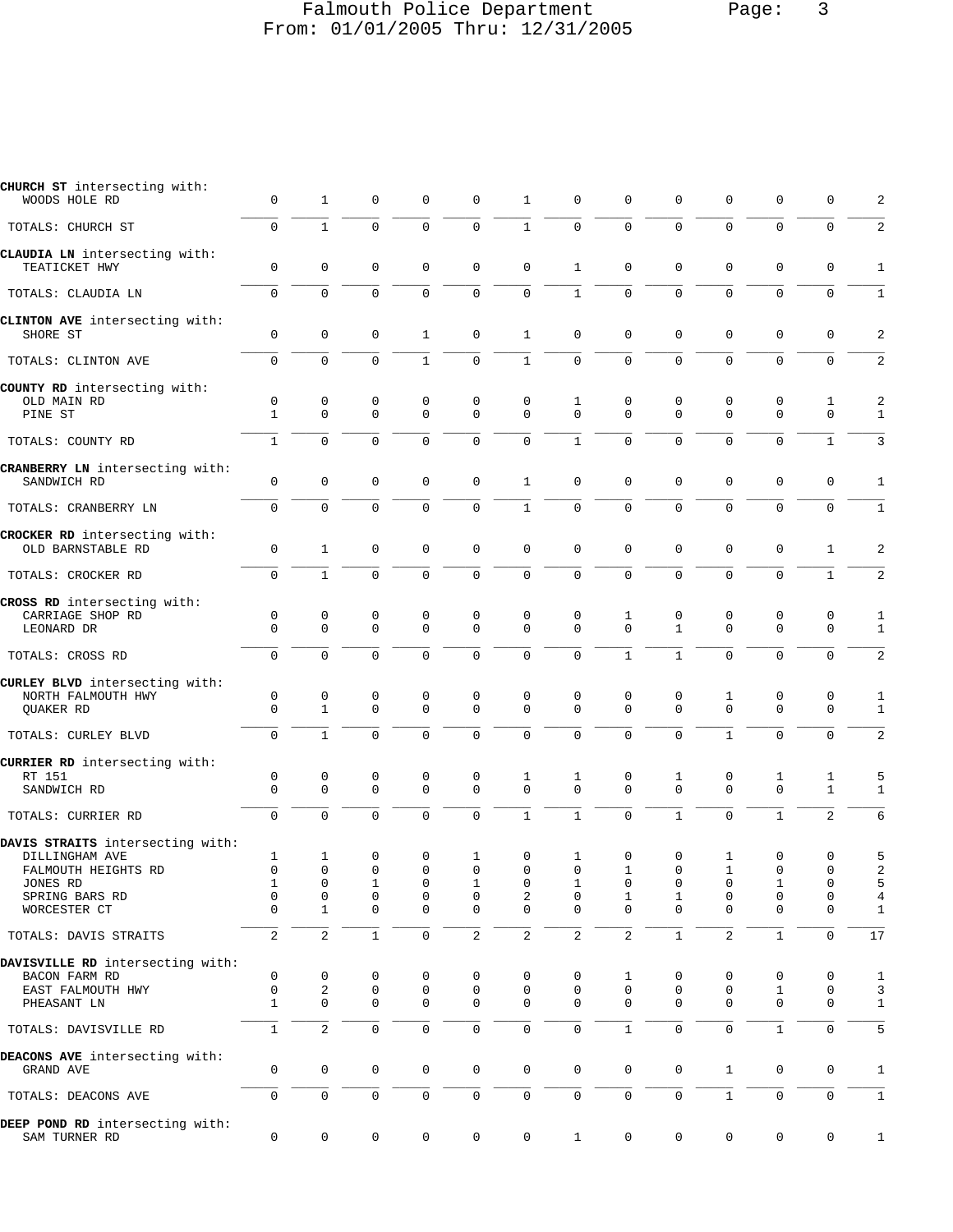# Falmouth Police Department Page: 3 From: 01/01/2005 Thru: 12/31/2005

| CHURCH ST intersecting with:<br>WOODS HOLE RD                                                                           | $\mathbf 0$                                                           | $\mathbf{1}$                                                            | $\mathbf 0$                                                 | $\mathbf 0$                               | 0                                         | 1                                         | $\mathbf 0$                         | 0                                            | 0                                         | 0                                          | 0                                                | 0                                                   | 2                                |
|-------------------------------------------------------------------------------------------------------------------------|-----------------------------------------------------------------------|-------------------------------------------------------------------------|-------------------------------------------------------------|-------------------------------------------|-------------------------------------------|-------------------------------------------|-------------------------------------|----------------------------------------------|-------------------------------------------|--------------------------------------------|--------------------------------------------------|-----------------------------------------------------|----------------------------------|
| TOTALS: CHURCH ST                                                                                                       | $\mathbf 0$                                                           | $\mathbf{1}$                                                            | $\Omega$                                                    | 0                                         | $\mathbf 0$                               | $\mathbf{1}$                              | $\Omega$                            | $\Omega$                                     | $\Omega$                                  | $\mathbf 0$                                | $\mathbf 0$                                      | $\mathbf 0$                                         | 2                                |
| CLAUDIA LN intersecting with:<br>TEATICKET HWY                                                                          | $\mathbf 0$                                                           | $\mathbf 0$                                                             | $\mathbf 0$                                                 | $\mathsf 0$                               | $\mathbf 0$                               | $\mathbf 0$                               | $\mathbf{1}$                        | 0                                            | $\mathsf 0$                               | $\mathsf 0$                                | $\mathsf 0$                                      | $\mathbf 0$                                         | 1                                |
| TOTALS: CLAUDIA LN                                                                                                      | $\mathbf 0$                                                           | $\mathbf 0$                                                             | $\mathbf 0$                                                 | 0                                         | $\mathsf{O}\xspace$                       | $\mathsf 0$                               | $\mathbf{1}$                        | $\overline{0}$                               | $\overline{0}$                            | $\mathbf 0$                                | 0                                                | $\mathbf 0$                                         | 1                                |
| CLINTON AVE intersecting with:<br>SHORE ST                                                                              | $\mathbf 0$                                                           | $\mathbf 0$                                                             | 0                                                           | 1                                         | 0                                         | $\mathbf{1}$                              | $\mathbf 0$                         | 0                                            | 0                                         | $\mathsf 0$                                | 0                                                | 0                                                   | 2                                |
| TOTALS: CLINTON AVE                                                                                                     | $\mathbf 0$                                                           | $\Omega$                                                                | $\mathbf 0$                                                 | $\mathbf{1}$                              | $\mathbf 0$                               | $\mathbf{1}$                              | $\mathbf 0$                         | 0                                            | 0                                         | $\mathbf 0$                                | 0                                                | $\mathbf 0$                                         | 2                                |
| COUNTY RD intersecting with:<br>OLD MAIN RD<br>PINE ST                                                                  | $\mathbf 0$<br>$\mathbf{1}$                                           | $\mathbf 0$<br>$\mathbf 0$                                              | 0<br>$\mathbf 0$                                            | 0<br>$\mathbf 0$                          | $\mathbf 0$<br>$\Omega$                   | 0<br>$\Omega$                             | 1<br>$\Omega$                       | 0<br>$\Omega$                                | $\mathsf 0$<br>$\Omega$                   | 0<br>$\Omega$                              | 0<br>$\Omega$                                    | 1<br>$\Omega$                                       | $\sqrt{2}$<br>1                  |
| TOTALS: COUNTY RD                                                                                                       | $\mathbf{1}$                                                          | $\mathbf 0$                                                             | $\Omega$                                                    | 0                                         | $\mathbf 0$                               | $\mathbf 0$                               | $\mathbf{1}$                        | 0                                            | $\mathbf 0$                               | $\mathbf 0$                                | $\Omega$                                         | $\mathbf{1}$                                        | 3                                |
| CRANBERRY LN intersecting with:<br>SANDWICH RD                                                                          | $\mathbf 0$                                                           | $\mathbf 0$                                                             | 0                                                           | 0                                         | $\mathbf 0$                               | $\mathbf{1}$                              | $\mathbf 0$                         | 0                                            | 0                                         | $\mathsf 0$                                | 0                                                | 0                                                   | 1                                |
| TOTALS: CRANBERRY LN                                                                                                    | $\mathbf 0$                                                           | $\Omega$                                                                | $\Omega$                                                    | 0                                         | $\mathbf 0$                               | $\mathbf{1}$                              | $\Omega$                            | $\Omega$                                     | $\Omega$                                  | $\mathbf 0$                                | $\Omega$                                         | $\mathbf 0$                                         | $\mathbf{1}$                     |
| CROCKER RD intersecting with:<br>OLD BARNSTABLE RD                                                                      | $\mathsf{O}\xspace$                                                   | $\mathbf{1}$                                                            | $\mathbf 0$                                                 | 0                                         | $\mathbf 0$                               | $\mathbf 0$                               | $\mathbf 0$                         | 0                                            | 0                                         | $\mathsf 0$                                | 0                                                | 1                                                   | 2                                |
| TOTALS: CROCKER RD                                                                                                      | $\mathbf 0$                                                           | $\mathbf{1}$                                                            | $\mathbf 0$                                                 | 0                                         | $\mathbf 0$                               | $\mathsf 0$                               | $\mathbf 0$                         | 0                                            | 0                                         | $\mathbf 0$                                | 0                                                | $\mathbf{1}$                                        | 2                                |
| CROSS RD intersecting with:<br>CARRIAGE SHOP RD<br>LEONARD DR                                                           | $\mathbf 0$<br>$\Omega$                                               | $\mathbf 0$<br>$\mathbf 0$                                              | 0<br>$\mathbf 0$                                            | 0<br>$\mathbf 0$                          | 0<br>$\mathbf 0$                          | 0<br>$\mathbf 0$                          | 0<br>$\Omega$                       | 1<br>$\mathbf 0$                             | $\mathsf 0$<br>$\mathbf{1}$               | 0<br>$\mathbf 0$                           | 0<br>$\mathbf{0}$                                | 0<br>$\mathbf 0$                                    | 1<br>$\mathbf{1}$                |
| TOTALS: CROSS RD                                                                                                        | $\Omega$                                                              | $\Omega$                                                                | $\Omega$                                                    | 0                                         | $\mathbf 0$                               | $\mathbf 0$                               | $\Omega$                            | $\mathbf{1}$                                 | $\mathbf{1}$                              | $\mathbf 0$                                | $\Omega$                                         | $\mathbf 0$                                         | 2                                |
| CURLEY BLVD intersecting with:<br>NORTH FALMOUTH HWY<br>QUAKER RD                                                       | 0<br>$\mathbf 0$                                                      | 0<br>$\mathbf{1}$                                                       | 0<br>$\mathbf 0$                                            | 0<br>0                                    | 0<br>$\mathbf 0$                          | 0<br>$\mathbf 0$                          | $\mathbf 0$<br>$\Omega$             | 0<br>$\Omega$                                | 0<br>$\mathbf 0$                          | 1<br>$\Omega$                              | 0<br>$\Omega$                                    | 0<br>$\mathbf 0$                                    | 1<br>1                           |
| TOTALS: CURLEY BLVD                                                                                                     | $\mathbf 0$                                                           | $\mathbf{1}$                                                            | $\mathbf 0$                                                 | 0                                         | $\mathbf 0$                               | $\mathbf 0$                               | $\mathbf 0$                         | 0                                            | 0                                         | $\mathbf{1}$                               | $\Omega$                                         | $\mathbf 0$                                         | $\sqrt{2}$                       |
| CURRIER RD intersecting with:<br>RT 151<br>SANDWICH RD                                                                  | 0<br>$\mathbf 0$                                                      | 0<br>$\mathbf 0$                                                        | 0<br>$\mathbf 0$                                            | 0<br>0                                    | $\mathbf 0$<br>$\mathbf{0}$               | 1<br>$\mathbf 0$                          | 1<br>$\Omega$                       | 0<br>0                                       | 1<br>0                                    | 0<br>$\mathbf 0$                           | 1<br>$\mathbf{0}$                                | 1<br>$\mathbf 1$                                    | 5<br>1                           |
| TOTALS: CURRIER RD                                                                                                      | $\mathbf 0$                                                           | $\mathbf 0$                                                             | $\mathbf 0$                                                 | 0                                         | $\mathbf 0$                               | $\mathbf{1}$                              | $\mathbf{1}$                        | 0                                            | $\mathbf{1}$                              | $\mathbf 0$                                | $\mathbf{1}$                                     | 2                                                   | 6                                |
| DAVIS STRAITS intersecting with:<br>DILLINGHAM AVE<br>FALMOUTH HEIGHTS RD<br>JONES RD<br>SPRING BARS RD<br>WORCESTER CT | 1<br>$\mathbf 0$<br>$\mathbf 1$<br>$\mathsf{O}\xspace$<br>$\mathbf 0$ | $\mathbf{1}$<br>$\mathbf 0$<br>0<br>$\mathsf{O}\xspace$<br>$\mathbf{1}$ | 0<br>$\mathbf 0$<br>1<br>$\mathsf{O}\xspace$<br>$\mathbf 0$ | 0<br>$\mathbf 0$<br>0<br>$\mathsf 0$<br>0 | 1<br>$\mathbf 0$<br>1<br>0<br>$\mathbf 0$ | 0<br>$\mathbf 0$<br>0<br>2<br>$\mathbf 0$ | 1<br>$\Omega$<br>1<br>0<br>$\Omega$ | 0<br>$\mathbf{1}$<br>0<br>1<br>0             | 0<br>$\mathbf 0$<br>0<br>$\mathbf 1$<br>0 | 1<br>$\mathbf{1}$<br>0<br>0<br>$\mathbf 0$ | 0<br>$\Omega$<br>1<br>$\mathsf 0$<br>$\mathbf 0$ | 0<br>$\mathbf 0$<br>0<br>$\mathbf 0$<br>$\mathbf 0$ | 5<br>2<br>5<br>4<br>$\mathbf{1}$ |
| TOTALS: DAVIS STRAITS                                                                                                   | 2                                                                     | $\overline{2}$                                                          | $\mathbf{1}$                                                | $\mathsf{O}\xspace$                       | $\overline{a}$                            | $\sqrt{2}$                                | 2                                   | 2                                            | $\mathbf{1}$                              | $\overline{2}$                             | $\mathbf{1}$                                     | $\mathbf 0$                                         | 17                               |
| DAVISVILLE RD intersecting with:<br>BACON FARM RD<br>EAST FALMOUTH HWY<br>PHEASANT LN<br>TOTALS: DAVISVILLE RD          | $\mathbf 0$<br>$\mathbf 0$<br>$\mathbf{1}$<br>$\mathbf{1}$            | 0<br>2<br>$\mathbf 0$<br>$\sqrt{2}$                                     | 0<br>0<br>$\mathbf 0$<br>$\mathsf 0$                        | 0<br>$\mathbf 0$<br>$\mathsf 0$<br>0      | 0<br>0<br>0<br>$\mathsf{O}\xspace$        | 0<br>0<br>$\mathbf 0$<br>$\mathsf 0$      | 0<br>0<br>$\Omega$<br>$\mathbf 0$   | 1<br>$\mathbf 0$<br>$\Omega$<br>$\mathbf{1}$ | 0<br>0<br>0<br>$\mathbf 0$                | 0<br>0<br>$\mathbf 0$<br>$\mathsf 0$       | 0<br>$\mathbf{1}$<br>$\mathbf 0$<br>$\mathbf{1}$ | 0<br>0<br>$\mathbf 0$<br>$\mathsf{O}\xspace$        | 1<br>3<br>$1\,$<br>5             |
| DEACONS AVE intersecting with:<br>GRAND AVE                                                                             | 0                                                                     | $\mathbf 0$                                                             | $\mathbf 0$                                                 | 0                                         | 0                                         | $\mathbf 0$                               | 0                                   | 0                                            | 0                                         | $\mathbf{1}$                               | 0                                                | 0                                                   | $\mathbf{1}$                     |
| TOTALS: DEACONS AVE                                                                                                     | $\mathbf 0$                                                           | $\mathsf 0$                                                             | $\mathsf{O}\xspace$                                         | 0                                         | $\mathsf{O}\xspace$                       | $\mathsf 0$                               | $\mathsf{O}$                        | 0                                            | 0                                         | $\mathbf{1}$                               | 0                                                | $\mathbf 0$                                         | $\,1\,$                          |
| DEEP POND RD intersecting with:<br>SAM TURNER RD                                                                        | 0                                                                     | 0                                                                       | 0                                                           | 0                                         | 0                                         | $\mathbf 0$                               | $\mathbf{1}$                        | 0                                            | 0                                         | 0                                          | 0                                                | 0                                                   | $\mathbf 1$                      |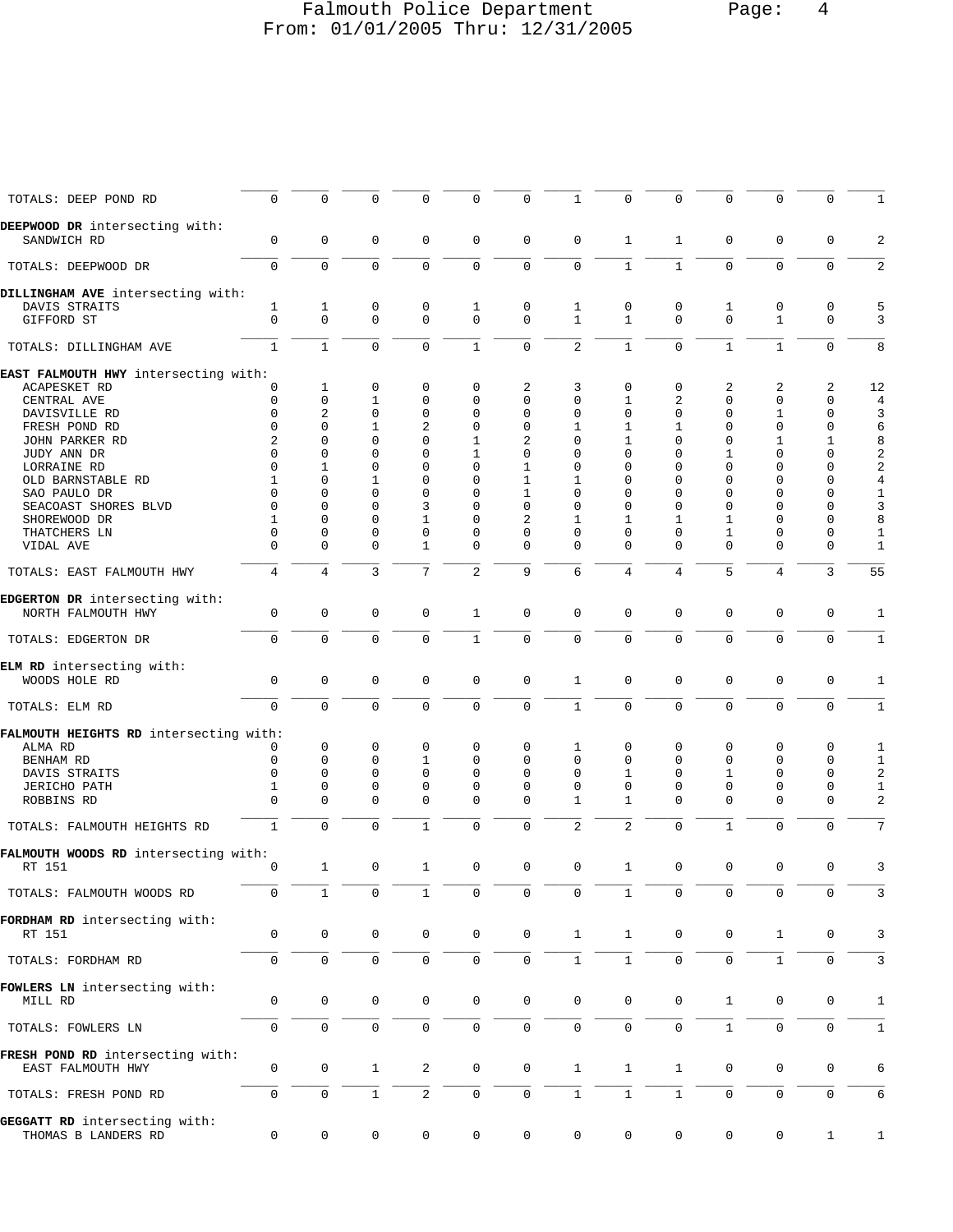# Falmouth Police Department Page: 4 From: 01/01/2005 Thru: 12/31/2005

| TOTALS: DEEP POND RD                                  | $\mathsf 0$                 | $\mathbf 0$             | 0                   | 0             | $\mathbf 0$         | 0                   | 1              | $\mathbf 0$    | $\mathbf 0$    | 0                   | $\mathbf 0$       | 0            | $\mathbf{1}$                     |
|-------------------------------------------------------|-----------------------------|-------------------------|---------------------|---------------|---------------------|---------------------|----------------|----------------|----------------|---------------------|-------------------|--------------|----------------------------------|
| DEEPWOOD DR intersecting with:<br>SANDWICH RD         | $\mathbf 0$                 | $\mathbf 0$             | $\mathbf 0$         | 0             | $\mathbf 0$         | $\mathbf 0$         | $\mathbf 0$    | 1              | 1              | $\mathbf{0}$        | $\mathbf 0$       | $\mathbf 0$  | $\overline{c}$                   |
| TOTALS: DEEPWOOD DR                                   | $\mathbf 0$                 | $\Omega$                | $\mathbf 0$         | $\Omega$      | $\mathbf 0$         | $\mathbf 0$         | $\mathbf 0$    | $\mathbf{1}$   | $\mathbf{1}$   | $\Omega$            | $\mathbf 0$       | $\Omega$     | 2                                |
| DILLINGHAM AVE intersecting with:                     |                             |                         |                     |               |                     |                     |                |                |                |                     |                   |              |                                  |
| DAVIS STRAITS                                         | 1                           | $\mathbf{1}$            | 0                   | 0             | 1                   | 0                   | 1              | 0              | 0              | 1                   | 0                 | 0            | 5                                |
| GIFFORD ST                                            | $\Omega$                    | $\mathbf 0$             | $\mathbf 0$         | $\mathbf 0$   | $\mathbf 0$         | $\mathbf 0$         | $\mathbf{1}$   | $\mathbf{1}$   | $\Omega$       | $\Omega$            | $\mathbf{1}$      | $\mathbf 0$  | 3                                |
| TOTALS: DILLINGHAM AVE                                | $\mathbf{1}$                | $\mathbf{1}$            | $\mathbf 0$         | $\mathbf 0$   | $\mathbf{1}$        | 0                   | $\overline{2}$ | $\mathbf{1}$   | $\mathbf 0$    | $1\,$               | $\mathbf{1}$      | $\mathbf 0$  | 8                                |
| EAST FALMOUTH HWY intersecting with:                  |                             |                         |                     |               |                     |                     |                |                |                |                     |                   |              |                                  |
| ACAPESKET RD                                          | $\mathbf 0$                 | 1                       | 0                   | 0             | 0                   | 2                   | 3              | 0              | 0              | 2                   | 2                 | 2            | 12                               |
| CENTRAL AVE                                           | $\mathbf 0$                 | $\mathbf 0$             | 1                   | 0             | 0                   | 0                   | $\mathbf 0$    | 1              | 2              | 0                   | $\mathbf{0}$      | 0            | $\overline{4}$                   |
| DAVISVILLE RD                                         | $\mathbf 0$<br>$\mathbf{0}$ | 2<br>$\Omega$           | 0                   | 0             | 0<br>$\mathbf{0}$   | 0                   | 0              | 0              | 0              | 0<br>$\Omega$       | 1<br>$\mathbf{0}$ | 0            | 3                                |
| FRESH POND RD                                         |                             |                         | 1                   | 2             |                     | 0                   | 1              | 1              | 1<br>$\Omega$  |                     |                   | 0            | 6                                |
| JOHN PARKER RD                                        | 2<br>$\Omega$               | $\mathbf 0$<br>$\Omega$ | 0<br>$\Omega$       | 0<br>$\Omega$ | 1                   | 2                   | 0<br>$\Omega$  | 1<br>$\Omega$  | $\Omega$       | 0                   | 1<br>$\Omega$     | 1<br>0       | 8                                |
| JUDY ANN DR                                           | $\mathbf 0$                 | 1                       | $\mathbf 0$         | $\mathbf 0$   | 1<br>$\mathbf{0}$   | 0<br>1              | $\mathbf 0$    | $\Omega$       | $\Omega$       | 1<br>$\Omega$       | 0                 | $\mathbf 0$  | $\sqrt{2}$<br>$\sqrt{2}$         |
| LORRAINE RD                                           | 1                           | $\mathbf 0$             | 1                   | $\mathbf 0$   | $\mathbf 0$         | 1                   | 1              | 0              | $\Omega$       | 0                   | 0                 | 0            |                                  |
| OLD BARNSTABLE RD                                     | $\Omega$                    | $\Omega$                | $\mathbf 0$         | $\mathbf 0$   | 0                   | 1                   | $\mathbf 0$    | $\Omega$       | $\Omega$       | $\Omega$            | 0                 | 0            | $\overline{\mathbf{4}}$<br>$1\,$ |
| SAO PAULO DR                                          | $\Omega$                    | 0                       | $\mathbf 0$         | 3             | 0                   | 0                   | 0              | $\Omega$       | $\Omega$       | 0                   | 0                 | 0            | 3                                |
| SEACOAST SHORES BLVD<br>SHOREWOOD DR                  | 1                           | $\Omega$                | 0                   | 1             | 0                   | 2                   | 1              | 1              | 1              | 1                   | 0                 | 0            | 8                                |
| THATCHERS LN                                          | $\mathbf 0$                 | 0                       | 0                   | 0             | 0                   | 0                   | 0              | $\Omega$       | $\Omega$       | 1                   | 0                 | $\mathbf 0$  | 1                                |
| VIDAL AVE                                             | $\Omega$                    | $\Omega$                | $\Omega$            | $\mathbf{1}$  | $\mathbf{0}$        | $\mathbf 0$         | $\Omega$       | $\Omega$       | $\Omega$       | $\Omega$            | $\Omega$          | $\mathbf 0$  | $\mathbf{1}$                     |
| TOTALS: EAST FALMOUTH HWY                             | 4                           | $\overline{4}$          | 3                   | 7             | $\sqrt{2}$          | 9                   | 6              | $\overline{4}$ | $\overline{4}$ | 5                   | $\overline{4}$    | 3            | 55                               |
|                                                       |                             |                         |                     |               |                     |                     |                |                |                |                     |                   |              |                                  |
| EDGERTON DR intersecting with:<br>NORTH FALMOUTH HWY  | 0                           | $\mathbf 0$             | $\mathbf 0$         | 0             | 1                   | $\mathbf 0$         | $\mathbf 0$    | 0              | 0              | $\mathbf 0$         | $\mathbf 0$       | $\mathbf 0$  | 1                                |
| TOTALS: EDGERTON DR                                   | $\mathbf 0$                 | $\mathbf 0$             | $\mathbf 0$         | $\Omega$      | $\mathbf{1}$        | $\mathbf 0$         | $\mathbf 0$    | $\mathbf 0$    | $\mathbf 0$    | $\mathsf{O}$        | $\mathbf 0$       | $\mathbf 0$  | $\mathbf{1}$                     |
| ELM RD intersecting with:<br>WOODS HOLE RD            | $\mathsf{O}\xspace$         | $\mathsf{O}\xspace$     | $\mathbf 0$         | 0             | $\mathbf 0$         | $\mathbf 0$         | $\mathbf{1}$   | 0              | $\mathbf 0$    | $\mathbf 0$         | $\mathbf 0$       | $\mathbf 0$  | 1                                |
| TOTALS: ELM RD                                        | $\mathbf 0$                 | $\mathbf 0$             | $\mathbf 0$         | $\mathbf 0$   | $\mathbf 0$         | $\mathbf 0$         | $\mathbf{1}$   | $\mathbf 0$    | $\mathbf 0$    | $\mathbf 0$         | $\mathbf 0$       | $\mathbf 0$  | $\mathbf{1}$                     |
| FALMOUTH HEIGHTS RD intersecting with:                |                             |                         |                     |               |                     |                     |                |                |                |                     |                   |              |                                  |
| ALMA RD                                               | 0                           | $\mathbf 0$             | 0                   | 0             | 0                   | $\mathbf 0$         | 1              | 0              | 0              | $\mathbf 0$         | 0                 | 0            | 1                                |
| BENHAM RD                                             | $\mathbf 0$                 | $\mathbf 0$             | $\mathbf 0$         | $\mathbf{1}$  | $\mathbf{0}$        | $\mathbf 0$         | $\mathbf 0$    | $\Omega$       | $\Omega$       | $\mathbf 0$         | $\mathbf{0}$      | $\mathbf 0$  | $1\,$                            |
| DAVIS STRAITS                                         | $\mathbf 0$                 | $\mathbf 0$             | 0                   | $\mathbf 0$   | 0                   | 0                   | $\mathbf 0$    | 1              | $\Omega$       | 1                   | 0                 | $\mathbf 0$  | $\sqrt{2}$                       |
| <b>JERICHO PATH</b>                                   | 1                           | $\mathbf 0$             | 0                   | 0             | 0                   | 0                   | 0              | $\mathbf 0$    | 0              | 0                   | 0                 | 0            | $\mathbf{1}$                     |
| ROBBINS RD                                            | $\mathbf{0}$                | $\Omega$                | $\mathbf 0$         | $\mathbf 0$   | $\mathbf 0$         | $\mathbf 0$         | $\mathbf{1}$   | 1              | $\Omega$       | $\Omega$            | $\mathbf 0$       | $\mathbf 0$  | 2                                |
| TOTALS: FALMOUTH HEIGHTS RD                           | $\mathbf{1}$                | $\mathbf 0$             | $\mathbf 0$         | $\mathbf{1}$  | $\mathbf 0$         | $\mathbf 0$         | $\sqrt{2}$     | $\mathbf{2}$   | $\mathbf 0$    | $1\,$               | $\mathbf{0}$      | $\mathbf 0$  | 7                                |
| FALMOUTH WOODS RD intersecting with:                  |                             |                         |                     |               |                     |                     |                |                |                |                     |                   |              |                                  |
| RT 151                                                | 0                           | $\mathbf{1}$            | $\mathsf 0$         | 1             | $\mathsf 0$         | 0                   | 0              | $\mathbf{1}$   | 0              | 0                   | $\mathsf 0$       | 0            | 3                                |
| TOTALS: FALMOUTH WOODS RD                             | $\mathbf 0$                 | $\mathbf{1}$            | $\mathbf 0$         | $\mathbf{1}$  | 0                   | $\mathbf 0$         | $\mathbf 0$    | $\mathbf{1}$   | $\mathsf{O}$   | $\mathbf 0$         | $\mathbf 0$       | $\mathbf 0$  | 3                                |
| FORDHAM RD intersecting with:<br>RT 151               | 0                           | $\mathsf{O}\xspace$     | $\mathsf{O}\xspace$ | $\mathsf{O}$  | $\mathsf{O}\xspace$ | $\mathsf{O}\xspace$ | $1\,$          | $\mathbf{1}$   | $\mathsf{O}$   | $\mathsf{O}\xspace$ | $\mathbf{1}$      | $\mathbf 0$  | 3                                |
| TOTALS: FORDHAM RD                                    | 0                           | $\mathbf 0$             | 0                   | 0             | $\mathbf 0$         | $\mathsf{O}$        | $1\,$          | $1\,$          | $\mathsf{O}$   | $\mathsf{O}\xspace$ | $\mathbf{1}$      | 0            | 3                                |
| FOWLERS LN intersecting with:                         |                             |                         |                     |               |                     |                     |                |                |                |                     |                   |              |                                  |
| MILL RD                                               | $\mathbf 0$                 | $\mathbf 0$             | 0                   | $\mathsf{O}$  | $\mathbf 0$         | 0                   | $\mathbf 0$    | $\mathbf 0$    | $\mathbf 0$    | $\mathbf{1}$        | 0                 | 0            | 1                                |
| TOTALS: FOWLERS LN                                    | $\mathsf{O}$                | $\mathbf 0$             | $\mathbf 0$         | $\mathsf{O}$  | $\mathsf{O}$        | $\mathsf{O}$        | $\mathbf 0$    | $\mathbf 0$    | $\mathbf 0$    | $\mathbf{1}$        | $\mathbf 0$       | $\mathbf 0$  | $\mathbf{1}$                     |
| FRESH POND RD intersecting with:<br>EAST FALMOUTH HWY | $\mathbf 0$                 | 0                       | $\mathbf 1$         | 2             | $\mathbf 0$         | $\mathbf 0$         | $\mathbf{1}$   | $\mathbf{1}$   | $\mathbf 1$    | 0                   | 0                 | 0            | 6                                |
| TOTALS: FRESH POND RD                                 | $\mathbf 0$                 | $\mathbf 0$             | $\mathbf{1}$        | 2             | $\mathbf 0$         | $\mathbf 0$         | $\mathbf{1}$   | $\mathbf{1}$   | $\mathbf{1}$   | $\mathbf{0}$        | $\mathbf 0$       | $\mathbf 0$  | 6                                |
| GEGGATT RD intersecting with:<br>THOMAS B LANDERS RD  | $\mathsf{O}\xspace$         | 0                       | 0                   | 0             | 0                   | 0                   | $\mathsf{O}$   | 0              | 0              | $\mathbf 0$         | 0                 | $\mathbf{1}$ | $\mathbf{1}$                     |
|                                                       |                             |                         |                     |               |                     |                     |                |                |                |                     |                   |              |                                  |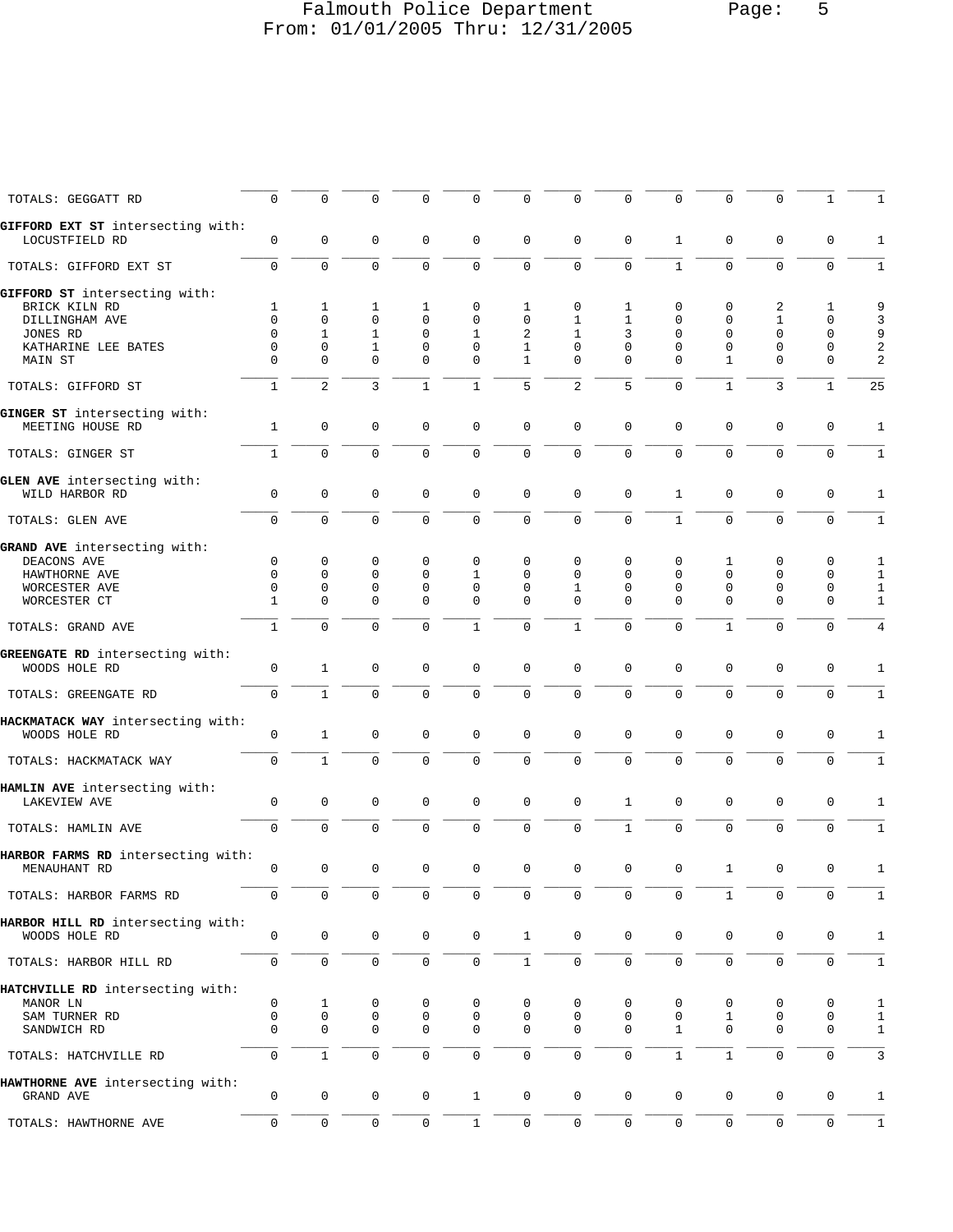# Falmouth Police Department Page: 5 From: 01/01/2005 Thru: 12/31/2005

| TOTALS: GEGGATT RD                                  | $\mathbf 0$  | $\mathbf 0$  | $\mathbf 0$         | $\Omega$     | $\mathbf 0$         | $\mathbf 0$  | $\mathbf 0$  | 0            | $\mathbf 0$         | 0            | $\Omega$     | 1            | 1              |
|-----------------------------------------------------|--------------|--------------|---------------------|--------------|---------------------|--------------|--------------|--------------|---------------------|--------------|--------------|--------------|----------------|
| GIFFORD EXT ST intersecting with:<br>LOCUSTFIELD RD | 0            | 0            | $\mathbf 0$         | 0            | $\mathbf 0$         | 0            | $\mathbf 0$  | $\mathbf 0$  | 1                   | 0            | $\mathbf 0$  | 0            | 1              |
| TOTALS: GIFFORD EXT ST                              | $\mathbf 0$  | $\mathbf{0}$ | $\mathbf 0$         | $\mathbf 0$  | $\mathbf 0$         | $\mathbf 0$  | $\Omega$     | 0            | $\mathbf{1}$        | 0            | $\mathbf{0}$ | $\mathbf 0$  | 1              |
| GIFFORD ST intersecting with:                       |              |              |                     |              |                     |              |              |              |                     |              |              |              |                |
| BRICK KILN RD                                       | 1            | $\mathbf{1}$ | 1                   | 1            | $\mathbf 0$         | 1            | $\mathbf 0$  | 1            | 0                   | 0            | 2            | 1            | 9              |
| DILLINGHAM AVE                                      | $\mathbf 0$  | 0            | $\mathbf 0$         | $\mathbf 0$  | $\mathbf 0$         | 0            | 1            | $\mathbf{1}$ | 0                   | 0            | 1            | 0            | 3              |
| JONES RD                                            | $\Omega$     | $\mathbf{1}$ | 1                   | $\mathbf 0$  | 1                   | 2            | 1            | 3            | 0                   | 0            | $\mathbf 0$  | 0            | 9              |
| KATHARINE LEE BATES                                 | $\mathbf 0$  | 0            | 1                   | $\mathbf 0$  | $\mathbf 0$         | 1            | $\Omega$     | $\Omega$     | $\Omega$            | $\mathbf 0$  | $\mathbf 0$  | 0            | $\overline{a}$ |
| MAIN ST                                             | $\Omega$     | $\Omega$     | $\Omega$            | $\Omega$     | $\Omega$            | $\mathbf{1}$ | $\Omega$     | $\Omega$     | $\Omega$            | $\mathbf{1}$ | $\Omega$     | 0            | $\overline{2}$ |
| TOTALS: GIFFORD ST                                  | $\mathbf{1}$ | 2            | 3                   | $\mathbf{1}$ | $\mathbf{1}$        | 5            | 2            | 5            | $\Omega$            | $\mathbf{1}$ | 3            | $\mathbf{1}$ | 25             |
| GINGER ST intersecting with:<br>MEETING HOUSE RD    | $\mathbf 1$  | 0            | $\mathbf 0$         | 0            | $\mathbf 0$         | 0            | $\mathbf 0$  | 0            | 0                   | 0            | $\mathbf 0$  | 0            | 1              |
| TOTALS: GINGER ST                                   | $\mathbf{1}$ | $\Omega$     | $\mathbf 0$         | $\mathbf 0$  | $\mathbf 0$         | $\mathbf 0$  | $\mathbf 0$  | 0            | $\Omega$            | $\mathbf 0$  | $\mathbf{0}$ | $\mathbf 0$  | 1              |
|                                                     |              |              |                     |              |                     |              |              |              |                     |              |              |              |                |
| GLEN AVE intersecting with:<br>WILD HARBOR RD       | $\mathbf 0$  | $\mathbf 0$  | $\mathbf 0$         | $\mathbf 0$  | $\mathbf 0$         | $\mathbf 0$  | $\mathbf 0$  | 0            | $\mathbf{1}$        | $\mathbf 0$  | $\mathbf 0$  | $\mathbf 0$  | $\mathbf{1}$   |
| TOTALS: GLEN AVE                                    | $\mathsf 0$  | $\mathbf 0$  | $\mathbf 0$         | 0            | $\mathsf 0$         | $\mathsf 0$  | 0            | 0            | $\mathbf{1}$        | $\mathbf 0$  | $\mathbf 0$  | 0            | 1              |
|                                                     |              |              |                     |              |                     |              |              |              |                     |              |              |              |                |
| GRAND AVE intersecting with:                        |              |              |                     |              |                     |              |              |              |                     |              |              |              |                |
| DEACONS AVE                                         | 0            | 0            | $\mathbf 0$         | $\mathbf 0$  | $\mathbf 0$         | $\mathbf 0$  | $\mathbf 0$  | 0            | $\mathbf 0$         | 1            | 0            | 0            | 1              |
| HAWTHORNE AVE                                       | $\Omega$     | 0            | $\mathbf 0$         | $\mathbf 0$  | 1                   | 0            | $\Omega$     | $\Omega$     | 0                   | 0            | $\mathbf{0}$ | 0            | 1              |
| WORCESTER AVE                                       | 0            | 0            | $\mathbf 0$         | $\mathbf 0$  | $\mathbf 0$         | 0            | 1            | $\Omega$     | 0                   | 0            | 0            | 0            | 1              |
| WORCESTER CT                                        | $\mathbf{1}$ | $\mathbf{0}$ | $\mathbf 0$         | $\mathbf 0$  | $\mathbf 0$         | $\Omega$     | $\Omega$     | $\Omega$     | $\Omega$            | $\Omega$     | $\mathbf 0$  | $\mathbf 0$  | $\mathbf{1}$   |
| TOTALS: GRAND AVE                                   | $\mathbf{1}$ | $\Omega$     | $\Omega$            | $\Omega$     | $\mathbf{1}$        | $\mathbf 0$  | $\mathbf{1}$ | 0            | $\Omega$            | $\mathbf{1}$ | $\Omega$     | $\mathbf 0$  | $\overline{4}$ |
| GREENGATE RD intersecting with:                     |              |              |                     |              |                     |              |              |              |                     |              |              |              |                |
| WOODS HOLE RD                                       | 0            | $\mathbf{1}$ | $\mathbf 0$         | $\mathbf 0$  | $\mathbf 0$         | $\mathbf 0$  | $\mathbf 0$  | $\mathbf 0$  | $\mathbf 0$         | $\mathbf 0$  | 0            | 0            | 1              |
|                                                     |              |              |                     |              |                     |              |              |              |                     |              |              |              |                |
| TOTALS: GREENGATE RD                                | $\mathbf 0$  | $\mathbf{1}$ | $\mathbf 0$         | $\mathbf 0$  | $\mathbf 0$         | $\mathbf 0$  | $\mathbf 0$  | $\Omega$     | $\Omega$            | $\mathbf 0$  | $\mathbf 0$  | $\mathbf 0$  | $\mathbf{1}$   |
| HACKMATACK WAY intersecting with:                   |              |              |                     |              |                     |              |              |              |                     |              |              |              |                |
| WOODS HOLE RD                                       | 0            | $\mathbf{1}$ | $\mathbf 0$         | $\mathbf 0$  | $\mathbf 0$         | 0            | $\Omega$     | 0            | 0                   | 0            | 0            | 0            | 1              |
| TOTALS: HACKMATACK WAY                              | $\mathbf 0$  | $\mathbf{1}$ | $\mathbf 0$         | $\mathbf 0$  | $\mathbf 0$         | $\mathsf 0$  | $\mathbf 0$  | 0            | $\mathbf 0$         | $\mathbf 0$  | $\mathbf 0$  | $\mathbf 0$  | 1              |
| HAMLIN AVE intersecting with:                       |              |              |                     |              |                     |              |              |              |                     |              |              |              |                |
| <b>LAKEVIEW AVE</b>                                 | $\mathbf 0$  | $\mathbf 0$  | $\mathbf 0$         | $\mathbf 0$  | $\mathbf 0$         | $\mathbf 0$  | $\mathbf 0$  | $\mathbf{1}$ | $\mathbf 0$         | $\mathbf 0$  | $\mathbf 0$  | $\mathbf 0$  | 1              |
| TOTALS: HAMLIN AVE                                  | $\mathsf{O}$ | $\Omega$     | $\Omega$            | $\mathbf 0$  | $\mathbf 0$         | $\mathbf 0$  | $\Omega$     | $\mathbf{1}$ | $\Omega$            | $\mathbf 0$  | 0            | $\mathbf 0$  | 1              |
| HARBOR FARMS RD intersecting with:                  |              |              |                     |              |                     |              |              |              |                     |              |              |              |                |
| MENAUHANT RD                                        | 0            | 0            | $\mathbf 0$         | $\mathbf 0$  | $\mathbf 0$         | $\mathbf 0$  | 0            | 0            | $\mathbf 0$         | 1            | 0            | 0            | 1              |
| TOTALS: HARBOR FARMS RD                             | $\mathbf 0$  | $\mathbf 0$  | $\mathbf 0$         | $\Omega$     | 0                   | 0            | $\mathbf 0$  | 0            | $\mathbf 0$         | 1            | $\Omega$     | 0            | 1              |
| HARBOR HILL RD intersecting with:                   |              |              |                     |              |                     |              |              |              |                     |              |              |              |                |
| WOODS HOLE RD                                       | 0            | 0            | 0                   | 0            | $\mathsf{O}\xspace$ | $\mathbf{1}$ | $\mathbf 0$  | 0            | 0                   | 0            | 0            | 0            | $1\,$          |
| TOTALS: HARBOR HILL RD                              | 0            | $\mathsf{O}$ | $\mathsf{O}\xspace$ | $\mathbf 0$  | $\mathsf{O}\xspace$ | $\mathbf{1}$ | $\mathbf 0$  | 0            | $\mathsf{O}\xspace$ | $\mathsf 0$  | 0            | 0            | $1\,$          |
| HATCHVILLE RD intersecting with:                    |              |              |                     |              |                     |              |              |              |                     |              |              |              |                |
| MANOR LN                                            | 0            | 1            | 0                   | 0            | 0                   | 0            | 0            | 0            | 0                   | 0            | 0            | 0            | $1\,$          |
| SAM TURNER RD                                       | $\mathbf 0$  | $\mathbf 0$  | 0                   | 0            | $\mathbf 0$         | 0            | 0            | 0            | 0                   | 1            | 0            | 0            | 1              |
| SANDWICH RD                                         | $\mathbf 0$  | 0            | $\mathbf 0$         | 0            | 0                   | 0            | $\mathbf 0$  | 0            | 1                   | 0            | 0            | 0            | $\mathbf{1}$   |
|                                                     |              |              |                     |              |                     |              |              |              |                     |              |              |              |                |
| TOTALS: HATCHVILLE RD                               | 0            | $\mathbf{1}$ | $\mathsf 0$         | 0            | $\mathbf 0$         | $\mathsf 0$  | $\mathbf 0$  | 0            | $\mathbf{1}$        | $\mathbf{1}$ | $\mathbf 0$  | $\mathbf 0$  | 3              |
| HAWTHORNE AVE intersecting with:                    |              |              |                     |              |                     |              |              |              |                     |              |              |              |                |
| GRAND AVE                                           | 0            | 0            | 0                   | 0            | $\mathbf{1}$        | $\mathbf 0$  | $\mathbf 0$  | 0            | $\mathbf 0$         | 0            | 0            | 0            | $\mathbf{1}$   |
| TOTALS: HAWTHORNE AVE                               | 0            | 0            | 0                   | 0            | $\mathbf{1}$        | 0            | $\mathbf 0$  | 0            | 0                   | 0            | 0            | 0            | $1\,$          |
|                                                     |              |              |                     |              |                     |              |              |              |                     |              |              |              |                |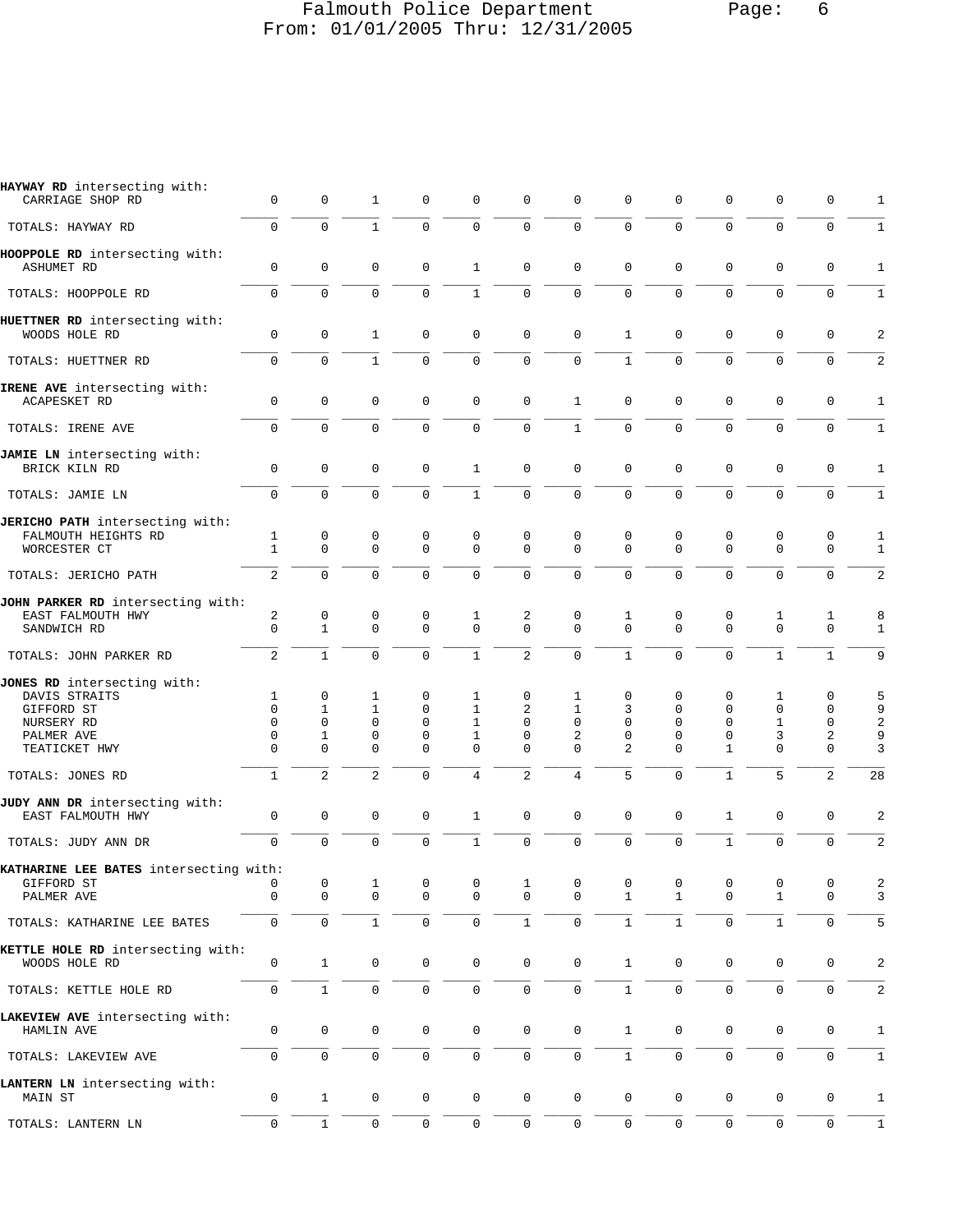# Falmouth Police Department Page: 6 From: 01/01/2005 Thru: 12/31/2005

| HAYWAY RD intersecting with:<br>CARRIAGE SHOP RD    | 0                            | $\mathbf 0$                 | 1                          | 0             | 0                       | $\mathbf 0$             | $\mathbf 0$             | $\mathbf 0$   | 0                   | $\mathbf 0$             | $\mathbf 0$      | 0                   | 1                       |
|-----------------------------------------------------|------------------------------|-----------------------------|----------------------------|---------------|-------------------------|-------------------------|-------------------------|---------------|---------------------|-------------------------|------------------|---------------------|-------------------------|
| TOTALS: HAYWAY RD                                   | $\Omega$                     | $\Omega$                    | $\mathbf{1}$               | $\Omega$      | $\Omega$                | $\Omega$                | $\Omega$                | $\Omega$      | $\Omega$            | $\Omega$                | $\mathbf 0$      | $\mathbf 0$         | 1                       |
| HOOPPOLE RD intersecting with:<br><b>ASHUMET RD</b> | $\mathbf 0$                  | $\mathbf 0$                 | $\mathbf 0$                | 0             | $\mathbf{1}$            | $\mathbf 0$             | $\mathbf 0$             | $\mathbf 0$   | $\mathbf 0$         | $\mathbf 0$             | 0                | $\mathbf 0$         | $\mathbf{1}$            |
| TOTALS: HOOPPOLE RD                                 | $\mathbf 0$                  | $\mathbf 0$                 | $\mathbf 0$                | 0             | $\mathbf{1}$            | $\mathbf 0$             | $\mathbf 0$             | $\mathbf 0$   | $\Omega$            | $\mathbf 0$             | $\Omega$         | $\mathbf 0$         | 1                       |
| HUETTNER RD intersecting with:<br>WOODS HOLE RD     | $\mathbf 0$                  | $\mathbf 0$                 | 1                          | 0             | 0                       | $\mathbf{0}$            | $\mathbf 0$             | $\mathbf{1}$  | $\mathbf 0$         | $\mathbf 0$             | 0                | $\mathbf 0$         | 2                       |
| TOTALS: HUETTNER RD                                 | $\mathbf 0$                  | $\mathbf 0$                 | $\mathbf{1}$               | $\Omega$      | $\mathbf 0$             | $\mathbf 0$             | $\mathbf 0$             | $\mathbf{1}$  | $\mathbf 0$         | $\mathbf 0$             | $\Omega$         | $\mathbf 0$         | 2                       |
| IRENE AVE intersecting with:<br><b>ACAPESKET RD</b> | $\mathbf 0$                  | $\mathbf 0$                 | $\mathbf 0$                | 0             | 0                       | $\Omega$                | $\mathbf{1}$            | $\mathbf 0$   | $\mathbf 0$         | $\Omega$                | $\mathbf 0$      | $\mathbf 0$         | 1                       |
| TOTALS: IRENE AVE                                   | $\mathbf 0$                  | $\Omega$                    | $\Omega$                   | $\Omega$      | $\mathbf 0$             | $\Omega$                | $\mathbf{1}$            | $\Omega$      | $\Omega$            | $\Omega$                | 0                | $\mathbf 0$         | 1                       |
| JAMIE LN intersecting with:<br>BRICK KILN RD        | $\mathbf 0$                  | $\mathbf 0$                 | $\mathbf 0$                | 0             | $\mathbf{1}$            | $\mathbf 0$             | $\mathbf 0$             | $\mathbf 0$   | $\mathbf 0$         | $\mathbf 0$             | $\mathsf 0$      | $\mathbf 0$         | $\mathbf{1}$            |
| TOTALS: JAMIE LN                                    | $\mathbf 0$                  | $\mathbf 0$                 | $\Omega$                   | 0             | $\mathbf{1}$            | $\mathbf 0$             | 0                       | $\mathbf 0$   | $\mathbf 0$         | $\mathbf 0$             | $\Omega$         | $\mathbf 0$         | 1                       |
| JERICHO PATH intersecting with:                     |                              |                             |                            |               |                         |                         |                         |               |                     |                         |                  |                     |                         |
| FALMOUTH HEIGHTS RD<br>WORCESTER CT                 | $\mathbf{1}$<br>$\mathbf{1}$ | $\mathbf 0$<br>$\mathbf 0$  | 0<br>$\Omega$              | 0<br>$\Omega$ | $\mathbf 0$<br>$\Omega$ | $\mathbf 0$<br>$\Omega$ | 0<br>$\Omega$           | 0<br>$\Omega$ | 0<br>$\Omega$       | 0<br>$\Omega$           | 0<br>$\Omega$    | 0<br>$\mathbf 0$    | 1<br>$\mathbf{1}$       |
| TOTALS: JERICHO PATH                                | 2                            | $\Omega$                    | $\Omega$                   | $\Omega$      | $\Omega$                | $\mathbf 0$             | $\Omega$                | $\Omega$      | $\Omega$            | $\mathbf 0$             | $\Omega$         | $\Omega$            | $\overline{c}$          |
| JOHN PARKER RD intersecting with:                   |                              |                             |                            |               |                         |                         |                         |               |                     |                         |                  |                     |                         |
| EAST FALMOUTH HWY<br>SANDWICH RD                    | $\sqrt{2}$<br>$\mathbf 0$    | $\mathbf 0$<br>$\mathbf{1}$ | $\mathbf 0$<br>$\mathbf 0$ | 0<br>0        | 1<br>$\mathbf 0$        | 2<br>$\Omega$           | $\mathbf 0$<br>$\Omega$ | 1<br>$\Omega$ | 0<br>$\mathbf 0$    | $\mathbf 0$<br>$\Omega$ | 1<br>$\mathbf 0$ | 1<br>0              | 8<br>1                  |
| TOTALS: JOHN PARKER RD                              | 2                            | $\mathbf{1}$                | $\Omega$                   | $\Omega$      | $\mathbf{1}$            | 2                       | 0                       | $\mathbf{1}$  | $\Omega$            | $\Omega$                | $\mathbf{1}$     | $\mathbf{1}$        | 9                       |
| JONES RD intersecting with:                         |                              |                             |                            |               |                         |                         |                         |               |                     |                         |                  |                     |                         |
| DAVIS STRAITS                                       | 1                            | 0                           | 1                          | 0             | $\mathbf{1}$            | $\mathbf 0$             | 1                       | 0             | 0                   | 0                       | 1                | 0                   | 5                       |
| GIFFORD ST                                          | $\Omega$                     | $\mathbf{1}$                | $\mathbf{1}$               | $\Omega$      | $\mathbf{1}$            | $\overline{2}$          | $\mathbf{1}$            | 3             | $\Omega$            | $\Omega$                | $\Omega$         | $\Omega$            | 9                       |
| NURSERY RD                                          | $\mathbf 0$                  | $\mathbf 0$                 | $\mathbf 0$                | $\Omega$      | $\mathbf{1}$            | $\Omega$                | $\mathbf 0$             | $\Omega$      | $\mathbf 0$         | $\mathbf 0$             | $\mathbf{1}$     | $\mathbf 0$         | $\overline{\mathbf{c}}$ |
| PALMER AVE                                          | $\mathbf 0$                  | $\mathbf{1}$                | 0                          | 0             | $\mathbf{1}$            | 0                       | 2                       | 0             | 0                   | 0                       | 3                | 2                   | 9                       |
| TEATICKET HWY                                       | 0                            | $\Omega$                    | $\Omega$                   | $\Omega$      | $\Omega$                | $\Omega$                | $\Omega$                | 2             | $\Omega$            | $\mathbf{1}$            | $\mathbf 0$      | $\mathbf 0$         | 3                       |
| TOTALS: JONES RD                                    | $\mathbf{1}$                 | $\overline{a}$              | $\overline{2}$             | $\Omega$      | 4                       | 2                       | 4                       | 5             | $\mathbf 0$         | $\mathbf{1}$            | 5                | 2                   | 28                      |
| JUDY ANN DR intersecting with:<br>EAST FALMOUTH HWY | $\mathbf 0$                  | $\mathbf 0$                 | $\mathbf 0$                | 0             | $\mathbf{1}$            | $\mathbf 0$             | $\mathbf 0$             | $\mathbf{0}$  | $\mathbf 0$         | $\mathbf{1}$            | $\mathbf{0}$     | $\mathbf 0$         | $\overline{2}$          |
| TOTALS: JUDY ANN DR                                 | $\mathbf 0$                  | $\mathbf 0$                 | 0                          | 0             | $\mathbf{1}$            | $\mathsf 0$             | 0                       | $\mathbf 0$   | $\mathbf 0$         | $\mathbf{1}$            | $\mathbf 0$      | $\mathbf 0$         | 2                       |
| KATHARINE LEE BATES intersecting with:              |                              |                             |                            |               |                         |                         |                         |               |                     |                         |                  |                     |                         |
| GIFFORD ST                                          | 0                            | 0                           | $\mathbf 1$                | 0             | 0                       | 1                       | 0                       | 0             | 0                   | 0                       | 0                | 0                   | 2                       |
| PALMER AVE                                          | $\Omega$                     | 0                           | $\mathbf 0$                | 0             | 0                       | $\Omega$                | $\Omega$                | 1             | $\mathbf 1$         | 0                       | 1                | 0                   | 3                       |
| TOTALS: KATHARINE LEE BATES                         | $\mathbf 0$                  | $\mathbf 0$                 | $\mathbf{1}$               | 0             | $\mathsf 0$             | $\mathbf{1}$            | $\mathbf 0$             | $\mathbf{1}$  | $\mathbf{1}$        | $\mathsf 0$             | 1                | $\mathbf 0$         | 5                       |
| KETTLE HOLE RD intersecting with:                   |                              |                             |                            |               |                         |                         |                         |               |                     |                         |                  |                     |                         |
| WOODS HOLE RD                                       | $\mathsf{O}\xspace$          | $\mathbf{1}$                | 0                          | 0             | $\mathsf{O}\xspace$     | $\mathsf 0$             | 0                       | $\mathbf{1}$  | 0                   | $\mathsf{O}\xspace$     | 0                | 0                   | $\overline{a}$          |
| TOTALS: KETTLE HOLE RD                              | $\mathsf 0$                  | $\mathbf{1}$                | 0                          | 0             | $\mathsf 0$             | $\mathsf 0$             | $\mathbf 0$             | $\mathbf{1}$  | $\mathsf{O}\xspace$ | $\mathsf{O}\xspace$     | $\mathsf{O}$     | $\mathsf{O}\xspace$ | $\overline{a}$          |
| LAKEVIEW AVE intersecting with:<br>HAMLIN AVE       | 0                            | $\mathsf 0$                 | 0                          | 0             | 0                       | $\mathbf 0$             | 0                       | $\mathbf{1}$  | 0                   | 0                       | 0                | 0                   | $\mathbf{1}$            |
| TOTALS: LAKEVIEW AVE                                | $\mathsf{O}\xspace$          | $\mathsf 0$                 | 0                          | 0             | $\mathsf{O}$            | $\mathsf 0$             | $\mathsf{O}$            | $\mathbf{1}$  | $\mathsf{O}\xspace$ | $\mathsf{O}\xspace$     | 0                | $\mathbf 0$         | $\mathbf{1}$            |
| LANTERN LN intersecting with:<br>MAIN ST            | $\mathbf 0$                  | $\mathbf{1}$                | 0                          | 0             | 0                       | $\mathbf 0$             | $\mathbf 0$             | 0             | $\mathbf 0$         | 0                       | 0                | 0                   | $\mathbf{1}$            |
|                                                     |                              |                             |                            |               |                         |                         |                         |               |                     |                         |                  |                     |                         |
| TOTALS: LANTERN LN                                  | $\mathbf 0$                  | $\mathbf{1}$                | 0                          | 0             | $\mathsf{O}\xspace$     | $\mathsf 0$             | 0                       | $\mathsf{O}$  | $\mathbf 0$         | $\mathbf 0$             | 0                | $\mathbf 0$         | $\mathbf{1}$            |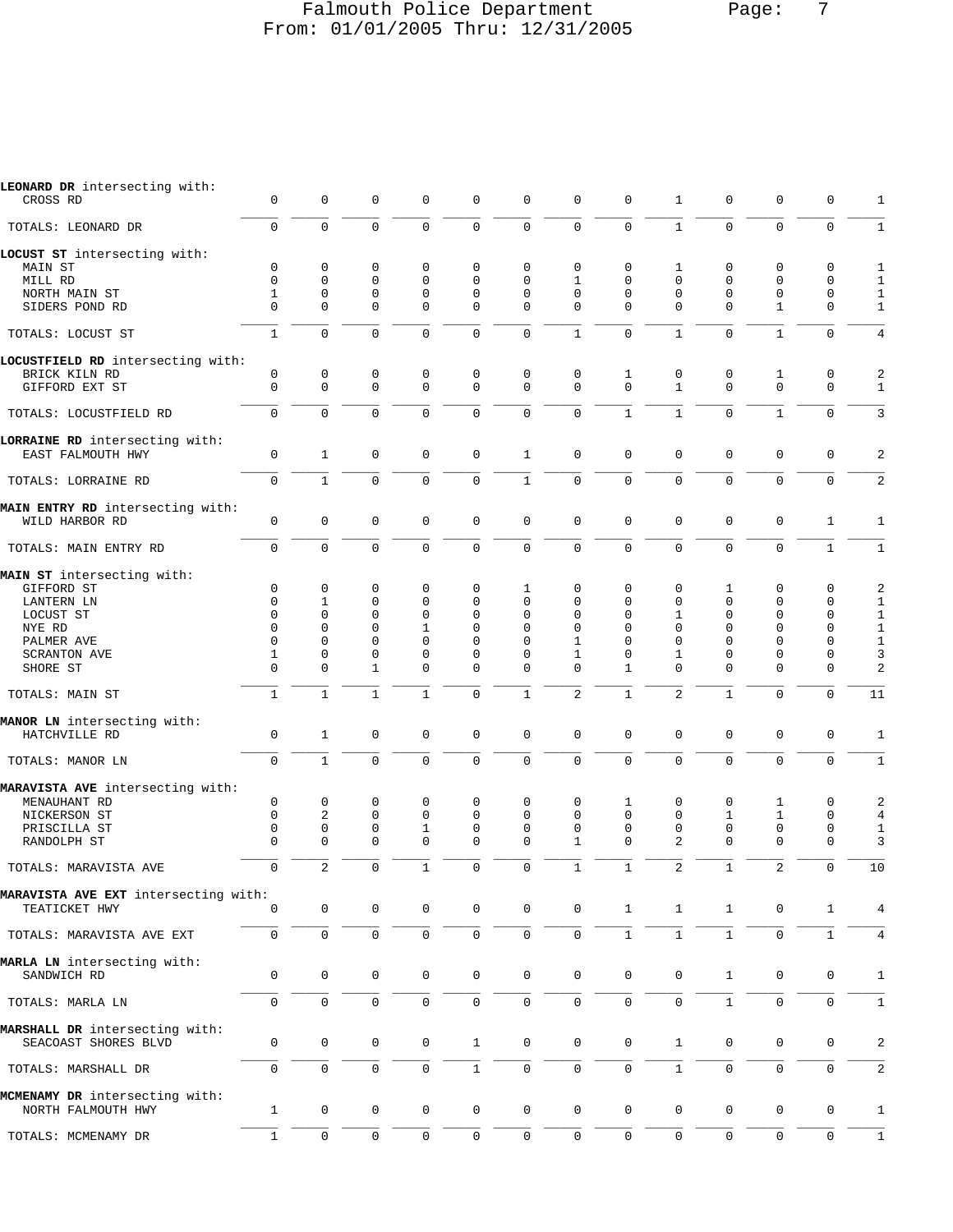# Falmouth Police Department Page: 7 From: 01/01/2005 Thru: 12/31/2005

| LEONARD DR intersecting with:        |              |                |              |              |              |                     |                     |              |                |                |              |              |                  |
|--------------------------------------|--------------|----------------|--------------|--------------|--------------|---------------------|---------------------|--------------|----------------|----------------|--------------|--------------|------------------|
| CROSS RD                             | $\mathbf 0$  | 0              | $\mathbf 0$  | $\mathbf 0$  | 0            | 0                   | 0                   | 0            | 1              | 0              | 0            | 0            | 1                |
| TOTALS: LEONARD DR                   | $\mathbf 0$  | $\mathbf 0$    | $\mathbf 0$  | $\mathbf 0$  | 0            | $\mathsf 0$         | $\mathbf 0$         | $\mathbf 0$  | $\mathbf{1}$   | 0              | $\mathbf 0$  | $\mathbf 0$  | $1\,$            |
| LOCUST ST intersecting with:         |              |                |              |              |              |                     |                     |              |                |                |              |              |                  |
| MAIN ST                              | $\mathbf 0$  | 0              | 0            | 0            | 0            | 0                   | 0                   | 0            | 1              | 0              | 0            | $\mathsf 0$  | 1                |
| MILL RD                              | $\mathbf 0$  | 0              | $\mathbf 0$  | $\mathbf 0$  | 0            | 0                   | $\mathbf{1}$        | $\mathbf 0$  | $\mathbf 0$    | 0              | 0            | $\mathbf 0$  | $\mathbf{1}$     |
| NORTH MAIN ST                        | 1            | 0              | 0            | 0            | 0            | 0                   | 0                   | $\mathbf 0$  | 0              | 0              | 0            | 0            | $\mathbf{1}$     |
| SIDERS POND RD                       | $\Omega$     | $\Omega$       | $\Omega$     | $\mathbf 0$  | 0            | 0                   | $\Omega$            | $\Omega$     | $\Omega$       | $\Omega$       | $\mathbf{1}$ | 0            | $\mathbf{1}$     |
| TOTALS: LOCUST ST                    | $\mathbf{1}$ | $\mathbf 0$    | $\mathbf 0$  | $\mathbf 0$  | 0            | $\mathbf 0$         | $\mathbf{1}$        | $\mathbf 0$  | $\mathbf{1}$   | $\mathbf 0$    | $\mathbf{1}$ | $\mathbf 0$  | $\,4$            |
| LOCUSTFIELD RD intersecting with:    |              |                |              |              |              |                     |                     |              |                |                |              |              |                  |
| BRICK KILN RD                        | 0            | 0              | 0            | 0            | 0            | 0                   | 0                   | 1            | 0              | 0              | $\mathbf{1}$ | 0            | $\boldsymbol{2}$ |
| GIFFORD EXT ST                       | $\mathbf 0$  | $\mathbf 0$    | $\mathbf 0$  | $\mathbf 0$  | 0            | $\mathbf 0$         | $\mathbf 0$         | $\mathbf 0$  | $\mathbf{1}$   | $\mathbf 0$    | $\mathbf 0$  | $\mathbf 0$  | $\mathbf{1}$     |
| TOTALS: LOCUSTFIELD RD               | $\mathbf 0$  | $\mathbf 0$    | $\mathbf 0$  | $\mathbf 0$  | 0            | $\mathbf 0$         | $\mathbf 0$         | $\mathbf{1}$ | $\mathbf{1}$   | 0              | $\mathbf{1}$ | $\mathbf 0$  | 3                |
| LORRAINE RD intersecting with:       |              |                |              |              |              |                     |                     |              |                |                |              |              |                  |
| EAST FALMOUTH HWY                    | 0            | $\mathbf{1}$   | $\mathbf 0$  | $\mathbf 0$  | 0            | $\mathbf{1}$        | $\mathsf 0$         | $\mathbf 0$  | 0              | 0              | $\mathsf 0$  | $\mathsf 0$  | 2                |
| TOTALS: LORRAINE RD                  | $\mathbf 0$  | $\mathbf{1}$   | $\mathbf 0$  | $\mathbf 0$  | $\mathsf 0$  | $\mathbf{1}$        | $\mathsf{O}\xspace$ | $\mathbf 0$  | $\overline{0}$ | $\overline{0}$ | $\mathbf 0$  | $\mathbf 0$  | $\sqrt{2}$       |
| MAIN ENTRY RD intersecting with:     |              |                |              |              |              |                     |                     |              |                |                |              |              |                  |
| WILD HARBOR RD                       | $\mathsf 0$  | $\mathsf 0$    | $\mathbf 0$  | $\mathbf 0$  | 0            | $\mathsf 0$         | $\mathsf 0$         | $\mathbf 0$  | $\mathbf 0$    | 0              | $\mathsf 0$  | $\mathbf{1}$ | $\mathbf{1}$     |
| TOTALS: MAIN ENTRY RD                | $\mathbf 0$  | $\Omega$       | $\mathbf 0$  | $\Omega$     | 0            | $\mathbf 0$         | $\mathbf 0$         | $\Omega$     | $\Omega$       | $\Omega$       | 0            | $\mathbf{1}$ | $\mathbf{1}$     |
| MAIN ST intersecting with:           |              |                |              |              |              |                     |                     |              |                |                |              |              |                  |
| GIFFORD ST                           | $\mathbf 0$  | 0              | 0            | 0            | 0            | 1                   | 0                   | 0            | 0              | 1              | 0            | 0            | $\boldsymbol{2}$ |
| LANTERN LN                           | $\mathbf 0$  | 1              | 0            | $\mathbf 0$  | 0            | 0                   | 0                   | $\mathbf 0$  | 0              | 0              | 0            | 0            | $\mathbf{1}$     |
| LOCUST ST                            | 0            | $\Omega$       | 0            | $\mathbf 0$  | 0            | 0                   | $\Omega$            | 0            | 1              | 0              | 0            | 0            | $\mathbf{1}$     |
| NYE RD                               | $\mathbf 0$  | 0              | $\mathbf 0$  | $\mathbf{1}$ | 0            | 0                   | 0                   | 0            | 0              | 0              | $\Omega$     | 0            | $1\,$            |
| PALMER AVE                           | 0            | 0              | 0            | $\mathbf 0$  | 0            | 0                   | 1                   | 0            | 0              | 0              | 0            | 0            | $\mathbf{1}$     |
| SCRANTON AVE                         | 1            | 0              | 0            | 0            | 0            | 0                   | 1                   | 0            | 1              | 0              | 0            | 0            | 3                |
| SHORE ST                             | $\Omega$     | $\Omega$       | $\mathbf{1}$ | $\Omega$     | 0            | $\mathbf 0$         | $\mathbf 0$         | $\mathbf{1}$ | $\Omega$       | $\Omega$       | 0            | $\mathbf 0$  | $\sqrt{2}$       |
| TOTALS: MAIN ST                      | $\mathbf{1}$ | $\mathbf{1}$   | $\mathbf{1}$ | $\mathbf{1}$ | 0            | $\mathbf{1}$        | $\overline{2}$      | $\mathbf{1}$ | $\overline{a}$ | $\mathbf{1}$   | $\Omega$     | $\mathbf 0$  | 11               |
| MANOR LN intersecting with:          |              |                |              |              |              |                     |                     |              |                |                |              |              |                  |
| HATCHVILLE RD                        | $\mathsf 0$  | $\mathbf{1}$   | $\mathbf 0$  | $\mathbf 0$  | 0            | 0                   | 0                   | $\mathbf 0$  | 0              | 0              | $\mathsf 0$  | $\mathsf 0$  | 1                |
| TOTALS: MANOR LN                     | $\mathbf 0$  | $\mathbf{1}$   | $\mathbf 0$  | $\mathbf 0$  | $\mathbf 0$  | $\mathbf 0$         | $\overline{0}$      | $\mathbf 0$  | $\overline{0}$ | $\overline{0}$ | $\mathbf 0$  | $\mathbf 0$  | $\mathbf{1}$     |
| MARAVISTA AVE intersecting with:     |              |                |              |              |              |                     |                     |              |                |                |              |              |                  |
| MENAUHANT RD                         | 0            | 0              | 0            | 0            | 0            | 0                   | 0                   | 1            | 0              | 0              | 1            | 0            | 2                |
| NICKERSON ST                         | $\mathbf 0$  | $\overline{a}$ | $\mathbf 0$  | $\mathbf 0$  | 0            | $\mathbf 0$         | $\mathbf 0$         | $\mathbf 0$  | $\mathbf 0$    | $\mathbf{1}$   | $\mathbf{1}$ | $\mathsf 0$  | $\overline{4}$   |
| PRISCILLA ST                         | 0            | 0              | 0            | 1            | 0            | $\mathbf 0$         | 0                   | $\mathbf 0$  | 0              | 0              | 0            | 0            | $\mathbf{1}$     |
| RANDOLPH ST                          | 0            | $\Omega$       | 0            | $\mathbf 0$  | 0            | 0                   | $\mathbf{1}$        | $\Omega$     | $\overline{a}$ | $\Omega$       | 0            | 0            | 3                |
| TOTALS: MARAVISTA AVE                | $\mathbf 0$  | $\overline{c}$ | $\mathbf 0$  | $\mathbf{1}$ | 0            | $\mathbf 0$         | $\mathbf{1}$        | $\mathbf{1}$ | 2              | $\mathbf{1}$   | 2            | 0            | 10               |
| MARAVISTA AVE EXT intersecting with: |              |                |              |              |              |                     |                     |              |                |                |              |              |                  |
| TEATICKET HWY                        | $\mathbf 0$  | $\mathsf 0$    | $\mathbf 0$  | 0            | $\mathbf 0$  | $\mathsf{O}$        | $\mathsf 0$         | $\mathbf{1}$ | $\mathbf{1}$   | $\mathbf{1}$   | 0            | 1            | 4                |
| TOTALS: MARAVISTA AVE EXT            | $\mathsf 0$  | $\mathbf 0$    | $\mathsf 0$  | $\mathbf 0$  | 0            | $\mathsf{O}$        | $\mathbf 0$         | $\mathbf{1}$ | $\mathbf{1}$   | $\mathbf{1}$   | $\mathbf 0$  | $\mathbf{1}$ | 4                |
| MARLA LN intersecting with:          |              |                |              |              |              |                     |                     |              |                |                |              |              |                  |
| SANDWICH RD                          | $\mathbf 0$  | $\mathbf 0$    | $\mathbf 0$  | $\mathbf 0$  | $\mathbf 0$  | $\mathbf 0$         | $\mathbf 0$         | $\mathbf 0$  | $\mathbf 0$    | $\mathbf{1}$   | $\mathbf 0$  | 0            | $\mathbf{1}$     |
| TOTALS: MARLA LN                     | 0            | $\mathbf 0$    | $\mathbf 0$  | $\mathbf 0$  | 0            | $\mathsf{O}\xspace$ | $\mathbf 0$         | $\mathbf{0}$ | $\mathbf 0$    | $\mathbf{1}$   | $\mathbf 0$  | $\mathbf 0$  | $\mathbf{1}$     |
| MARSHALL DR intersecting with:       |              |                |              |              |              |                     |                     |              |                |                |              |              |                  |
| SEACOAST SHORES BLVD                 | 0            | $\mathbf 0$    | $\mathbf 0$  | 0            | $\mathbf{1}$ | $\mathbf 0$         | $\mathsf 0$         | $\mathbf 0$  | $\mathbf{1}$   | 0              | 0            | 0            | 2                |
| TOTALS: MARSHALL DR                  | $\mathbf 0$  | $\mathbf 0$    | $\mathbf 0$  | $\mathbf 0$  | $\mathbf{1}$ | $\mathbf 0$         | $\mathbf 0$         | $\mathbf{0}$ | $\mathbf{1}$   | $\mathsf{O}$   | $\mathbf 0$  | $\mathbf 0$  | $\sqrt{2}$       |
| MCMENAMY DR intersecting with:       |              |                |              |              |              |                     |                     |              |                |                |              |              |                  |
| NORTH FALMOUTH HWY                   | $\mathbf{1}$ | $\mathsf 0$    | 0            | 0            | $\mathbf 0$  | $\mathbf 0$         | $\mathbf 0$         | $\mathbf 0$  | 0              | $\mathsf{O}$   | 0            | 0            | 1                |
| TOTALS: MCMENAMY DR                  | $\mathbf{1}$ | $\mathbf 0$    | $\mathbf 0$  | 0            | 0            | $\mathbf 0$         | $\mathsf 0$         | $\mathbf{0}$ | 0              | 0              | $\mathbf 0$  | $\mathbf{0}$ | $\mathbf{1}$     |
|                                      |              |                |              |              |              |                     |                     |              |                |                |              |              |                  |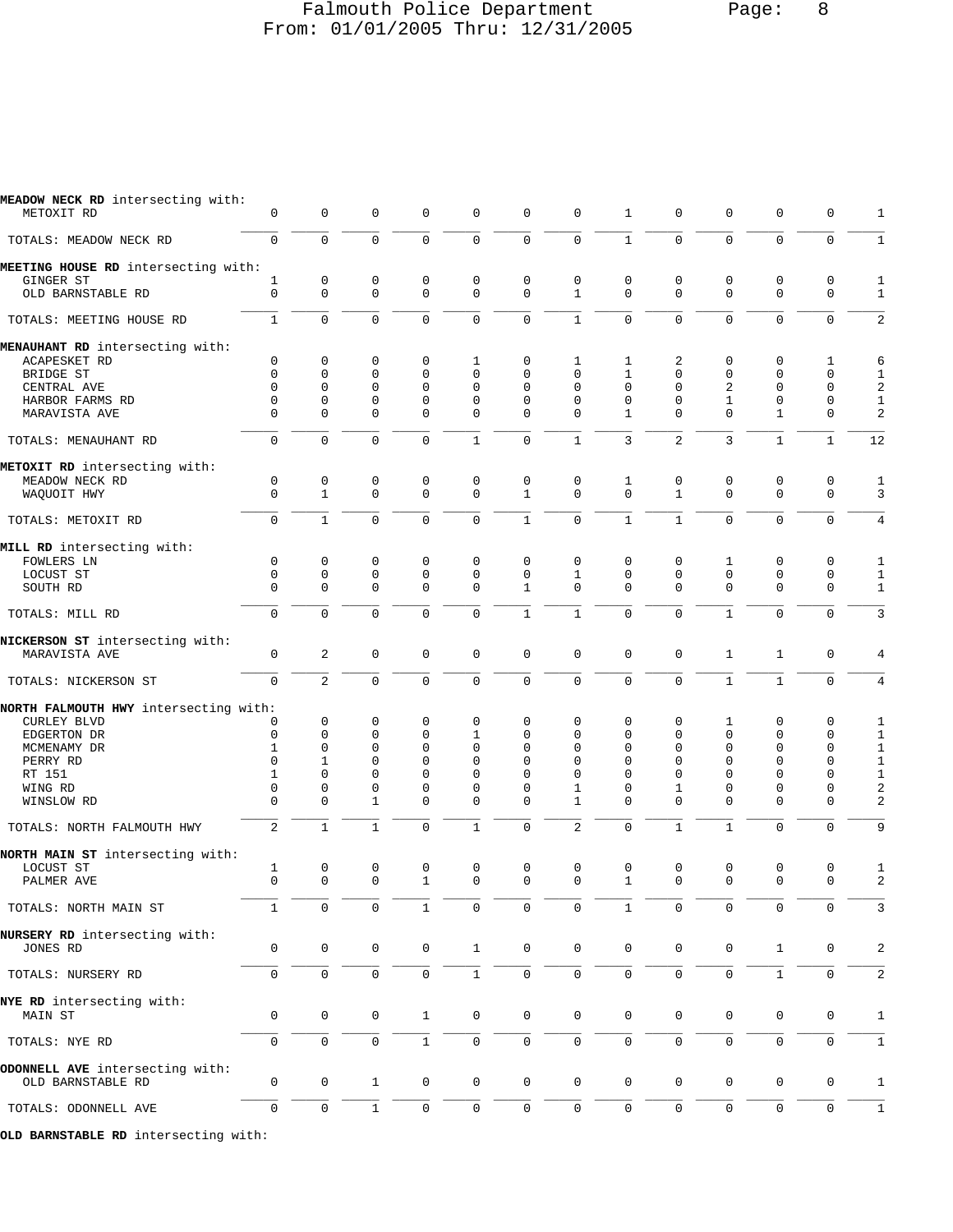# Falmouth Police Department Page: 8 From: 01/01/2005 Thru: 12/31/2005

| MEADOW NECK RD intersecting with:<br>METOXIT RD  | 0                   | $\mathbf 0$    | 0            | $\mathbf 0$  | 0              | 0            | $\mathbf 0$    | 1            | 0              | $\mathbf 0$    | 0            | 0            | 1                |
|--------------------------------------------------|---------------------|----------------|--------------|--------------|----------------|--------------|----------------|--------------|----------------|----------------|--------------|--------------|------------------|
| TOTALS: MEADOW NECK RD                           | $\mathbf 0$         | $\mathbf 0$    | $\mathbf 0$  | $\mathbf 0$  | $\mathbf{0}$   | $\mathbf 0$  | $\mathsf 0$    | $\mathbf{1}$ | 0              | $\mathbf 0$    | $\mathbf 0$  | $\mathbf 0$  | $\mathbf{1}$     |
| MEETING HOUSE RD intersecting with:<br>GINGER ST | 1                   | 0              | $\mathsf 0$  | 0            | 0              | 0            | $\mathsf 0$    | 0            | 0              | 0              | 0            | 0            | 1                |
| OLD BARNSTABLE RD                                | $\mathbf 0$         | $\mathbf 0$    | $\mathbf 0$  | $\mathbf{0}$ | $\mathbf 0$    | 0            | $\mathbf{1}$   | $\mathbf 0$  | 0              | $\mathbf 0$    | $\mathbf 0$  | $\mathbf 0$  | $\mathbf{1}$     |
| TOTALS: MEETING HOUSE RD                         | $\mathbf{1}$        | $\mathbf 0$    | $\mathbf 0$  | $\mathbf 0$  | $\mathbf 0$    | $\mathbf 0$  | $\mathbf{1}$   | 0            | 0              | $\mathbf 0$    | $\mathbf 0$  | $\mathbf 0$  | 2                |
| MENAUHANT RD intersecting with:                  |                     |                |              |              |                |              |                |              |                |                |              |              |                  |
| ACAPESKET RD                                     | 0                   | 0              | 0            | 0            | 1              | 0            | 1              | 1            | 2              | $\mathbf 0$    | 0            | 1            | 6                |
| BRIDGE ST                                        | $\mathbf{0}$        | $\mathbf{0}$   | $\mathbf 0$  | $\Omega$     | 0              | $\Omega$     | $\Omega$       | $\mathbf{1}$ | 0              | $\mathbf 0$    | 0            | $\mathbf 0$  | $\mathbf{1}$     |
| CENTRAL AVE                                      | $\mathbf{0}$        | 0              | $\mathbf 0$  | $\mathbf{0}$ | 0              | $\Omega$     | 0              | 0            | 0              | $\overline{2}$ | 0            | $\mathbf 0$  | $\boldsymbol{2}$ |
| HARBOR FARMS RD                                  | $\mathbf 0$         | $\mathbf 0$    | 0            | $\mathbf 0$  | 0              | 0            | 0              | $\mathbf 0$  | 0              | 1              | 0            | 0            | $\mathbf{1}$     |
| MARAVISTA AVE                                    | $\mathbf{0}$        | $\mathbf{0}$   | $\mathbf 0$  | $\mathbf 0$  | 0              | $\Omega$     | $\Omega$       | $\mathbf{1}$ | 0              | $\Omega$       | $\mathbf{1}$ | $\mathbf 0$  | 2                |
| TOTALS: MENAUHANT RD                             | $\mathbf 0$         | $\mathbf 0$    | $\mathbf 0$  | $\Omega$     | $\mathbf{1}$   | 0            | $1\,$          | 3            | $\overline{c}$ | $\overline{3}$ | $\mathbf{1}$ | $\mathbf{1}$ | $\overline{12}$  |
| METOXIT RD intersecting with:                    |                     |                |              |              |                |              |                |              |                |                |              |              |                  |
| MEADOW NECK RD                                   | $\mathbf 0$         | $\mathsf 0$    | $\mathbf 0$  | 0            | 0              | 0            | 0              | 1            | 0              | 0              | 0            | 0            | $\mathbf 1$      |
| WAQUOIT HWY                                      | $\Omega$            | $\mathbf{1}$   | $\mathbf 0$  | $\Omega$     | 0              | $\mathbf{1}$ | $\mathbf 0$    | $\Omega$     | $\mathbf{1}$   | $\Omega$       | $\mathbf 0$  | $\Omega$     | 3                |
| TOTALS: METOXIT RD                               | $\mathsf{O}\xspace$ | $\mathbf{1}$   | $\mathbf 0$  | $\mathbf 0$  | $\overline{0}$ | $\mathbf{1}$ | $\mathsf 0$    | $1\,$        | $\mathbf{1}$   | $\mathbf 0$    | $\mathbf 0$  | $\mathbf 0$  | $\overline{4}$   |
| MILL RD intersecting with:                       |                     |                |              |              |                |              |                |              |                |                |              |              |                  |
| FOWLERS LN                                       | 0                   | 0              | 0            | $\mathbf 0$  | 0              | 0            | 0              | $\mathbf 0$  | 0              | 1              | 0            | $\mathbf 0$  | 1                |
| LOCUST ST                                        | $\mathbf{0}$        | $\mathsf 0$    | $\mathsf 0$  | $\mathbf{0}$ | 0              | 0            | $\mathbf{1}$   | 0            | 0              | $\mathbf 0$    | $\mathbf 0$  | $\mathbf 0$  | $\mathbf{1}$     |
| SOUTH RD                                         | $\Omega$            | $\mathbf 0$    | 0            | $\Omega$     | 0              | 1            | 0              | $\Omega$     | $\Omega$       | $\Omega$       | $\mathbf 0$  | $\mathbf 0$  | $\mathbf{1}$     |
| TOTALS: MILL RD                                  | $\mathbf 0$         | $\mathbf 0$    | $\mathbf 0$  | $\mathbf{0}$ | $\mathbf 0$    | $\mathbf{1}$ | $1\,$          | $\mathbf 0$  | 0              | $\mathbf{1}$   | $\mathbf 0$  | $\mathbf 0$  | $\overline{3}$   |
| NICKERSON ST intersecting with:                  |                     |                |              |              |                |              |                |              |                |                |              |              |                  |
| MARAVISTA AVE                                    | 0                   | $\sqrt{2}$     | $\mathbf 0$  | $\mathbf{0}$ | 0              | 0            | $\mathsf 0$    | $\mathbf 0$  | 0              | 1              | $\mathbf{1}$ | $\mathbf 0$  | 4                |
| TOTALS: NICKERSON ST                             | $\mathbf 0$         | $\overline{a}$ | $\mathbf 0$  | $\mathbf 0$  | 0              | 0            | $\mathbf 0$    | $\Omega$     | 0              | $\mathbf{1}$   | $\mathbf{1}$ | $\mathbf 0$  | $\overline{4}$   |
| NORTH FALMOUTH HWY intersecting with:            |                     |                |              |              |                |              |                |              |                |                |              |              |                  |
| CURLEY BLVD                                      | 0                   | $\mathbf 0$    | 0            | $\mathbf 0$  | 0              | 0            | 0              | 0            | 0              | 1              | 0            | $\mathbf 0$  | 1                |
| EDGERTON DR                                      | $\mathbf{0}$        | $\mathbf 0$    | $\mathbf 0$  | 0            | 1              | 0            | 0              | 0            | 0              | 0              | $\mathbf 0$  | $\mathbf 0$  | $\mathbf{1}$     |
| MCMENAMY DR                                      | 1                   | $\Omega$       | $\Omega$     | $\Omega$     | $\Omega$       | $\Omega$     | $\Omega$       | $\Omega$     | $\Omega$       | $\Omega$       | $\Omega$     | $\mathbf 0$  | $\mathbf{1}$     |
| PERRY RD                                         | $\mathbf{0}$        | $\mathbf{1}$   | $\Omega$     | $\Omega$     | $\Omega$       | $\Omega$     | $\Omega$       | $\Omega$     | 0              | $\mathbf 0$    | $\Omega$     | $\mathbf 0$  | $\mathbf{1}$     |
| RT 151                                           | 1                   | $\mathbf{0}$   | 0            | 0            | 0              | 0            | 0              | $\Omega$     | 0              | 0              | 0            | $\mathbf 0$  | $\mathbf{1}$     |
| WING RD                                          | $\mathbf{0}$        | 0              | $\mathbf 0$  | 0            | $\mathbf 0$    | 0            | 1              | 0            | 1              | 0              | 0            | $\mathbf 0$  | 2                |
| WINSLOW RD                                       | $\Omega$            | $\mathbf{0}$   | $\mathbf{1}$ | $\Omega$     | 0              | 0            | $\mathbf{1}$   | $\Omega$     | $\Omega$       | $\Omega$       | $\mathbf 0$  | $\mathbf 0$  | 2                |
| TOTALS: NORTH FALMOUTH HWY                       | $\overline{2}$      | $\mathbf{1}$   | $\mathbf{1}$ | $\Omega$     | $\mathbf{1}$   | 0            | $\overline{2}$ | $\mathbf 0$  | $\mathbf{1}$   | $\mathbf{1}$   | $\mathbf 0$  | $\Omega$     | 9                |
| NORTH MAIN ST intersecting with:                 |                     |                |              |              |                |              |                |              |                |                |              |              |                  |
| LOCUST ST                                        | $\mathbf{1}$        | $\mathsf 0$    | $\mathsf 0$  | 0            | 0              | $\mathsf 0$  | 0              | $\mathbf 0$  | 0              | 0              | 0            | 0            | 1                |
| PALMER AVE                                       | $\cap$              | $\cap$         | $\cap$       | $\mathbf{1}$ | $\cap$         | $\cap$       | $\cap$         | $\mathbf{1}$ | $\Omega$       | $\cap$         | $\cap$       | $\cap$       | $\mathcal{D}$    |
| TOTALS: NORTH MAIN ST                            | 1                   | $\mathbf 0$    | 0            | 1            | $\Omega$       | $\Omega$     | $\Omega$       |              | 0              | 0              | 0            | $\Omega$     | 3                |
| NURSERY RD intersecting with:<br>JONES RD        | 0                   | $\mathbf 0$    | 0            | $\mathbf 0$  | $\mathbf{1}$   | $\mathsf{O}$ | $\mathbf 0$    | $\mathbf 0$  | 0              | 0              | $\mathbf{1}$ | 0            | 2                |
|                                                  |                     |                |              |              |                |              |                |              |                |                |              |              |                  |
| TOTALS: NURSERY RD                               | 0                   | $\mathbf{0}$   | $\mathbf 0$  | $\mathbf 0$  | $1\,$          | 0            | 0              | $\mathbf{0}$ | $\mathbf 0$    | $\mathbf 0$    | $\mathbf{1}$ | 0            | 2                |
| NYE RD intersecting with:                        |                     |                |              |              |                |              |                |              |                |                |              |              |                  |
| MAIN ST                                          | 0                   | $\mathbf 0$    | 0            | $\mathbf{1}$ | 0              | 0            | 0              | 0            | 0              | 0              | 0            | 0            | 1                |
| TOTALS: NYE RD                                   | $\mathbf 0$         | $\mathbf 0$    | $\mathbf 0$  | $\mathbf{1}$ | 0              | 0            | 0              | 0            | 0              | $\mathbf 0$    | $\mathbf 0$  | $\mathbf 0$  | 1                |
| ODONNELL AVE intersecting with:                  |                     |                |              |              |                |              |                |              |                |                |              |              |                  |
| OLD BARNSTABLE RD                                | 0                   | 0              | 1            | 0            | 0              | 0            | 0              | $\mathbf 0$  | 0              | 0              | 0            | 0            | 1                |
| TOTALS: ODONNELL AVE                             | $\mathbf 0$         | $\mathbf 0$    | $\mathbf{1}$ | $\mathbf 0$  | 0              | $\mathbf 0$  | $\mathbf 0$    | $\mathbf 0$  | $\mathbf 0$    | $\mathbf 0$    | $\mathbf 0$  | $\mathbf 0$  | $\mathbf{1}$     |
| OLD BARNSTABLE RD intersecting with:             |                     |                |              |              |                |              |                |              |                |                |              |              |                  |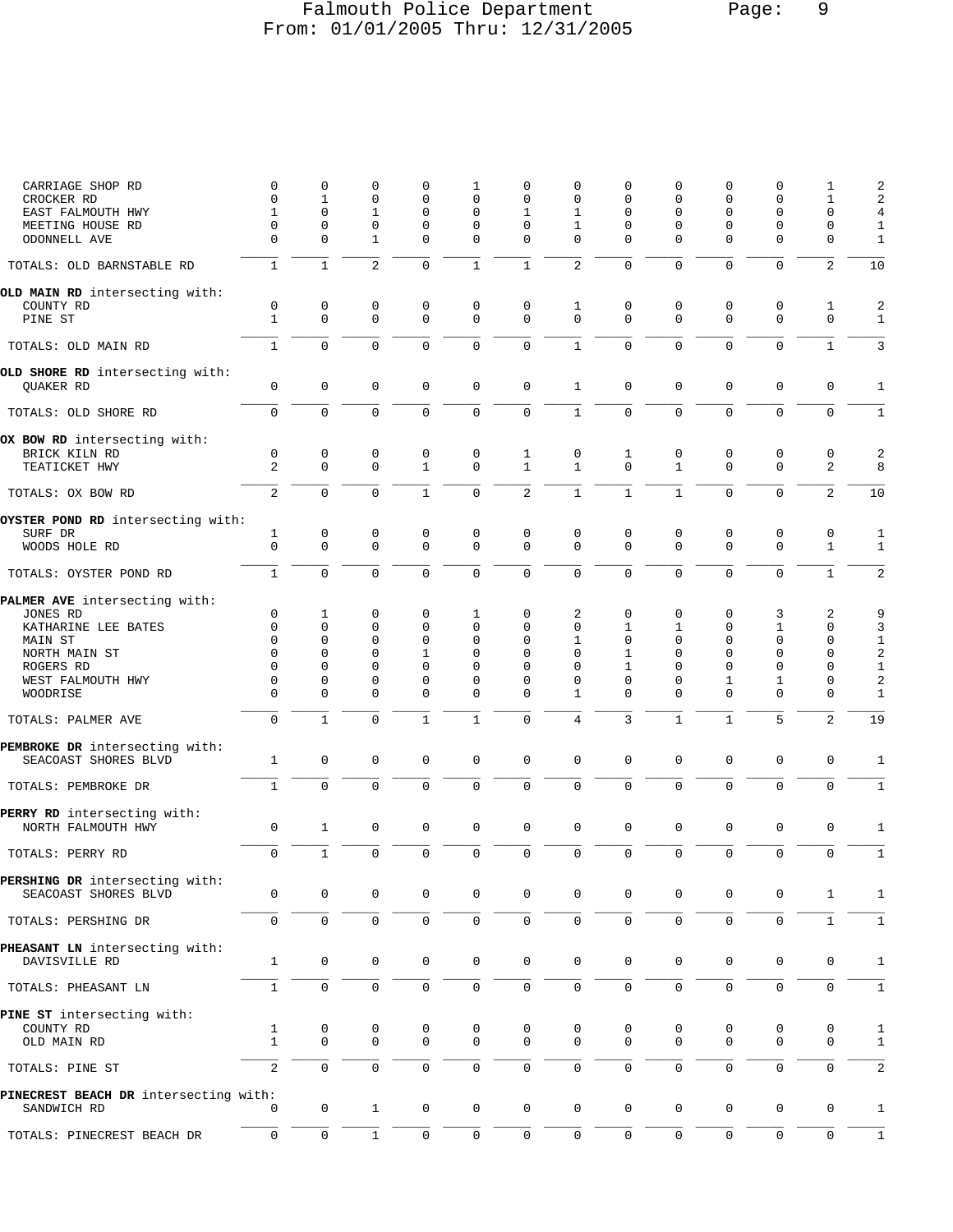# Falmouth Police Department Page: 9 From: 01/01/2005 Thru: 12/31/2005

| CARRIAGE SHOP RD                                       | 0                           | 0                          | 0                 | 0                           | 1                          | 0                          | 0                           | 0                   | 0                          | 0                          | 0                          | 1                           | $\sqrt{2}$          |
|--------------------------------------------------------|-----------------------------|----------------------------|-------------------|-----------------------------|----------------------------|----------------------------|-----------------------------|---------------------|----------------------------|----------------------------|----------------------------|-----------------------------|---------------------|
| CROCKER RD                                             | $\mathbf 0$                 | $\mathbf{1}$               | 0                 | $\Omega$                    | $\mathbf 0$                | 0                          | $\mathbf 0$                 | $\mathbf 0$         | $\mathbf 0$                | $\mathbf 0$                | 0                          | 1                           | 2                   |
| EAST FALMOUTH HWY<br>MEETING HOUSE RD                  | $\mathbf{1}$<br>0           | $\Omega$<br>0              | $\mathbf{1}$<br>0 | $\mathbf 0$<br>0            | $\mathbf 0$<br>0           | $\mathbf{1}$<br>0          | $\mathbf{1}$<br>1           | $\mathbf{0}$        | $\mathbf 0$<br>0           | $\mathbf 0$<br>0           | $\mathbf{0}$<br>0          | $\mathbf 0$<br>0            | $\,4$               |
| ODONNELL AVE                                           | 0                           | $\Omega$                   | $\mathbf{1}$      | $\mathbf 0$                 | $\mathbf 0$                | 0                          | $\mathbf 0$                 | 0<br>0              | $\Omega$                   | $\mathbf 0$                | $\mathbf{0}$               | $\mathsf 0$                 | 1<br>$\,1\,$        |
| TOTALS: OLD BARNSTABLE RD                              | $\mathbf{1}$                | $\mathbf{1}$               | $\overline{c}$    | $\mathbf 0$                 | $\mathbf{1}$               | $\mathbf{1}$               | $\sqrt{2}$                  | $\mathbf{0}$        | $\mathbf 0$                | $\mathsf 0$                | $\mathbf{0}$               | $\overline{c}$              | 10                  |
| OLD MAIN RD intersecting with:                         |                             |                            |                   |                             |                            |                            |                             |                     |                            |                            |                            |                             |                     |
| COUNTY RD<br>PINE ST                                   | $\mathsf 0$<br>$\mathbf{1}$ | $\mathsf 0$<br>$\mathbf 0$ | 0<br>$\mathbf 0$  | $\mathbf 0$<br>$\mathbf{0}$ | $\mathbf 0$<br>$\mathbf 0$ | $\mathbf 0$<br>$\mathbf 0$ | $\mathbf{1}$<br>$\mathbf 0$ | 0<br>$\mathbf{0}$   | $\mathbf 0$<br>$\mathbf 0$ | $\mathbf 0$<br>$\mathbf 0$ | $\mathbf 0$<br>$\mathbf 0$ | $\mathbf{1}$<br>$\mathbf 0$ | $\overline{2}$<br>1 |
|                                                        |                             |                            |                   |                             |                            |                            |                             |                     |                            |                            |                            |                             |                     |
| TOTALS: OLD MAIN RD                                    | $\mathbf{1}$                | $\mathbf 0$                | $\mathbf 0$       | $\mathbf 0$                 | $\mathbf 0$                | $\mathbf 0$                | $\mathbf{1}$                | $\mathbf 0$         | $\mathbf 0$                | $\mathbf 0$                | $\mathbf{0}$               | $\mathbf{1}$                | 3                   |
| OLD SHORE RD intersecting with:<br>QUAKER RD           | $\mathsf 0$                 | $\mathsf 0$                | 0                 | 0                           | $\mathbf 0$                | $\mathbf 0$                | $\mathbf{1}$                | $\mathbf{0}$        | $\mathbf 0$                | $\mathbf 0$                | $\mathbf 0$                | 0                           | $\mathbf{1}$        |
| TOTALS: OLD SHORE RD                                   | 0                           | $\mathsf 0$                | 0                 | $\mathbf 0$                 | $\mathsf 0$                | $\mathsf 0$                | $\mathbf{1}$                | $\mathbf 0$         | $\mathsf 0$                | $\mathbf 0$                | $\mathbf{0}$               | 0                           | $\mathbf{1}$        |
| OX BOW RD intersecting with:                           |                             |                            |                   |                             |                            |                            |                             |                     |                            |                            |                            |                             |                     |
| BRICK KILN RD                                          | 0                           | $\mathsf 0$                | 0                 | 0                           | 0                          | 1                          | 0                           | 1                   | 0                          | 0                          | 0                          | 0                           | 2                   |
| TEATICKET HWY                                          | $\overline{a}$              | $\mathbf 0$                | $\mathbf 0$       | $\mathbf{1}$                | $\mathbf 0$                | $\mathbf{1}$               | $\mathbf{1}$                | $\mathbf 0$         | $\mathbf{1}$               | $\mathbf 0$                | $\mathbf 0$                | 2                           | 8                   |
| TOTALS: OX BOW RD                                      | $\overline{a}$              | $\mathbf 0$                | $\mathbf 0$       | $\mathbf{1}$                | $\mathbf 0$                | 2                          | $\mathbf{1}$                | $\mathbf{1}$        | $\mathbf{1}$               | $\mathbf 0$                | $\mathbf 0$                | $\overline{2}$              | 10                  |
| OYSTER POND RD intersecting with:                      |                             |                            |                   |                             |                            |                            |                             |                     |                            |                            |                            |                             |                     |
| SURF DR                                                | 1<br>0                      | 0<br>$\mathbf 0$           | 0<br>0            | 0<br>$\mathbf{0}$           | 0<br>$\mathbf 0$           | 0<br>$\mathbf 0$           | 0<br>$\mathbf 0$            | 0<br>$\mathbf 0$    | 0<br>$\mathbf 0$           | 0<br>$\mathbf 0$           | 0<br>$\mathbf{0}$          | 0<br>$\mathbf{1}$           | 1<br>$\mathbf{1}$   |
| WOODS HOLE RD                                          |                             |                            |                   |                             |                            |                            |                             |                     |                            |                            |                            |                             |                     |
| TOTALS: OYSTER POND RD                                 | $\mathbf{1}$                | 0                          | $\overline{0}$    | $\overline{0}$              | $\mathbf 0$                | $\mathbf 0$                | $\mathsf 0$                 | 0                   | $\mathbf 0$                | $\mathbf 0$                | $\mathbf 0$                | $\mathbf{1}$                | 2                   |
| PALMER AVE intersecting with:<br>JONES RD              | 0                           | 1                          | 0                 | 0                           | 1                          | 0                          | 2                           | 0                   | 0                          | 0                          | 3                          | 2                           | 9                   |
| KATHARINE LEE BATES                                    | 0                           | $\mathbf 0$                | 0                 | 0                           | $\mathbf 0$                | 0                          | $\mathbf 0$                 | 1                   | 1                          | 0                          | 1                          | 0                           | 3                   |
| MAIN ST                                                | 0                           | 0                          | 0                 | 0                           | $\mathbf 0$                | $\Omega$                   | 1                           | 0                   | $\mathbf 0$                | 0                          | $\mathbf{0}$               | $\mathbf 0$                 | $\,1\,$             |
| NORTH MAIN ST                                          | $\Omega$                    | $\Omega$                   | 0                 | $\mathbf{1}$                | $\mathbf 0$                | 0                          | 0                           | 1                   | 0                          | 0                          | $\mathbf{0}$               | $\mathbf 0$                 | $\sqrt{2}$          |
| ROGERS RD                                              | $\Omega$                    | $\Omega$                   | $\Omega$          | $\Omega$                    | $\Omega$                   | 0                          | $\Omega$                    | 1                   | $\Omega$                   | $\Omega$                   | $\mathbf 0$                | 0                           | $\mathbf{1}$        |
| WEST FALMOUTH HWY                                      | $\mathbf 0$                 | 0                          | 0                 | 0                           | 0                          | 0                          | $\mathbf 0$                 | $\mathbf{0}$        | $\mathbf 0$                | 1                          | 1                          | $\mathbf 0$                 | $\sqrt{2}$          |
| WOODRISE                                               | $\Omega$                    | 0                          | 0                 | $\Omega$                    | $\mathbf 0$                | $\mathbf 0$                | $\mathbf{1}$                | $\Omega$            | $\Omega$                   | $\mathbf 0$                | $\mathbf 0$                | $\mathbf 0$                 | $\mathbf{1}$        |
| TOTALS: PALMER AVE                                     | $\mathbf 0$                 | $\mathbf{1}$               | $\mathbf 0$       | $\mathbf{1}$                | $\mathbf{1}$               | $\mathbf 0$                | $\overline{4}$              | 3                   | $\mathbf{1}$               | $\mathbf{1}$               | 5                          | $\overline{2}$              | 19                  |
| PEMBROKE DR intersecting with:                         |                             |                            |                   |                             |                            |                            |                             |                     |                            |                            |                            |                             |                     |
| SEACOAST SHORES BLVD                                   | $\mathbf{1}$                | 0                          | 0                 | $\mathbf 0$                 | $\mathbf 0$                | $\mathbf 0$                | $\mathsf 0$                 | $\mathbf{0}$        | $\mathbf 0$                | $\mathbf 0$                | $\mathsf 0$                | $\mathbf 0$                 | 1                   |
| TOTALS: PEMBROKE DR                                    | $\mathbf{1}$                | $\mathbf 0$                | 0                 | $\mathbf 0$                 | $\mathsf 0$                | $\mathsf 0$                | $\mathsf 0$                 | $\mathbf 0$         | $\mathbf 0$                | $\mathbf 0$                | $\mathbf{0}$               | $\mathbf 0$                 | $\mathbf{1}$        |
| PERRY RD intersecting with:                            |                             |                            |                   |                             |                            |                            |                             |                     |                            |                            |                            |                             |                     |
| NORTH FALMOUTH HWY                                     | $\mathbf 0$                 | $\mathbf{1}$               | $\mathsf 0$       | $\mathbf 0$                 | 0                          | $\mathbf 0$                | $\mathsf 0$                 | $\mathbf 0$         | $\mathbf 0$                | $\mathbf 0$                | $\mathbf 0$                | $\mathbf 0$                 | $\mathbf{1}$        |
| TOTALS: PERRY RD                                       | 0                           | $\mathbf{1}$               | 0                 | 0                           | $\mathsf 0$                | $\mathbf 0$                | 0                           | 0                   | $\mathbf 0$                | 0                          | 0                          | 0                           | $\mathbf{1}$        |
| PERSHING DR intersecting with:<br>SEACOAST SHORES BLVD | $\mathbf 0$                 | 0                          | 0                 | 0                           | $\mathbf 0$                | $\mathbf 0$                | 0                           | $\mathbf 0$         | $\mathbf 0$                | $\mathbf 0$                | 0                          | $\mathbf{1}$                | 1                   |
| TOTALS: PERSHING DR                                    | $\mathbf 0$                 | $\mathbf 0$                | $\mathsf 0$       | 0                           | $\mathsf 0$                | $\mathsf 0$                | $\mathsf{O}\xspace$         | $\mathsf 0$         | $\mathsf{O}\xspace$        | $\mathsf 0$                | $\mathsf 0$                | $1\,$                       | $\mathbf{1}$        |
| PHEASANT LN intersecting with:                         | $\mathbf{1}$                | $\mathbf 0$                | 0                 | 0                           |                            | $\mathbf 0$                | 0                           | $\mathbf 0$         | $\mathbf 0$                |                            |                            |                             |                     |
| DAVISVILLE RD                                          |                             |                            |                   |                             | 0                          |                            |                             |                     |                            | 0                          | 0                          | 0                           | 1                   |
| TOTALS: PHEASANT LN                                    | $\mathbf{1}$                | $\mathsf{O}\xspace$        | $\mathsf 0$       | $\mathsf 0$                 | $\mathsf{O}\xspace$        | $\mathsf{O}\xspace$        | $\mathbf 0$                 | $\mathbf 0$         | $\mathbf 0$                | $\mathsf 0$                | $\mathbf 0$                | $\mathsf 0$                 | $\mathbf 1$         |
| PINE ST intersecting with:                             |                             |                            |                   |                             |                            |                            |                             |                     |                            |                            |                            |                             |                     |
| COUNTY RD                                              | 1                           | 0                          | 0                 | 0                           | 0                          | 0                          | 0                           | 0                   | 0                          | 0                          | 0                          | 0                           | 1                   |
| OLD MAIN RD                                            | $\mathbf{1}$                | $\mathbf 0$                | 0                 | $\mathsf 0$                 | $\mathsf 0$                | $\mathbf 0$                | $\mathbf 0$                 | $\mathbf 0$         | $\mathbf 0$                | $\mathbf 0$                | $\mathbf 0$                | 0                           | $\mathbf{1}$        |
| TOTALS: PINE ST                                        | $\overline{c}$              | 0                          | 0                 | 0                           | $\mathbf 0$                | $\mathsf 0$                | $\mathsf 0$                 | 0                   | $\mathsf{O}\xspace$        | 0                          | $\mathsf 0$                | 0                           | 2                   |
| PINECREST BEACH DR intersecting with:                  | 0                           | $\mathsf{O}\xspace$        | $\mathbf{1}$      | 0                           | 0                          | $\mathsf{O}\xspace$        | 0                           | $\mathbf 0$         | 0                          | $\mathbf 0$                | $\mathbf 0$                | $\mathbf 0$                 | $\mathbf{1}$        |
| SANDWICH RD                                            |                             |                            |                   |                             |                            |                            |                             |                     |                            |                            |                            |                             |                     |
| TOTALS: PINECREST BEACH DR                             | $\mathsf{O}\xspace$         | $\mathsf{O}\xspace$        | $\,1\,$           | 0                           | $\mathsf{O}\xspace$        | $\mathsf{O}\xspace$        | $\mathsf 0$                 | $\mathsf{O}\xspace$ | $\mathsf{O}\xspace$        | $\mathbb O$                | $\mathsf{O}\xspace$        | 0                           | $\mathbf 1$         |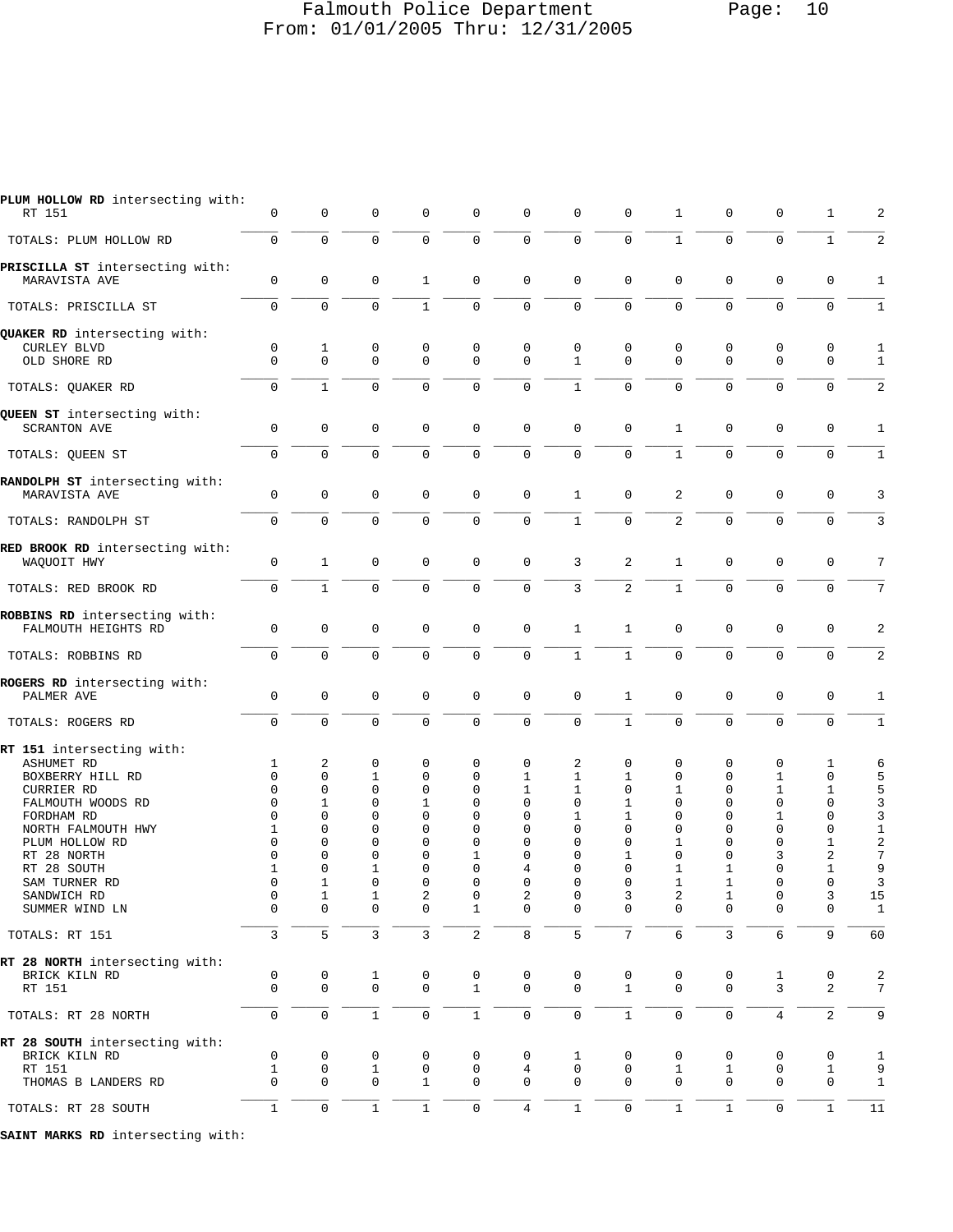### Falmouth Police Department Page: 10 From: 01/01/2005 Thru: 12/31/2005

| PLUM HOLLOW RD intersecting with:<br>RT 151                                                                                                                                                                                          | 0                                                                              | 0                                                                                                                     | 0                                                                                          | 0                                                                         | 0                                                                                           | 0                                                                         | $\Omega$                                                                                                     | $\mathbf 0$                                                                                       | 1                                                                                                                            | 0                                                                                                     | 0                                                                                                          | 1                                                                                  | 2                                                                                 |
|--------------------------------------------------------------------------------------------------------------------------------------------------------------------------------------------------------------------------------------|--------------------------------------------------------------------------------|-----------------------------------------------------------------------------------------------------------------------|--------------------------------------------------------------------------------------------|---------------------------------------------------------------------------|---------------------------------------------------------------------------------------------|---------------------------------------------------------------------------|--------------------------------------------------------------------------------------------------------------|---------------------------------------------------------------------------------------------------|------------------------------------------------------------------------------------------------------------------------------|-------------------------------------------------------------------------------------------------------|------------------------------------------------------------------------------------------------------------|------------------------------------------------------------------------------------|-----------------------------------------------------------------------------------|
| TOTALS: PLUM HOLLOW RD                                                                                                                                                                                                               | $\mathbf 0$                                                                    | $\mathbf 0$                                                                                                           | $\mathbf 0$                                                                                | 0                                                                         | $\mathbf 0$                                                                                 | $\mathsf 0$                                                               | $\mathbf 0$                                                                                                  | $\mathbf 0$                                                                                       | $\mathbf{1}$                                                                                                                 | $\mathbf 0$                                                                                           | $\mathbf 0$                                                                                                | $\mathbf{1}$                                                                       | 2                                                                                 |
| PRISCILLA ST intersecting with:<br>MARAVISTA AVE                                                                                                                                                                                     | 0                                                                              | $\mathsf 0$                                                                                                           | $\mathbf 0$                                                                                | 1                                                                         | $\mathbf 0$                                                                                 | $\mathbf 0$                                                               | $\mathbf 0$                                                                                                  | $\mathbf 0$                                                                                       | $\mathbf 0$                                                                                                                  | $\mathbf 0$                                                                                           | $\mathbf 0$                                                                                                | $\mathbf 0$                                                                        | 1                                                                                 |
| TOTALS: PRISCILLA ST                                                                                                                                                                                                                 | 0                                                                              | 0                                                                                                                     | 0                                                                                          | $\mathbf{1}$                                                              | $\mathbf{0}$                                                                                | $\mathbf 0$                                                               | $\mathbf 0$                                                                                                  | 0                                                                                                 | $\Omega$                                                                                                                     | $\mathbf 0$                                                                                           | $\mathbf 0$                                                                                                | $\Omega$                                                                           | $\mathbf{1}$                                                                      |
| QUAKER RD intersecting with:                                                                                                                                                                                                         |                                                                                |                                                                                                                       |                                                                                            |                                                                           |                                                                                             |                                                                           |                                                                                                              |                                                                                                   |                                                                                                                              |                                                                                                       |                                                                                                            |                                                                                    |                                                                                   |
| <b>CURLEY BLVD</b><br>OLD SHORE RD                                                                                                                                                                                                   | $\mathsf 0$<br>$\Omega$                                                        | $\mathbf{1}$<br>$\mathbf 0$                                                                                           | 0<br>$\Omega$                                                                              | $\mathbf 0$<br>$\Omega$                                                   | $\mathbf{0}$<br>$\Omega$                                                                    | $\mathbf 0$<br>$\mathbf 0$                                                | $\mathbf 0$<br>$\mathbf{1}$                                                                                  | $\mathbf 0$<br>$\Omega$                                                                           | 0<br>$\Omega$                                                                                                                | $\mathbf 0$<br>$\mathbf 0$                                                                            | $\mathbf 0$<br>$\Omega$                                                                                    | 0<br>$\mathbf 0$                                                                   | 1<br>$\mathbf{1}$                                                                 |
| TOTALS: QUAKER RD                                                                                                                                                                                                                    | $\mathbf 0$                                                                    | $\mathbf{1}$                                                                                                          | $\Omega$                                                                                   | 0                                                                         | $\mathbf 0$                                                                                 | $\mathbf 0$                                                               | $\mathbf{1}$                                                                                                 | $\mathbf 0$                                                                                       | $\Omega$                                                                                                                     | $\mathbf 0$                                                                                           | $\mathbf 0$                                                                                                | $\mathbf 0$                                                                        | 2                                                                                 |
| QUEEN ST intersecting with:<br><b>SCRANTON AVE</b>                                                                                                                                                                                   | $\mathbf 0$                                                                    | $\mathbf 0$                                                                                                           | 0                                                                                          | 0                                                                         | 0                                                                                           | $\mathbf 0$                                                               | $\mathbf 0$                                                                                                  | $\mathbf 0$                                                                                       | $\mathbf{1}$                                                                                                                 | $\mathbf 0$                                                                                           | $\mathbf 0$                                                                                                | 0                                                                                  | 1                                                                                 |
| TOTALS: QUEEN ST                                                                                                                                                                                                                     | $\mathbf 0$                                                                    | $\mathbf 0$                                                                                                           | $\Omega$                                                                                   | $\mathbf 0$                                                               | $\mathbf 0$                                                                                 | $\mathbf 0$                                                               | $\Omega$                                                                                                     | $\Omega$                                                                                          | $\mathbf{1}$                                                                                                                 | $\mathbf 0$                                                                                           | $\mathbf 0$                                                                                                | $\mathbf 0$                                                                        | $\mathbf{1}$                                                                      |
| RANDOLPH ST intersecting with:<br>MARAVISTA AVE                                                                                                                                                                                      | $\mathsf{O}\xspace$                                                            | $\mathsf 0$                                                                                                           | $\mathbf 0$                                                                                | 0                                                                         | $\mathbf 0$                                                                                 | $\mathbf 0$                                                               | 1                                                                                                            | $\mathbf 0$                                                                                       | 2                                                                                                                            | $\mathsf{O}\xspace$                                                                                   | $\mathbf 0$                                                                                                | $\mathbf 0$                                                                        | 3                                                                                 |
| TOTALS: RANDOLPH ST                                                                                                                                                                                                                  | $\mathbf 0$                                                                    | $\mathbf 0$                                                                                                           | $\mathbf 0$                                                                                | 0                                                                         | $\mathbf 0$                                                                                 | $\mathsf{O}\xspace$                                                       | $\mathbf{1}$                                                                                                 | $\mathbf 0$                                                                                       | $\overline{2}$                                                                                                               | $\mathbf 0$                                                                                           | $\mathbf 0$                                                                                                | $\mathbf 0$                                                                        | 3                                                                                 |
| RED BROOK RD intersecting with:<br>WAQUOIT HWY                                                                                                                                                                                       | 0                                                                              | $\mathbf{1}$                                                                                                          | $\mathbf 0$                                                                                | $\mathbf 0$                                                               | $\mathbf 0$                                                                                 | $\mathbf 0$                                                               | 3                                                                                                            | 2                                                                                                 | $\mathbf{1}$                                                                                                                 | $\mathbf 0$                                                                                           | $\mathbf 0$                                                                                                | $\mathbf 0$                                                                        | 7                                                                                 |
| TOTALS: RED BROOK RD                                                                                                                                                                                                                 | $\mathbf 0$                                                                    | $\mathbf{1}$                                                                                                          | $\mathbf 0$                                                                                | 0                                                                         | $\mathbf 0$                                                                                 | $\mathbf 0$                                                               | $\mathbf{3}$                                                                                                 | $\overline{2}$                                                                                    | $\mathbf{1}$                                                                                                                 | $\mathbf 0$                                                                                           | $\mathbf 0$                                                                                                | $\mathbf 0$                                                                        | 7                                                                                 |
| ROBBINS RD intersecting with:<br>FALMOUTH HEIGHTS RD                                                                                                                                                                                 | $\mathsf 0$                                                                    | $\mathsf 0$                                                                                                           | $\mathbf 0$                                                                                | 0                                                                         | $\mathbf 0$                                                                                 | $\mathbf 0$                                                               | $\mathbf{1}$                                                                                                 | $\mathbf{1}$                                                                                      | $\mathbf 0$                                                                                                                  | $\mathbf 0$                                                                                           | $\mathbf 0$                                                                                                | 0                                                                                  | 2                                                                                 |
| TOTALS: ROBBINS RD                                                                                                                                                                                                                   | $\mathbf 0$                                                                    | $\mathbf 0$                                                                                                           | $\mathbf 0$                                                                                | $\mathbf 0$                                                               | $\mathbf 0$                                                                                 | $\mathbf 0$                                                               | $\mathbf{1}$                                                                                                 | $\mathbf{1}$                                                                                      | $\mathbf 0$                                                                                                                  | $\mathbf 0$                                                                                           | $\mathbf 0$                                                                                                | $\mathbf 0$                                                                        | 2                                                                                 |
| ROGERS RD intersecting with:<br>PALMER AVE                                                                                                                                                                                           | $\mathbf 0$                                                                    | $\mathbf 0$                                                                                                           | 0                                                                                          | 0                                                                         | $\mathbf 0$                                                                                 | $\mathbf 0$                                                               | $\mathbf 0$                                                                                                  | 1                                                                                                 | $\mathbf 0$                                                                                                                  | $\mathbf 0$                                                                                           | $\mathbf 0$                                                                                                | 0                                                                                  | 1                                                                                 |
| TOTALS: ROGERS RD                                                                                                                                                                                                                    | $\mathbf 0$                                                                    | $\mathbf 0$                                                                                                           | $\mathbf 0$                                                                                | $\mathbf 0$                                                               | $\mathbf 0$                                                                                 | $\mathsf 0$                                                               | $\mathbf 0$                                                                                                  | $\mathbf{1}$                                                                                      | $\mathbf 0$                                                                                                                  | $\mathbf 0$                                                                                           | $\mathbf 0$                                                                                                | $\mathbf 0$                                                                        | 1                                                                                 |
| RT 151 intersecting with:<br>ASHUMET RD<br>BOXBERRY HILL RD<br>CURRIER RD<br>FALMOUTH WOODS RD<br>FORDHAM RD<br>NORTH FALMOUTH HWY<br>PLUM HOLLOW RD<br>RT 28 NORTH<br>RT 28 SOUTH<br>SAM TURNER RD<br>SANDWICH RD<br>SUMMER WIND LN | $\mathbf{1}$<br>0<br>0<br>0<br>0<br>$\mathbf{1}$<br>0<br>0<br>1<br>0<br>0<br>0 | 2<br>0<br>0<br>$\mathbf{1}$<br>0<br>$\Omega$<br>$\mathbf 0$<br>0<br>$\mathbf 0$<br>ı,<br>$\mathbf{1}$<br>$\mathbf{0}$ | $\mathbf 0$<br>1<br>0<br>0<br>$\Omega$<br>$\Omega$<br>0<br>0<br>1<br>0<br>$\mathbf 1$<br>0 | 0<br>0<br>0<br>1<br>0<br>$\Omega$<br>$\mathbf 0$<br>0<br>0<br>0<br>2<br>0 | $\mathbf 0$<br>0<br>0<br>0<br>0<br>$\Omega$<br>0<br>1<br>$\Omega$<br>O<br>0<br>$\mathbf{1}$ | 0<br>1<br>1<br>0<br>0<br>$\Omega$<br>0<br>0<br>4<br>0<br>2<br>$\mathbf 0$ | 2<br>$\mathbf{1}$<br>1<br>$\mathbf 0$<br>1<br>$\Omega$<br>$\Omega$<br>$\Omega$<br>0<br>U<br>0<br>$\mathbf 0$ | 0<br>1<br>$\mathbf 0$<br>1<br>1<br>$\Omega$<br>$\Omega$<br>1<br>$\Omega$<br>U<br>3<br>$\mathbf 0$ | 0<br>$\mathbf 0$<br>1<br>$\mathbf 0$<br>0<br>$\Omega$<br>$\mathbf 1$<br>$\mathbf 0$<br>$\mathbf 1$<br>ı,<br>2<br>$\mathbf 0$ | 0<br>$\mathbf 0$<br>$\mathbf 0$<br>$\Omega$<br>$\mathbf 0$<br>$\Omega$<br>0<br>0<br>1<br>ı,<br>1<br>0 | $\mathbf 0$<br>1<br>1<br>$\mathbf 0$<br>1<br>$\mathbf 0$<br>$\mathbf 0$<br>3<br>$\mathbf 0$<br>0<br>0<br>0 | 1<br>0<br>1<br>0<br>0<br>0<br>$\mathbf{1}$<br>2<br>1<br>$\cup$<br>3<br>$\mathbf 0$ | 6<br>5<br>5<br>3<br>3<br>$1\,$<br>$\sqrt{2}$<br>7<br>9<br>3<br>15<br>$\mathbf{1}$ |
| TOTALS: RT 151                                                                                                                                                                                                                       | 3                                                                              | 5                                                                                                                     | $\mathbf{3}$                                                                               | 3                                                                         | $\overline{c}$                                                                              | 8                                                                         | 5                                                                                                            | $7\overline{ }$                                                                                   | $6\,$                                                                                                                        | 3                                                                                                     | 6                                                                                                          | 9                                                                                  | 60                                                                                |
| RT 28 NORTH intersecting with:<br>BRICK KILN RD<br>RT 151                                                                                                                                                                            | 0<br>$\mathbf 0$                                                               | 0<br>$\mathsf{O}$                                                                                                     | 1<br>$\mathbf 0$                                                                           | 0<br>0                                                                    | 0<br>$\mathbf{1}$                                                                           | 0<br>$\mathbf 0$                                                          | 0<br>$\mathbf 0$                                                                                             | 0<br>$\mathbf{1}$                                                                                 | 0<br>$\mathbf 0$                                                                                                             | 0<br>$\mathbf 0$                                                                                      | 1<br>3                                                                                                     | 0<br>$\overline{c}$                                                                | 2<br>7                                                                            |
| TOTALS: RT 28 NORTH                                                                                                                                                                                                                  | $\mathsf{O}\xspace$                                                            | $\mathsf 0$                                                                                                           | $\mathbf{1}$                                                                               | 0                                                                         | $\mathbf 1$                                                                                 | $\mathbb O$                                                               | $\mathsf 0$                                                                                                  | $\mathbf{1}$                                                                                      | $\mathsf{O}\xspace$                                                                                                          | $\mathsf{O}\xspace$                                                                                   | $\overline{4}$                                                                                             | $\overline{c}$                                                                     | 9                                                                                 |
| RT 28 SOUTH intersecting with:<br>BRICK KILN RD<br>RT 151<br>THOMAS B LANDERS RD                                                                                                                                                     | 0<br>$\mathbf{1}$<br>$\mathbf 0$                                               | 0<br>0<br>$\mathbf 0$                                                                                                 | 0<br>$\mathbf{1}$<br>$\mathbf 0$                                                           | 0<br>$\mathsf{O}\xspace$<br>$\mathbf{1}$                                  | 0<br>0<br>$\mathbf 0$                                                                       | 0<br>$\,4$<br>$\mathbf 0$                                                 | 1<br>$\mathsf{O}$<br>$\mathbf 0$                                                                             | 0<br>$\mathbf 0$<br>$\mathbf 0$                                                                   | 0<br>$\mathbf 1$<br>$\mathbf 0$                                                                                              | 0<br>$\mathbf{1}$<br>$\mathbf 0$                                                                      | 0<br>$\mathbf 0$<br>$\mathbf 0$                                                                            | 0<br>$\mathbf{1}$<br>$\mathbf 0$                                                   | $\mathbf{1}$<br>9<br>$\mathbf{1}$                                                 |
| TOTALS: RT 28 SOUTH                                                                                                                                                                                                                  | $\mathbf 1$                                                                    | $\mathsf 0$                                                                                                           | $\mathbf{1}$                                                                               | $\mathbf{1}$                                                              | $\mathsf{O}\xspace$                                                                         | $\,4$                                                                     | $\mathbf{1}$                                                                                                 | $\mathbf 0$                                                                                       | $\mathbf{1}$                                                                                                                 | $\,1\,$                                                                                               | $\mathsf{O}\xspace$                                                                                        | $\mathbf{1}$                                                                       | $11\,$                                                                            |

**SAINT MARKS RD** intersecting with: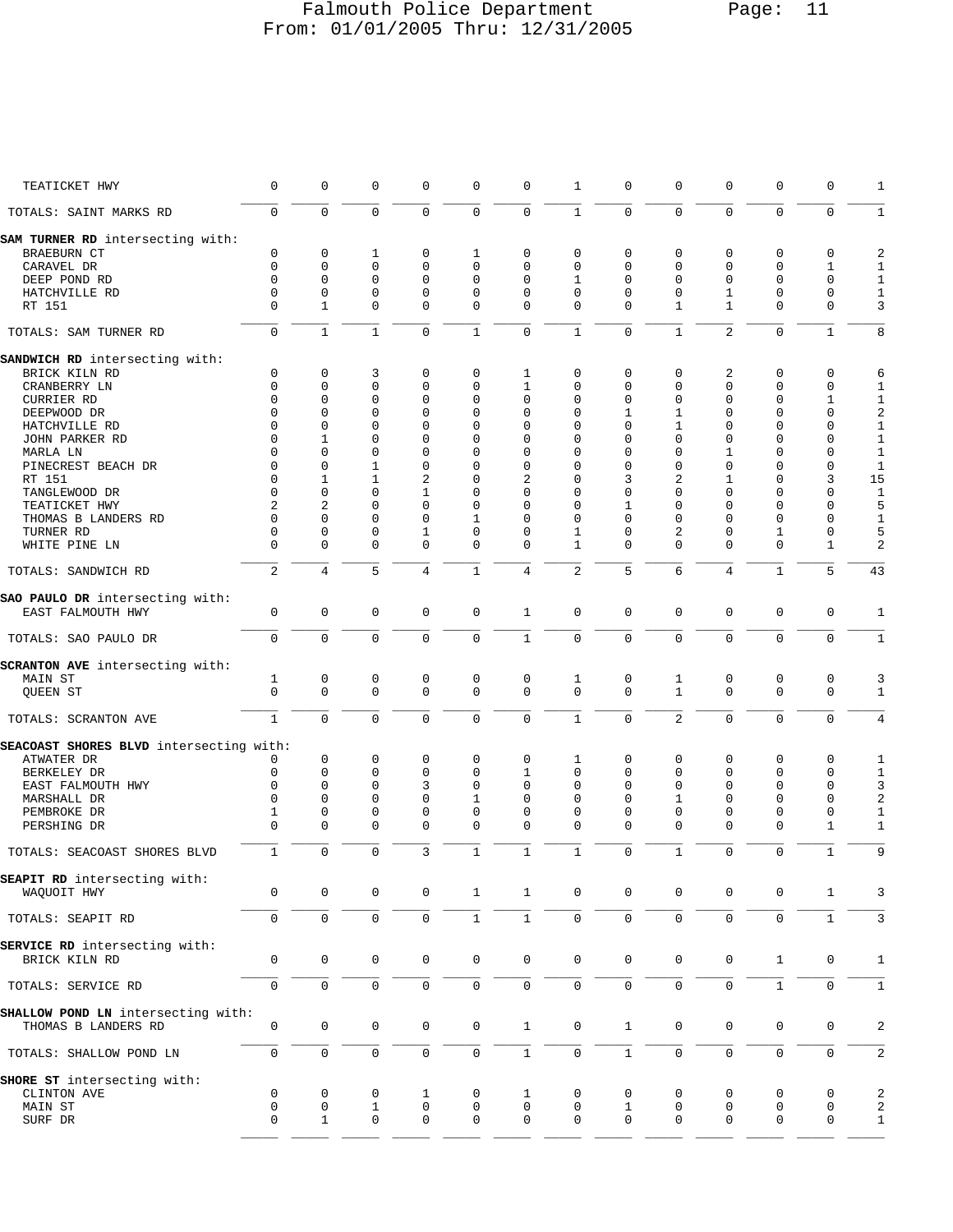# Falmouth Police Department Page: 11 From: 01/01/2005 Thru: 12/31/2005

| TEATICKET HWY                           | 0              | 0              | $\mathbf 0$  | $\mathbf 0$  | 0                   | 0                   | 1                   | 0            | $\mathbf 0$         | 0                   | 0                   | 0            | 1                       |
|-----------------------------------------|----------------|----------------|--------------|--------------|---------------------|---------------------|---------------------|--------------|---------------------|---------------------|---------------------|--------------|-------------------------|
| TOTALS: SAINT MARKS RD                  | $\mathbf 0$    | $\mathbf 0$    | $\mathbf 0$  | $\mathbf 0$  | $\mathbf 0$         | $\mathbf 0$         | $\mathbf{1}$        | $\mathbf 0$  | $\mathbf 0$         | $\mathbf 0$         | $\mathbf 0$         | $\mathbf 0$  | $\mathbf{1}$            |
| SAM TURNER RD intersecting with:        |                |                |              |              |                     |                     |                     |              |                     |                     |                     |              |                         |
| BRAEBURN CT                             | 0              | 0              | 1            | $\mathbf 0$  | 1                   | 0                   | $\mathbf 0$         | 0            | 0                   | $\mathbf 0$         | $\mathbf 0$         | 0            | 2                       |
| CARAVEL DR                              | $\mathbf 0$    | 0              | $\mathbf 0$  | $\mathbf 0$  | 0                   | 0                   | $\mathbf 0$         | 0            | $\mathbf 0$         | $\mathbf 0$         | $\mathbf 0$         | $\mathbf{1}$ | $1\,$                   |
| DEEP POND RD                            | $\Omega$       | 0              | $\mathbf 0$  | $\Omega$     | 0                   | 0                   | 1                   | 0            | 0                   | 0                   | 0                   | 0            | $\mathbf{1}$            |
| HATCHVILLE RD                           | $\mathbf 0$    | 0              | $\mathbf 0$  | $\mathbf 0$  | 0                   | 0                   | $\mathbf 0$         | 0            | $\mathbf 0$         | 1                   | $\mathbf 0$         | $\mathbf 0$  | $1\,$                   |
|                                         |                |                |              |              |                     |                     | $\Omega$            | $\Omega$     |                     |                     |                     | $\mathbf 0$  |                         |
| RT 151                                  | 0              | 1              | 0            | $\mathbf 0$  | $\mathbf 0$         | 0                   |                     |              | 1                   | 1                   | $\mathbf 0$         |              | 3                       |
| TOTALS: SAM TURNER RD                   | $\mathbf 0$    | $\mathbf{1}$   | $\mathbf{1}$ | $\mathbf 0$  | $\mathbf{1}$        | $\mathbf 0$         | $\mathbf{1}$        | $\mathbf 0$  | $\mathbf{1}$        | $\overline{2}$      | $\mathbf 0$         | $\mathbf{1}$ | 8                       |
| SANDWICH RD intersecting with:          |                |                |              |              |                     |                     |                     |              |                     |                     |                     |              |                         |
| BRICK KILN RD                           | 0              | 0              | 3            | 0            | 0                   | 1                   | 0                   | 0            | 0                   | 2                   | 0                   | 0            | 6                       |
| CRANBERRY LN                            | $\mathbf 0$    | $\mathbf 0$    | $\mathbf 0$  | $\mathbf 0$  | 0                   | $\mathbf 1$         | $\mathbf{0}$        | 0            | $\mathbf 0$         | $\mathbf 0$         | $\mathbf 0$         | $\mathbf 0$  | 1                       |
| CURRIER RD                              | $\Omega$       | 0              | $\mathbf 0$  | $\mathbf 0$  | 0                   | 0                   | $\mathbf 0$         | 0            | 0                   | 0                   | $\mathbf 0$         | 1            | $\mathbf{1}$            |
| DEEPWOOD DR                             | $\Omega$       | $\Omega$       | $\Omega$     | $\Omega$     | $\Omega$            | 0                   | $\mathbf 0$         | 1            | 1                   | $\Omega$            | $\mathbf 0$         | $\mathbf 0$  | $\sqrt{2}$              |
| HATCHVILLE RD                           | $\Omega$       | 0              | $\Omega$     | $\Omega$     | $\Omega$            | 0                   | $\mathbf 0$         | 0            | 1                   | $\Omega$            | $\mathbf 0$         | 0            | $1\,$                   |
| JOHN PARKER RD                          | 0              | 1              | $\Omega$     | 0            | 0                   | 0                   | $\mathbf 0$         | 0            | $\mathbf 0$         | 0                   | 0                   | 0            | $1\,$                   |
| MARLA LN                                | 0              | 0              | $\Omega$     | $\Omega$     | 0                   | 0                   | $\mathbf 0$         | $\Omega$     | $\Omega$            | 1                   | 0                   | 0            | $1\,$                   |
| PINECREST BEACH DR                      | 0              | 0              | 1            | 0            | 0                   | 0                   | $\mathbf 0$         | 0            | $\mathbf 0$         | 0                   | $\mathbf{0}$        | $\mathbf 0$  | $\mathbf{1}$            |
|                                         |                |                |              |              |                     |                     |                     |              | $\overline{2}$      |                     |                     |              |                         |
| RT 151                                  | 0              | 1              | 1            | 2            | 0                   | 2                   | $\mathbf 0$         | 3            |                     | 1                   | 0                   | 3            | 15                      |
| TANGLEWOOD DR                           | $\Omega$       | 0              | $\Omega$     | $\mathbf{1}$ | $\Omega$            | 0                   | $\mathbf 0$         | $\Omega$     | 0                   | $\Omega$            | 0                   | 0            | $\mathbf{1}$            |
| TEATICKET HWY                           | $\overline{2}$ | $\overline{a}$ | $\Omega$     | $\Omega$     | $\Omega$            | 0                   | $\mathbf 0$         | 1            | $\Omega$            | $\Omega$            | $\Omega$            | $\mathbf 0$  | 5                       |
| THOMAS B LANDERS RD                     | $\mathbf 0$    | 0              | $\Omega$     | 0            | 1                   | 0                   | $\mathbf 0$         | 0            | $\mathbf 0$         | $\Omega$            | $\mathbf{0}$        | 0            | $\mathbf{1}$            |
| TURNER RD                               | 0              | 0              | $\mathbf 0$  | 1            | 0                   | 0                   | 1                   | 0            | 2                   | 0                   | 1                   | 0            | 5                       |
| WHITE PINE LN                           | $\mathbf 0$    | $\mathbf 0$    | $\mathbf 0$  | $\mathbf 0$  | 0                   | $\mathbf 0$         | $\mathbf{1}$        | 0            | $\Omega$            | $\mathbf 0$         | $\mathbf 0$         | $\mathbf{1}$ | 2                       |
| TOTALS: SANDWICH RD                     | $\overline{2}$ | 4              | 5            | 4            | $\mathbf 1$         | $\overline{4}$      | $\overline{2}$      | 5            | $\sqrt{6}$          | $\,4$               | $\mathbf{1}$        | 5            | 43                      |
| SAO PAULO DR intersecting with:         |                |                |              |              |                     |                     |                     |              |                     |                     |                     |              |                         |
| EAST FALMOUTH HWY                       | $\mathsf 0$    | $\mathbf 0$    | $\mathbf 0$  | 0            | $\mathbf 0$         | $\mathbf{1}$        | $\mathbf 0$         | $\mathbf 0$  | $\mathbf 0$         | $\mathsf 0$         | $\mathbf 0$         | $\mathsf 0$  | 1                       |
|                                         |                |                |              |              |                     |                     |                     |              |                     |                     |                     |              |                         |
| TOTALS: SAO PAULO DR                    | 0              | $\mathbf 0$    | $\mathbf 0$  | $\mathbf 0$  | $\mathbf 0$         | $\mathbf{1}$        | $\mathbf 0$         | $\mathbf 0$  | $\mathbf 0$         | $\mathbf 0$         | $\mathbf 0$         | $\mathbf 0$  | $\mathbf{1}$            |
| SCRANTON AVE intersecting with:         |                |                |              |              |                     |                     |                     |              |                     |                     |                     |              |                         |
|                                         |                |                |              |              |                     |                     |                     |              |                     |                     |                     |              |                         |
| MAIN ST                                 | 1              | 0              | 0            | 0            | $\mathbf 0$         | $\mathbf 0$         | 1                   | 0            | 1                   | 0                   | 0                   | 0            | 3                       |
| QUEEN ST                                | $\mathbf 0$    | $\mathbf 0$    | $\mathbf 0$  | $\mathbf 0$  | $\mathbf 0$         | $\mathbf 0$         | $\mathbf 0$         | $\Omega$     | $\mathbf{1}$        | $\mathbf 0$         | $\mathbf 0$         | $\mathbf 0$  | 1                       |
| TOTALS: SCRANTON AVE                    | $\mathbf{1}$   | $\mathbf 0$    | $\mathbf 0$  | $\Omega$     | 0                   | $\mathsf{O}\xspace$ | $\mathbf{1}$        | 0            | $\overline{2}$      | $\mathbf 0$         | $\mathbf 0$         | 0            | 4                       |
| SEACOAST SHORES BLVD intersecting with: |                |                |              |              |                     |                     |                     |              |                     |                     |                     |              |                         |
| ATWATER DR                              | 0              | $\mathbf 0$    | $\mathbf 0$  | $\mathbf 0$  | 0                   | 0                   | 1                   | 0            | 0                   | $\mathbf 0$         | $\mathbf 0$         | 0            | 1                       |
| BERKELEY DR                             | 0              | $\mathbf 0$    | $\mathbf 0$  | $\mathbf 0$  | 0                   | 1                   | $\mathbf 0$         | $\mathbf 0$  | 0                   | 0                   | $\mathbf 0$         | $\mathbf 0$  | $1\,$                   |
| EAST FALMOUTH HWY                       | $\Omega$       | $\Omega$       | $\Omega$     | 3            | $\Omega$            | $\Omega$            | $\mathbf 0$         | $\Omega$     | $\Omega$            | $\Omega$            | $\Omega$            | 0            | $\mathbf{3}$            |
| MARSHALL DR                             | $\Omega$       | 0              | $\Omega$     | $\Omega$     | $\mathbf{1}$        | $\mathbf 0$         | $\mathbf{0}$        | $\mathbf 0$  | $\mathbf{1}$        | $\Omega$            | $\mathbf 0$         | $\mathbf 0$  | $\sqrt{2}$              |
|                                         |                |                |              |              |                     |                     |                     |              |                     |                     |                     |              |                         |
| PEMBROKE DR                             | 1              | 0              | $\mathbf 0$  | $\mathbf 0$  | $\mathbf 0$         | 0                   | 0                   | 0            | 0                   | 0                   | $\mathbf 0$         | $\mathsf 0$  | $1\,$                   |
| PERSHING DR                             | $\mathbf 0$    | $\Omega$       | $\Omega$     | $\mathbf 0$  | 0                   | $\mathbf 0$         | $\mathbf{0}$        | $\Omega$     | $\Omega$            | $\Omega$            | $\mathbf 0$         | 1            | 1                       |
| TOTALS: SEACOAST SHORES BLVD            | 1              | $\mathbf 0$    | $\mathbf 0$  | 3            | $\mathbf{1}$        | $\mathbf{1}$        | $\mathbf{1}$        | 0            | $\mathbf{1}$        | $\mathbf 0$         | $\mathsf 0$         | 1            | 9                       |
|                                         |                |                |              |              |                     |                     |                     |              |                     |                     |                     |              |                         |
| SEAPIT RD intersecting with:            |                |                |              |              |                     | $\mathbf{1}$        | $\mathsf{O}\xspace$ |              | $\mathsf{O}\xspace$ |                     |                     |              |                         |
| WAQUOIT HWY                             | 0              | 0              | $\mathbf 0$  | 0            | $\mathbf{1}$        |                     |                     | 0            |                     | 0                   | $\mathbf 0$         | $\mathbf{1}$ | 3                       |
| TOTALS: SEAPIT RD                       | 0              | $\mathsf 0$    | $\mathsf 0$  | $\mathbf 0$  | $1\,$               | $\mathbf{1}$        | $\mathsf{O}\xspace$ | $\mathsf 0$  | $\mathsf{O}\xspace$ | $\mathbf 0$         | $\mathsf{O}\xspace$ | $\mathbf{1}$ | 3                       |
| SERVICE RD intersecting with:           |                |                |              |              |                     |                     |                     |              |                     |                     |                     |              |                         |
| BRICK KILN RD                           | 0              | 0              | $\mathbf 0$  | 0            | $\mathbf 0$         | 0                   | $\mathbf 0$         | $\mathbf 0$  | $\mathbf 0$         | 0                   | $\mathbf{1}$        | $\mathbf 0$  | 1                       |
|                                         |                |                |              |              |                     |                     |                     |              |                     |                     |                     |              |                         |
| TOTALS: SERVICE RD                      | $\mathsf 0$    | $\mathsf{O}$   | $\mathsf 0$  | $\mathbf 0$  | $\mathsf{O}\xspace$ | $\mathsf{O}\xspace$ | $\mathbf 0$         | $\mathbf 0$  | $\mathbf 0$         | $\mathbf 0$         | $\mathbf{1}$        | $\mathbf 0$  | $\mathbf{1}$            |
| SHALLOW POND LN intersecting with:      |                |                |              |              |                     |                     |                     |              |                     |                     |                     |              |                         |
| THOMAS B LANDERS RD                     | 0              | 0              | 0            | 0            | $\mathbf 0$         | $\mathbf{1}$        | $\mathbf 0$         | $\mathbf{1}$ | $\mathbf 0$         | 0                   | 0                   | 0            | 2                       |
| TOTALS: SHALLOW POND LN                 | 0              | $\mathsf{O}$   | $\mathsf 0$  | 0            | $\mathbf 0$         | $\mathbf{1}$        | $\mathsf 0$         | $\mathbf{1}$ | $\mathbf 0$         | $\mathsf{O}\xspace$ | $\mathsf{O}\xspace$ | 0            | $\overline{\mathbf{c}}$ |
| SHORE ST intersecting with:             |                |                |              |              |                     |                     |                     |              |                     |                     |                     |              |                         |
| CLINTON AVE                             | 0              | 0              | 0            | 1            | 0                   | 1                   | 0                   | 0            | 0                   | 0                   | 0                   | 0            | $\boldsymbol{2}$        |
| MAIN ST                                 | $\mathbf 0$    | $\mathbf 0$    | $\mathbf{1}$ | 0            | $\mathbf 0$         | $\mathbf 0$         | $\mathbf 0$         | $\mathbf{1}$ | 0                   | 0                   | $\mathbf 0$         | $\mathbf 0$  | 2                       |
| SURF DR                                 | 0              | $\mathbf{1}$   | $\mathbf 0$  | $\mathbf 0$  | 0                   | 0                   | $\mathbf 0$         | 0            | $\mathbf 0$         | 0                   | $\mathbf 0$         | 0            | $\mathbf{1}$            |
|                                         |                |                |              |              |                     |                     |                     |              |                     |                     |                     |              |                         |
|                                         |                |                |              |              |                     |                     |                     |              |                     |                     |                     |              |                         |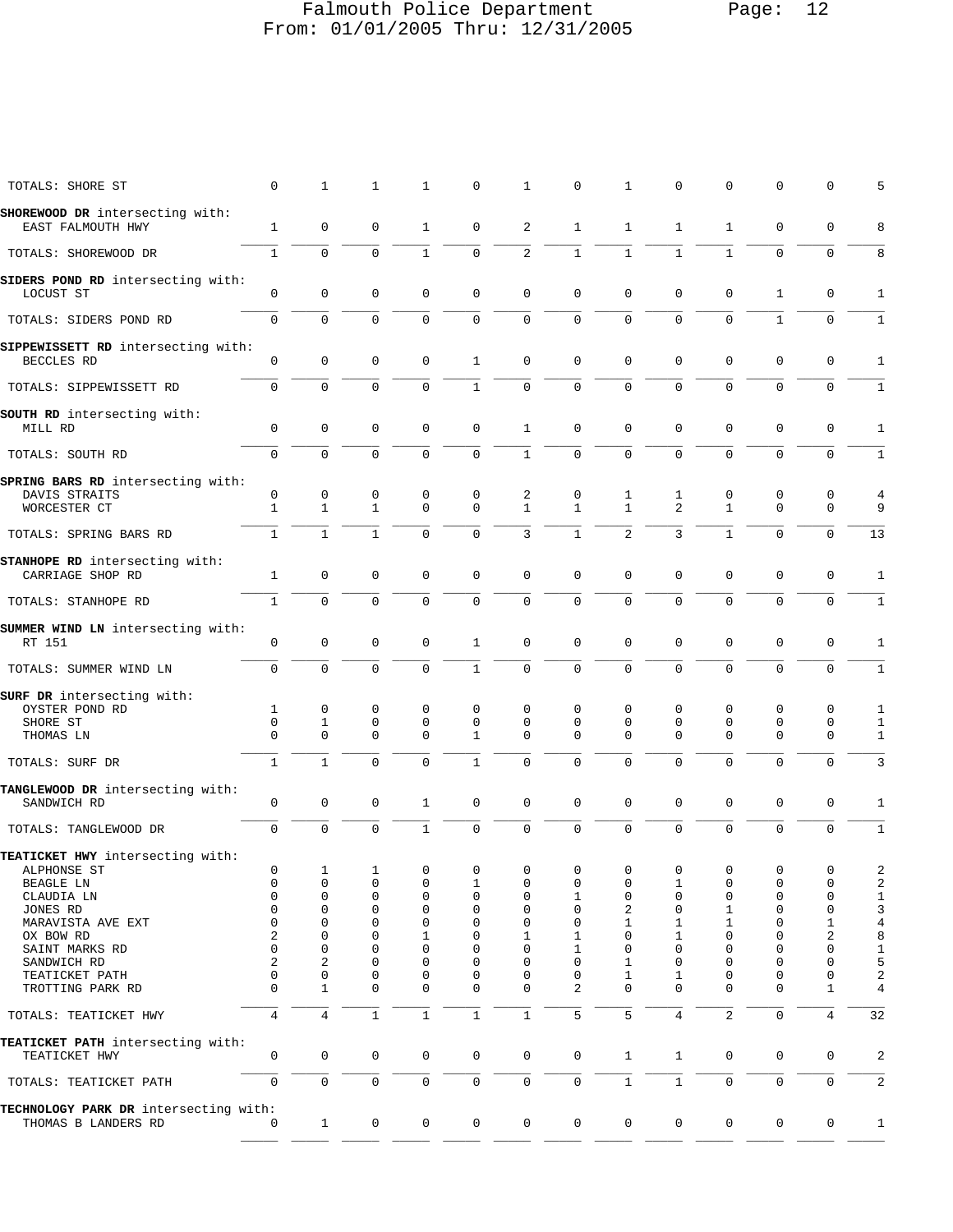# Falmouth Police Department Page: 12 From: 01/01/2005 Thru: 12/31/2005

| TOTALS: SHORE ST                                                   | 0              | $\mathbf{1}$      | $\mathbf{1}$      | 1                          | $\mathbf 0$       | $\mathbf{1}$      | 0                 | 1                          | $\mathbf 0$         | $\mathbf 0$       | $\mathbf 0$   | $\mathsf 0$      | 5                            |
|--------------------------------------------------------------------|----------------|-------------------|-------------------|----------------------------|-------------------|-------------------|-------------------|----------------------------|---------------------|-------------------|---------------|------------------|------------------------------|
| SHOREWOOD DR intersecting with:                                    |                |                   |                   |                            |                   |                   |                   |                            |                     |                   |               |                  |                              |
| EAST FALMOUTH HWY                                                  | $\mathbf{1}$   | 0                 | 0                 | 1                          | 0                 | 2                 | $\mathbf{1}$      | 1                          | 1                   | $\mathbf 1$       | 0             | 0                | 8                            |
| TOTALS: SHOREWOOD DR                                               | $\mathbf{1}$   | $\mathbf 0$       | $\mathbf 0$       | $\mathbf{1}$               | $\mathbf 0$       | $\overline{a}$    | $\mathbf{1}$      | $\mathbf{1}$               | $\mathbf{1}$        | $\mathbf{1}$      | $\mathbf{0}$  | $\mathbf 0$      | 8                            |
| SIDERS POND RD intersecting with:<br>LOCUST ST                     | $\mathbf 0$    | $\mathsf 0$       | 0                 | 0                          | 0                 | 0                 | 0                 | 0                          | $\mathbf 0$         | $\mathbf 0$       | $\mathbf{1}$  | 0                | 1                            |
| TOTALS: SIDERS POND RD                                             | $\mathbf 0$    | $\mathbf 0$       | $\mathbf 0$       | $\mathbf 0$                | $\mathbf 0$       | $\mathbf 0$       | $\mathbf 0$       | $\mathbf 0$                | $\mathbf 0$         | $\mathbf 0$       | $\mathbf{1}$  | $\mathbf 0$      | $\mathbf{1}$                 |
| SIPPEWISSETT RD intersecting with:<br>BECCLES RD                   | 0              | $\mathbf{0}$      | $\mathbf 0$       | $\mathbf 0$                | 1                 | $\mathbf 0$       | $\mathsf 0$       | $\mathbf 0$                | 0                   | $\mathbf 0$       | $\mathbf{0}$  | $\mathbf 0$      | 1                            |
| TOTALS: SIPPEWISSETT RD                                            | $\mathbf 0$    | $\mathbf 0$       | $\mathsf 0$       | $\mathbf 0$                | $\mathbf{1}$      | $\mathbf 0$       | $\mathbf 0$       | $\mathbf 0$                | $\mathbf 0$         | $\mathbf 0$       | $\mathbf 0$   | $\mathbf 0$      | $\mathbf{1}$                 |
| SOUTH RD intersecting with:<br>MILL RD                             | 0              | $\mathsf 0$       | 0                 | 0                          | 0                 | 1                 | 0                 | 0                          | 0                   | 0                 | 0             | 0                | 1                            |
|                                                                    | $\Omega$       | $\Omega$          | $\Omega$          | $\mathbf 0$                | $\mathbf 0$       | $\mathbf{1}$      | $\mathbf 0$       | $\mathbf 0$                | $\Omega$            | $\Omega$          | $\mathbf{0}$  | $\mathbf 0$      |                              |
| TOTALS: SOUTH RD                                                   |                |                   |                   |                            |                   |                   |                   |                            |                     |                   |               |                  | $\mathbf{1}$                 |
| SPRING BARS RD intersecting with:<br>DAVIS STRAITS<br>WORCESTER CT | 0<br>1         | 0<br>$\mathbf{1}$ | 0<br>$\mathbf{1}$ | 0<br>$\mathbf 0$           | 0<br>$\mathbf 0$  | 2<br>$\mathbf{1}$ | 0<br>$\mathbf{1}$ | 1<br>$\mathbf{1}$          | 1<br>$\overline{2}$ | 0<br>$\mathbf{1}$ | 0<br>$\Omega$ | 0<br>$\mathbf 0$ | 4<br>9                       |
| TOTALS: SPRING BARS RD                                             | $\mathbf{1}$   | $\mathbf{1}$      | $\mathbf 1$       | $\mathbf 0$                | $\mathbf 0$       | 3                 | $\mathbf{1}$      | $\overline{2}$             | 3                   | $\mathbf{1}$      | $\mathbf 0$   | $\mathbf 0$      | 13                           |
| STANHOPE RD intersecting with:<br>CARRIAGE SHOP RD                 | 1              | $\mathsf 0$       | 0                 | 0                          | 0                 | $\mathbf 0$       | $\mathsf 0$       | $\mathbf 0$                | 0                   | $\mathbf 0$       | 0             | 0                | 1                            |
| TOTALS: STANHOPE RD                                                | 1              | $\mathbf 0$       | $\mathbf 0$       | $\mathbf 0$                | $\mathbf 0$       | $\mathbf 0$       | $\mathbf 0$       | $\mathbf 0$                | $\Omega$            | $\mathbf 0$       | $\Omega$      | $\mathbf 0$      | $\mathbf{1}$                 |
| SUMMER WIND LN intersecting with:<br>RT 151                        | $\mathsf 0$    | 0                 | $\mathsf 0$       | 0                          | 1                 | 0                 | $\mathsf 0$       | 0                          | $\Omega$            | 0                 | $\mathsf 0$   | $\mathsf 0$      | 1                            |
| TOTALS: SUMMER WIND LN                                             | $\mathbf 0$    | $\mathbf 0$       | $\mathbf 0$       | $\mathbf 0$                | $\mathbf{1}$      | 0                 | $\mathsf 0$       | $\mathbf{0}$               | 0                   | $\mathbf 0$       | $\mathbf{0}$  | $\mathbf 0$      | $\mathbf{1}$                 |
| SURF DR intersecting with:                                         |                |                   |                   |                            |                   |                   |                   |                            |                     |                   |               |                  |                              |
| OYSTER POND RD                                                     | 1              | 0                 | 0                 | 0                          | 0                 | 0                 | 0                 | 0                          | 0                   | 0                 | 0             | 0                | 1                            |
| SHORE ST<br>THOMAS LN                                              | 0<br>$\Omega$  | 1<br>$\mathbf 0$  | 0<br>0            | $\mathsf 0$<br>$\mathbf 0$ | $\mathbf 0$<br>1  | 0<br>0            | 0<br>0            | $\mathbf 0$<br>$\mathbf 0$ | 0<br>$\Omega$       | 0<br>$\Omega$     | 0<br>0        | $\mathsf 0$<br>0 | $\mathbf{1}$<br>$\mathbf{1}$ |
| TOTALS: SURF DR                                                    | $\mathbf{1}$   | $\mathbf{1}$      | $\mathbf 0$       | $\mathbf 0$                | $\mathbf{1}$      | $\mathbf 0$       | $\mathbf 0$       | $\mathbf 0$                | $\Omega$            | $\mathbf 0$       | $\mathbf{0}$  | $\mathbf 0$      | $\mathbf{3}$                 |
| TANGLEWOOD DR intersecting with:<br>SANDWICH RD                    | 0              | $\mathsf 0$       | 0                 | 1                          | 0                 | 0                 | $\mathsf 0$       | $\mathbf 0$                | 0                   | 0                 | 0             | $\mathsf 0$      | 1                            |
| TOTALS: TANGLEWOOD DR                                              | $\mathbf 0$    | $\mathbf 0$       | $\mathbf 0$       | $\mathbf{1}$               | $\mathbf 0$       | 0                 | 0                 | 0                          | $\mathbf 0$         | 0                 | 0             | $\mathbf 0$      | $\mathbf{1}$                 |
| TEATICKET HWY intersecting with:                                   |                |                   |                   |                            |                   |                   |                   |                            |                     |                   |               |                  |                              |
| ALPHONSE ST                                                        | $\mathbf 0$    | $\mathbf{1}$      | $\mathbf{1}$      | $\mathsf 0$                | $\mathbf 0$       | 0                 | 0                 | $\mathbf 0$                | $\mathbf 0$         | $\mathsf 0$       | $\mathsf 0$   | $\mathbf 0$      | $\overline{a}$               |
| BEAGLE LN<br>CLAUDIA LN                                            | 0<br>0         | 0<br>0            | 0<br>0            | 0<br>0                     | $\mathbf{1}$<br>0 | 0<br>0            | 0<br>1            | 0<br>0                     | 1<br>$\mathbf 0$    | 0<br>0            | 0<br>0        | 0<br>0           | 2<br>$\mathbf{1}$            |
| JONES RD                                                           | $\mathbf 0$    | $\mathbf 0$       | 0                 | $\mathbf 0$                | 0                 | $\mathbf 0$       | 0                 | 2                          | 0                   | 1                 | 0             | $\mathbf 0$      | 3                            |
| MARAVISTA AVE EXT                                                  | 0              | $\mathbf 0$       | 0                 | $\mathbf 0$                | $\mathbf 0$       | $\mathbf 0$       | 0                 | 1                          | 1                   | 1                 | 0             | 1                | $\overline{4}$               |
| OX BOW RD                                                          | 2              | $\mathbf 0$       | 0                 | 1                          | $\Omega$          | 1                 | 1                 | 0                          | 1                   | $\mathbf 0$       | 0             | 2                | $\bf 8$                      |
| SAINT MARKS RD                                                     | 0              | 0                 | 0                 | $\mathbf 0$                | $\Omega$          | 0                 | 1                 | $\mathbf 0$                | 0                   | 0                 | 0             | $\mathbf 0$      | $\mathbf{1}$                 |
| SANDWICH RD                                                        | 2              | 2                 | 0                 | $\mathbf 0$                | $\mathbf 0$       | $\mathbf 0$       | 0                 | 1                          | 0                   | 0                 | 0             | $\mathbf 0$      | 5                            |
| TEATICKET PATH                                                     | 0              | $\mathsf 0$       | 0                 | $\mathbf 0$                | $\mathbf 0$       | 0                 | 0                 | 1                          | 1                   | $\mathbf 0$       | 0             | 0                | $\sqrt{2}$                   |
| TROTTING PARK RD                                                   | $\Omega$       | $\mathbf{1}$      | $\Omega$          | $\mathbf 0$                | $\mathbf 0$       | $\mathbf 0$       | 2                 | $\Omega$                   | $\Omega$            | $\mathbf 0$       | $\Omega$      | $\mathbf{1}$     | $\,4$                        |
| TOTALS: TEATICKET HWY                                              | $\overline{4}$ | $\overline{4}$    | $\mathbf 1$       | $\mathbf{1}$               | $\mathbf{1}$      | $\mathbf{1}$      | 5                 | 5                          | 4                   | $\overline{2}$    | $\mathbf 0$   | $\overline{4}$   | 32                           |
| TEATICKET PATH intersecting with:<br>TEATICKET HWY                 | 0              | 0                 | $\mathsf{O}$      | $\mathsf{O}$               | $\mathsf{O}$      | 0                 | 0                 | $\mathbf{1}$               | $\mathbf{1}$        | 0                 | 0             | 0                | 2                            |
| TOTALS: TEATICKET PATH                                             | $\mathbf 0$    | $\mathbf{0}$      | $\mathbf 0$       | $\mathsf{O}\xspace$        | 0                 | $\mathsf{O}$      | 0                 | $\mathbf{1}$               | $\mathbf{1}$        | $\mathbf 0$       | $\mathbf{0}$  | $\mathbf 0$      | 2                            |
| TECHNOLOGY PARK DR intersecting with:<br>THOMAS B LANDERS RD       | 0              | $\mathbf{1}$      | $\mathsf{O}$      | $\mathsf{O}$               | $\mathbf 0$       | 0                 | $\mathbf 0$       | $\mathbf 0$                | $\overline{0}$      | $\mathsf{O}$      | $\mathbf 0$   | 0                | $\mathbf{1}$                 |
|                                                                    |                |                   |                   |                            |                   |                   |                   |                            |                     |                   |               |                  |                              |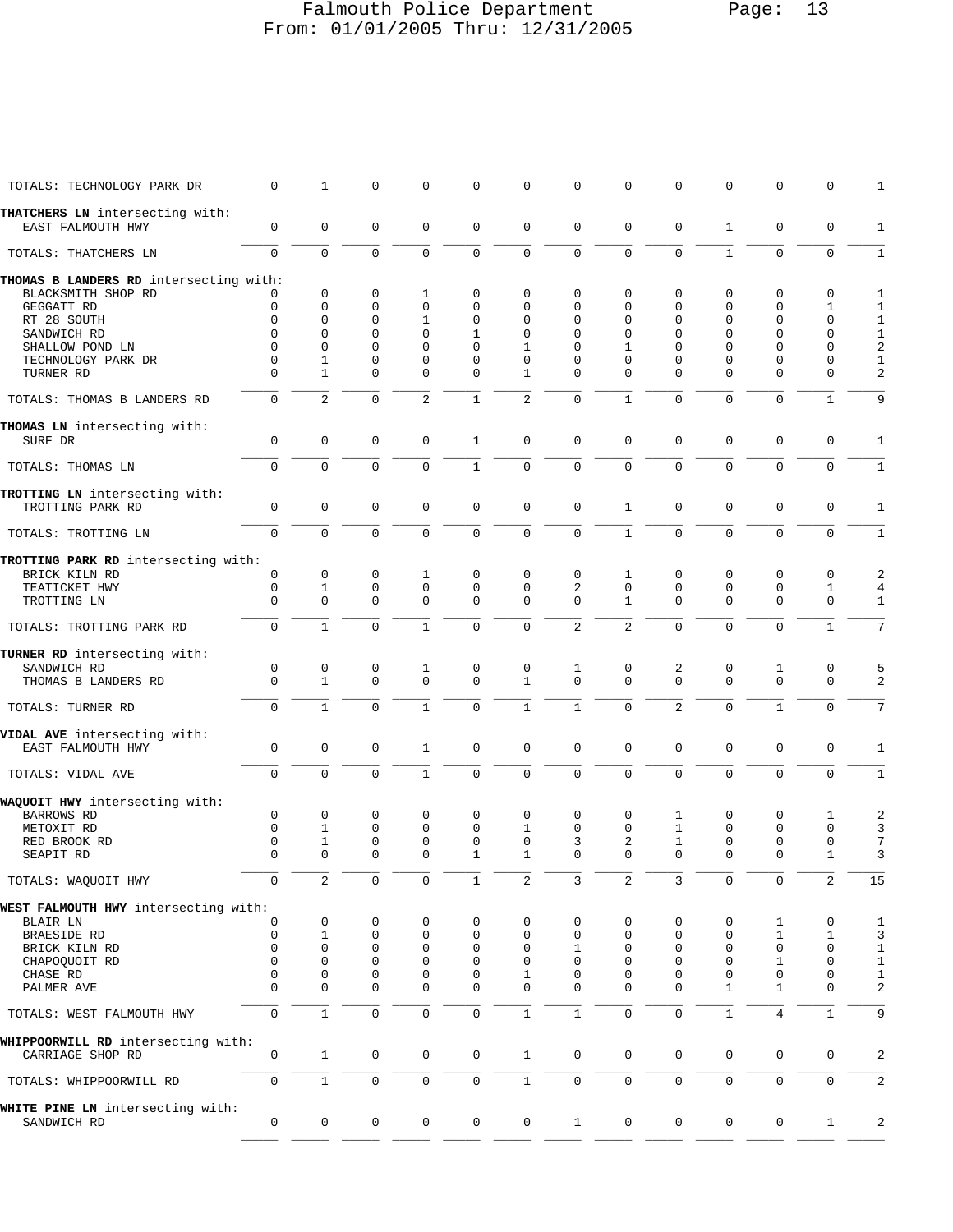# Falmouth Police Department Page: 13 From: 01/01/2005 Thru: 12/31/2005

| TOTALS: TECHNOLOGY PARK DR                           | 0                   | 1              | 0           | 0                   | 0                   | 0              | $\mathbf 0$    | $\mathbf{0}$        | 0              | $\mathbf 0$         | $\mathbf 0$         | 0                   | 1              |
|------------------------------------------------------|---------------------|----------------|-------------|---------------------|---------------------|----------------|----------------|---------------------|----------------|---------------------|---------------------|---------------------|----------------|
| THATCHERS LN intersecting with:<br>EAST FALMOUTH HWY | $\mathbf 0$         | $\mathbf 0$    | $\mathbf 0$ | $\mathbf 0$         | $\mathbf 0$         | $\mathbf 0$    | $\mathbf 0$    | $\mathbf 0$         | $\mathbf 0$    | $\mathbf{1}$        | $\mathbf 0$         | $\mathbf 0$         | $\mathbf{1}$   |
| TOTALS: THATCHERS LN                                 | $\mathbf 0$         | $\mathbf 0$    | $\mathbf 0$ | $\mathbf 0$         | 0                   | $\mathbf 0$    | $\mathbf 0$    | $\mathbf 0$         | $\mathbf 0$    | $\mathbf{1}$        | $\mathbf 0$         | $\mathbf 0$         | $\mathbf{1}$   |
| THOMAS B LANDERS RD intersecting with:               |                     |                |             |                     |                     |                |                |                     |                |                     |                     |                     |                |
| BLACKSMITH SHOP RD                                   |                     | $\mathbf 0$    | 0           | 1                   | 0                   | 0              | 0              | $\mathbf 0$         | 0              | 0                   | 0                   | 0                   | 1              |
| GEGGATT RD                                           | 0                   | $\mathbf{0}$   | 0           | $\mathbf 0$         | 0                   | $\Omega$       | 0              | $\Omega$            | $\Omega$       | $\mathbf 0$         | $\mathbf 0$         | $\mathbf{1}$        | $1\,$          |
| RT 28 SOUTH                                          | $\Omega$            | $\Omega$       | 0           | 1                   | 0                   | 0              | $\mathbf 0$    | $\mathbf 0$         | $\mathbf 0$    | $\Omega$            | $\mathbf 0$         | $\mathbf 0$         | $1\,$          |
| SANDWICH RD                                          | $\Omega$            | $\Omega$       | $\Omega$    | $\Omega$            | $\mathbf{1}$        | $\Omega$       | $\Omega$       | $\Omega$            | 0              | $\Omega$            | $\Omega$            | $\Omega$            | $\mathbf 1$    |
| SHALLOW POND LN                                      | $\mathbf 0$         | $\Omega$       | 0           | $\Omega$            | $\Omega$            | 1              | 0              | 1                   | $\Omega$       | $\Omega$            | $\Omega$            | $\Omega$            | $\sqrt{2}$     |
| TECHNOLOGY PARK DR                                   | 0                   | 1              | 0           | $\mathbf 0$         | 0                   | 0              | 0              | $\mathbf 0$         | 0              | 0                   | $\mathbf 0$         | $\mathbf 0$         | $\,1$          |
| TURNER RD                                            | $\Omega$            | $\mathbf{1}$   | $\Omega$    | $\Omega$            | 0                   | $\mathbf{1}$   | 0              | $\Omega$            | $\Omega$       | $\Omega$            | $\Omega$            | $\mathbf 0$         | $\overline{2}$ |
| TOTALS: THOMAS B LANDERS RD                          | 0                   | $\overline{2}$ | 0           | 2                   | 1                   | $\overline{2}$ | $\mathsf 0$    | $\mathbf{1}$        | 0              | $\mathbf 0$         | $\mathbf 0$         | $\mathbf{1}$        | 9              |
| THOMAS LN intersecting with:                         |                     |                |             |                     |                     |                |                |                     |                |                     |                     |                     |                |
| SURF DR                                              | $\mathbf 0$         | $\mathbf 0$    | $\mathbf 0$ | $\mathbf 0$         | $\mathbf{1}$        | $\mathsf 0$    | $\mathbf 0$    | $\mathbf 0$         | $\mathbf 0$    | $\mathbf 0$         | $\mathbf 0$         | $\mathbf 0$         | $\mathbf{1}$   |
| TOTALS: THOMAS LN                                    | $\mathbf 0$         | $\mathbf 0$    | $\mathbf 0$ | $\mathbf 0$         | $\mathbf{1}$        | $\mathbf 0$    | $\mathbf 0$    | $\mathbf 0$         | $\mathbf 0$    | $\mathbf 0$         | $\mathbf 0$         | $\mathbf 0$         | $\mathbf{1}$   |
| TROTTING LN intersecting with:                       |                     |                |             |                     |                     |                |                |                     |                |                     |                     |                     |                |
| TROTTING PARK RD                                     | $\mathbf 0$         | $\mathbf{0}$   | $\mathbf 0$ | $\mathbf 0$         | $\mathbf 0$         | $\mathbf 0$    | $\mathbf 0$    | $\mathbf{1}$        | $\mathbf 0$    | $\mathbf 0$         | $\mathbf 0$         | $\mathbf 0$         | $\mathbf{1}$   |
| TOTALS: TROTTING LN                                  | $\Omega$            | $\Omega$       | $\Omega$    | $\Omega$            | $\Omega$            | $\mathbf 0$    | $\mathbf 0$    | $\mathbf{1}$        | $\Omega$       | $\Omega$            | $\Omega$            | $\Omega$            | $\mathbf{1}$   |
| TROTTING PARK RD intersecting with:                  |                     |                |             |                     |                     |                |                |                     |                |                     |                     |                     |                |
| BRICK KILN RD                                        | 0                   | 0              | 0           | 1                   | 0                   | 0              | $\mathbf 0$    | 1                   | 0              | $\mathbf 0$         | $\mathbf 0$         | 0                   | 2              |
| TEATICKET HWY                                        | 0                   | $\mathbf{1}$   | $\mathbf 0$ | $\mathbf 0$         | 0                   | $\mathbf 0$    | $\overline{a}$ | $\mathbf 0$         | $\mathbf 0$    | $\mathbf 0$         | $\mathbf 0$         | $\mathbf{1}$        | $\overline{4}$ |
| TROTTING LN                                          | $\Omega$            | $\Omega$       | $\mathbf 0$ | $\Omega$            | $\mathbf 0$         | $\mathbf 0$    | $\mathbf 0$    | $\mathbf{1}$        | $\Omega$       | $\Omega$            | $\mathbf 0$         | $\mathbf 0$         | $\mathbf{1}$   |
| TOTALS: TROTTING PARK RD                             | $\Omega$            | $\mathbf{1}$   | $\Omega$    | $\mathbf{1}$        | $\Omega$            | $\Omega$       | $\overline{2}$ | $\overline{2}$      | $\Omega$       | $\Omega$            | $\Omega$            | $\mathbf{1}$        | 7              |
| TURNER RD intersecting with:                         |                     |                |             |                     |                     |                |                |                     |                |                     |                     |                     |                |
| SANDWICH RD                                          | $\mathbf 0$         | 0              | 0           | 1                   | 0                   | 0              | 1              | 0                   | 2              | 0                   | 1                   | 0                   | 5              |
| THOMAS B LANDERS RD                                  | $\Omega$            | $\mathbf{1}$   | $\mathbf 0$ | $\mathbf 0$         | 0                   | $\mathbf{1}$   | $\mathbf 0$    | $\Omega$            | $\Omega$       | $\Omega$            | $\Omega$            | $\mathbf 0$         | 2              |
| TOTALS: TURNER RD                                    | $\mathbf 0$         | $\mathbf{1}$   | $\mathbf 0$ | $\mathbf{1}$        | 0                   | $\mathbf{1}$   | $\mathbf{1}$   | $\mathbf 0$         | $\overline{2}$ | $\mathbf 0$         | $\mathbf{1}$        | $\mathbf 0$         | 7              |
| VIDAL AVE intersecting with:                         |                     |                |             |                     |                     |                |                |                     |                |                     |                     |                     |                |
| EAST FALMOUTH HWY                                    | $\mathbf 0$         | $\mathbf 0$    | $\mathbf 0$ | $\mathbf{1}$        | $\mathbf 0$         | $\mathbf 0$    | $\mathbf 0$    | $\mathbf 0$         | $\mathbf 0$    | $\mathbf 0$         | $\mathbf 0$         | $\mathbf 0$         | $\mathbf{1}$   |
| TOTALS: VIDAL AVE                                    | $\mathbf 0$         | $\Omega$       | $\mathbf 0$ | $\mathbf{1}$        | 0                   | $\mathbf 0$    | $\mathbf 0$    | $\mathbf 0$         | $\mathbf 0$    | $\mathbf 0$         | $\mathbf 0$         | $\mathbf 0$         | $\mathbf{1}$   |
| WAQUOIT HWY intersecting with:                       |                     |                |             |                     |                     |                |                |                     |                |                     |                     |                     |                |
| <b>BARROWS RD</b>                                    | 0                   | 0              | 0           | $\mathbf 0$         | 0                   | 0              | $\mathbf 0$    | $\mathbf 0$         | 1              | 0                   | 0                   | 1                   | 2              |
| METOXIT RD                                           | $\Omega$            | 1              | 0           | $\mathbf 0$         | 0                   | 1              | $\mathbf 0$    | $\Omega$            | 1              | $\mathbf 0$         | $\mathbf 0$         | $\mathbf 0$         | 3              |
| RED BROOK RD                                         | $\mathbf 0$         | $\mathbf{1}$   | $\mathbf 0$ | $\mathbf 0$         | $\mathbf 0$         | $\mathbf 0$    | 3              | 2                   | $\mathbf{1}$   | $\mathbf 0$         | $\mathbf 0$         | $\mathsf 0$         | 7              |
| SEAPIT RD                                            | $\Omega$            | $\Omega$       | 0           | $\Omega$            | 1                   | $\mathbf{1}$   | $\mathbf 0$    | $\Omega$            | $\mathbf 0$    | $\Omega$            | $\mathbf 0$         | $\mathbf 1$         | 3              |
|                                                      |                     |                |             |                     |                     |                |                |                     |                |                     |                     |                     |                |
| TOTALS: WAQUOIT HWY                                  | $\mathsf{O}\xspace$ | $\overline{2}$ | $\mathsf 0$ | $\mathsf{O}\xspace$ | 1                   | $\overline{c}$ | 3              | 2                   | 3              | $\mathsf{O}\xspace$ | $\mathbf 0$         | 2                   | 15             |
| WEST FALMOUTH HWY intersecting with:                 |                     |                |             |                     |                     |                |                |                     |                |                     |                     |                     |                |
| BLAIR LN                                             | 0                   | 0              | 0           | 0                   | 0                   | 0              | 0              | 0                   | 0              | 0                   | 1                   | 0                   | 1              |
| BRAESIDE RD                                          | 0                   | 1              | 0           | 0                   | 0                   | 0              | 0              | $\mathbf 0$         | 0              | 0                   | 1                   | $\mathbf{1}$        | $\mathsf{3}$   |
| BRICK KILN RD                                        | 0                   | $\mathbf{0}$   | 0           | $\mathbf 0$         | 0                   | 0              | 1              | $\mathbf 0$         | 0              | $\mathbf 0$         | $\mathbf 0$         | $\mathbf 0$         | $\mathbf 1$    |
| CHAPOQUOIT RD                                        | 0                   | 0              | 0           | $\mathbf 0$         | 0                   | 0              | 0              | 0                   | 0              | 0                   | 1                   | $\mathbf 0$         | $\mathbf 1$    |
| CHASE RD                                             | 0                   | 0              | 0           | 0                   | 0                   | 1              | 0              | 0                   | 0              | $\mathbf 0$         | 0                   | $\mathbf 0$         | $\mathbf 1$    |
| PALMER AVE                                           | $\Omega$            | 0              | 0           | $\mathbf 0$         | 0                   | 0              | $\mathbf 0$    | $\mathbf 0$         | 0              | $\mathbf{1}$        | $\mathbf{1}$        | $\mathbf 0$         | 2              |
| TOTALS: WEST FALMOUTH HWY                            | 0                   | $\mathbf{1}$   | $\mathbf 0$ | $\mathbf 0$         | 0                   | $\mathbf{1}$   | $1\,$          | $\mathbf 0$         | $\Omega$       | $\mathbf{1}$        | 4                   | $\mathbf{1}$        | 9              |
| WHIPPOORWILL RD intersecting with:                   |                     |                |             |                     |                     |                |                |                     |                |                     |                     |                     |                |
| CARRIAGE SHOP RD                                     | 0                   | $\mathbf{1}$   | $\mathbf 0$ | $\mathbf 0$         | $\mathbf 0$         | $\mathbf{1}$   | $\mathbf 0$    | $\mathbf 0$         | 0              | $\mathbf 0$         | $\mathbf 0$         | $\mathbf 0$         | $\overline{a}$ |
| TOTALS: WHIPPOORWILL RD                              | $\mathsf{O}\xspace$ | $\mathbf{1}$   | $\mathsf 0$ | $\mathsf{O}\xspace$ | $\mathsf{O}\xspace$ | $1\,$          | $\mathsf 0$    | $\mathsf{O}\xspace$ | 0              | $\mathsf{O}\xspace$ | $\mathsf{O}\xspace$ | $\mathsf{O}\xspace$ | 2              |
| WHITE PINE LN intersecting with:<br>SANDWICH RD      | 0                   | $\mathbf 0$    | 0           | 0                   | $\mathbf 0$         | $\mathbf 0$    | $\mathbf{1}$   | $\mathbf 0$         | $\mathbf 0$    | $\mathbf 0$         | $\mathbf 0$         | $\mathbf 1$         | 2              |
|                                                      |                     |                |             |                     |                     |                |                |                     |                |                     |                     |                     |                |